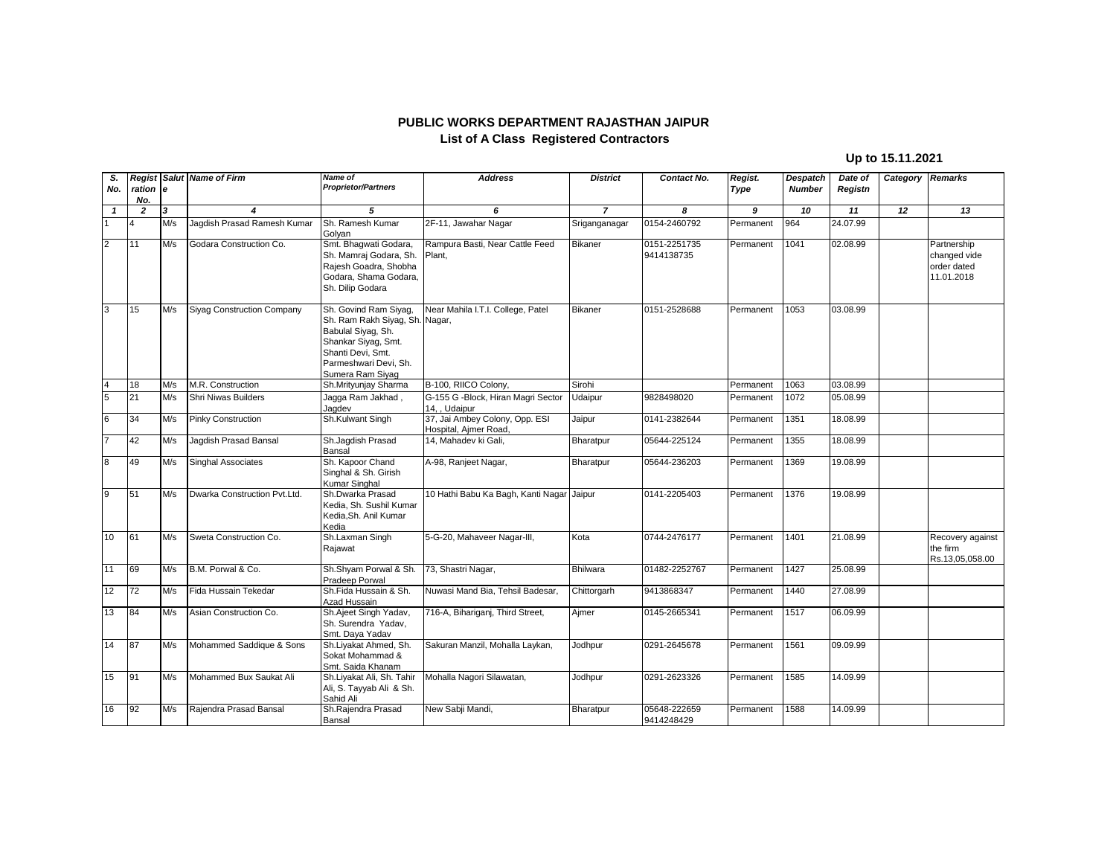## **PUBLIC WORKS DEPARTMENT RAJASTHAN JAIPUR List of A Class Registered Contractors**

## **Up to 15.11.2021**

| S.              |                 |     | <b>Regist Salut Name of Firm</b>  | <b>Name of</b>                                                                                                                                                         | <b>Address</b>                                          | <b>District</b> | Contact No.                | Regist.   | Despatch      | Date of  | Category Remarks |                                                          |
|-----------------|-----------------|-----|-----------------------------------|------------------------------------------------------------------------------------------------------------------------------------------------------------------------|---------------------------------------------------------|-----------------|----------------------------|-----------|---------------|----------|------------------|----------------------------------------------------------|
| No.             | ration e<br>No. |     |                                   | <b>Proprietor/Partners</b>                                                                                                                                             |                                                         |                 |                            | Type      | <b>Number</b> | Registn  |                  |                                                          |
| $\mathbf{1}$    | $\overline{2}$  | 3   | $\overline{\mathbf{4}}$           | 5                                                                                                                                                                      | 6                                                       | $\overline{7}$  | 8                          | 9         | 10            | 11       | 12               | 13                                                       |
|                 | $\overline{4}$  | M/s | Jagdish Prasad Ramesh Kumar       | Sh. Ramesh Kumar<br>Golyan                                                                                                                                             | 2F-11, Jawahar Nagar                                    | Sriganganagar   | 0154-2460792               | Permanent | 964           | 24.07.99 |                  |                                                          |
| $\overline{2}$  | 11              | M/s | Godara Construction Co.           | Smt. Bhagwati Godara,<br>Sh. Mamraj Godara, Sh.<br>Raiesh Goadra, Shobha<br>Godara, Shama Godara,<br>Sh. Dilip Godara                                                  | Rampura Basti, Near Cattle Feed<br>Plant.               | Bikaner         | 0151-2251735<br>9414138735 | Permanent | 1041          | 02.08.99 |                  | Partnership<br>changed vide<br>order dated<br>11.01.2018 |
| 3               | 15              | M/s | <b>Siyag Construction Company</b> | Sh. Govind Ram Siyag,<br>Sh. Ram Rakh Siyag, Sh. Nagar,<br>Babulal Siyag, Sh.<br>Shankar Siyag, Smt.<br>Shanti Devi, Smt.<br>Parmeshwari Devi, Sh.<br>Sumera Ram Siyag | Near Mahila I.T.I. College, Patel                       | Bikaner         | 0151-2528688               | Permanent | 1053          | 03.08.99 |                  |                                                          |
| $\overline{4}$  | 18              | M/s | M.R. Construction                 | Sh.Mrityunjay Sharma                                                                                                                                                   | B-100, RIICO Colony,                                    | Sirohi          |                            | Permanent | 1063          | 03.08.99 |                  |                                                          |
| $\overline{5}$  | 21              | M/s | <b>Shri Niwas Builders</b>        | Jagga Ram Jakhad,<br>Jagdev                                                                                                                                            | G-155 G -Block, Hiran Magri Sector<br>14. . Udaipur     | Udaipur         | 9828498020                 | Permanent | 1072          | 05.08.99 |                  |                                                          |
| $6\overline{6}$ | 34              | M/s | Pinky Construction                | Sh.Kulwant Singh                                                                                                                                                       | 37, Jai Ambey Colony, Opp. ESI<br>Hospital, Ajmer Road, | Jaipur          | 0141-2382644               | Permanent | 1351          | 18.08.99 |                  |                                                          |
| $\overline{7}$  | 42              | M/s | Jagdish Prasad Bansal             | Sh.Jaqdish Prasad<br>Bansal                                                                                                                                            | 14, Mahadev ki Gali,                                    | Bharatpur       | 05644-225124               | Permanent | 1355          | 18.08.99 |                  |                                                          |
| $\bf{8}$        | 49              | M/s | <b>Singhal Associates</b>         | Sh. Kapoor Chand<br>Singhal & Sh. Girish<br>Kumar Singhal                                                                                                              | A-98, Ranjeet Nagar,                                    | Bharatpur       | 05644-236203               | Permanent | 1369          | 19.08.99 |                  |                                                          |
| $\overline{9}$  | 51              | M/s | Dwarka Construction Pvt.Ltd.      | Sh.Dwarka Prasad<br>Kedia, Sh. Sushil Kumar<br>Kedia.Sh. Anil Kumar<br>Kedia                                                                                           | 10 Hathi Babu Ka Bagh, Kanti Nagar                      | Jaipur          | 0141-2205403               | Permanent | 1376          | 19.08.99 |                  |                                                          |
| 10              | 61              | M/s | Sweta Construction Co.            | Sh.Laxman Singh<br>Rajawat                                                                                                                                             | 5-G-20, Mahaveer Nagar-III,                             | Kota            | 0744-2476177               | Permanent | 1401          | 21.08.99 |                  | Recovery against<br>the firm<br>Rs.13,05,058.00          |
| 11              | 69              | M/s | B.M. Porwal & Co.                 | Sh.Shyam Porwal & Sh.<br>Pradeep Porwal                                                                                                                                | 73, Shastri Nagar,                                      | Bhilwara        | 01482-2252767              | Permanent | 1427          | 25.08.99 |                  |                                                          |
| 12              | 72              | M/s | Fida Hussain Tekedar              | Sh.Fida Hussain & Sh.<br>Azad Hussain                                                                                                                                  | Nuwasi Mand Bia, Tehsil Badesar,                        | Chittorgarh     | 9413868347                 | Permanent | 1440          | 27.08.99 |                  |                                                          |
| 13              | 84              | M/s | Asian Construction Co.            | Sh.Ajeet Singh Yadav,<br>Sh. Surendra Yadav,<br>Smt. Daya Yadav                                                                                                        | 716-A, Bihariganj, Third Street,                        | Aimer           | 0145-2665341               | Permanent | 1517          | 06.09.99 |                  |                                                          |
| 14              | 87              | M/s | Mohammed Saddique & Sons          | Sh.Liyakat Ahmed, Sh.<br>Sokat Mohammad &<br>Smt. Saida Khanam                                                                                                         | Sakuran Manzil, Mohalla Laykan,                         | Jodhpur         | 0291-2645678               | Permanent | 1561          | 09.09.99 |                  |                                                          |
| 15              | 91              | M/s | Mohammed Bux Saukat Ali           | Sh.Liyakat Ali, Sh. Tahir<br>Ali, S. Tayyab Ali & Sh.<br>Sahid Ali                                                                                                     | Mohalla Nagori Silawatan,                               | Jodhpur         | 0291-2623326               | Permanent | 1585          | 14.09.99 |                  |                                                          |
| 16              | 92              | M/s | Rajendra Prasad Bansal            | Sh.Rajendra Prasad<br>Bansal                                                                                                                                           | New Sabji Mandi,                                        | Bharatpur       | 05648-222659<br>9414248429 | Permanent | 1588          | 14.09.99 |                  |                                                          |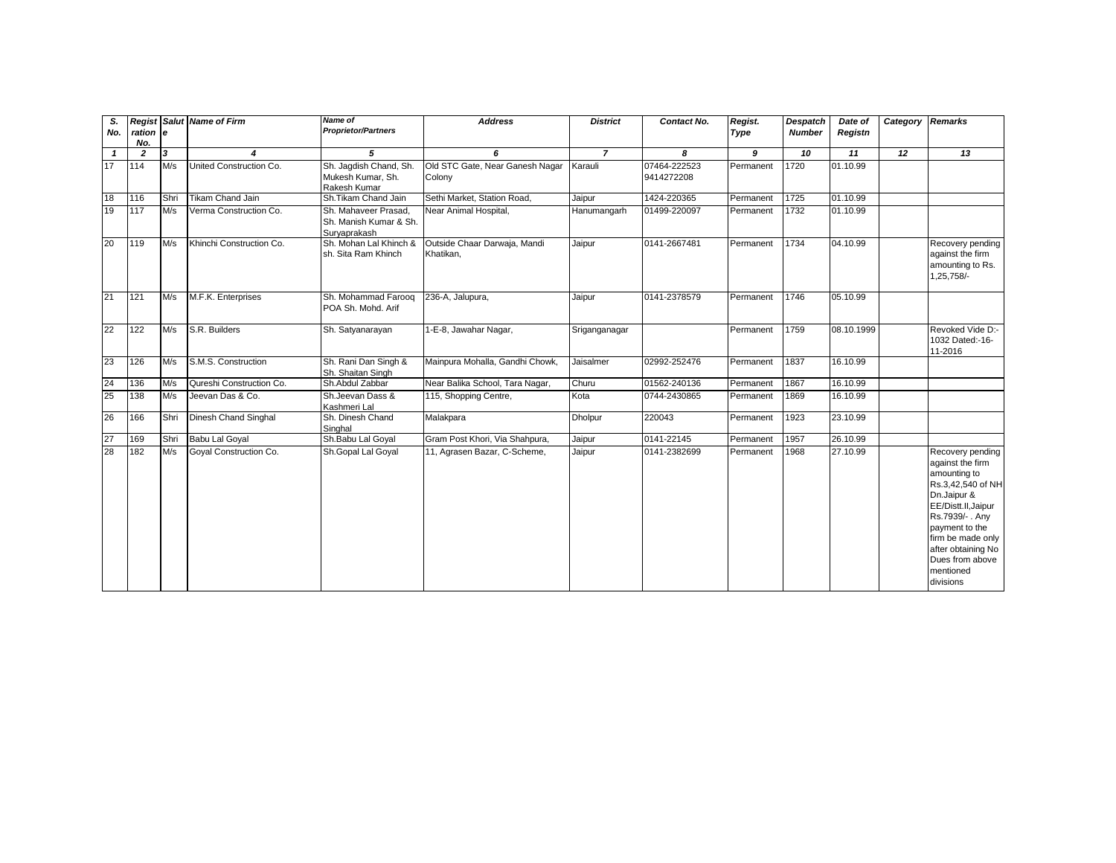| S.<br>No.    | ration e<br>No. |                         | <b>Regist Salut Name of Firm</b> | Name of<br><b>Proprietor/Partners</b>                          | <b>Address</b>                            | <b>District</b> | Contact No.                | Regist.<br><b>Type</b> | Despatch<br><b>Number</b> | Date of<br>Registn | Category | <b>Remarks</b>                                                                                                                                                                                                                              |
|--------------|-----------------|-------------------------|----------------------------------|----------------------------------------------------------------|-------------------------------------------|-----------------|----------------------------|------------------------|---------------------------|--------------------|----------|---------------------------------------------------------------------------------------------------------------------------------------------------------------------------------------------------------------------------------------------|
| $\mathbf{1}$ | $\overline{2}$  | $\overline{\mathbf{3}}$ | $\boldsymbol{4}$                 | 5                                                              | 6                                         | $\overline{7}$  | 8                          | 9                      | 10                        | 11                 | 12       | 13                                                                                                                                                                                                                                          |
| 17           | 114             | M/s                     | United Construction Co.          | Sh. Jaqdish Chand, Sh.<br>Mukesh Kumar, Sh.<br>Rakesh Kumar    | Old STC Gate, Near Ganesh Nagar<br>Colony | Karauli         | 07464-222523<br>9414272208 | Permanent              | 1720                      | 01.10.99           |          |                                                                                                                                                                                                                                             |
| 18           | 116             | Shri                    | Tikam Chand Jain                 | Sh.Tikam Chand Jain                                            | Sethi Market, Station Road,               | Jaipur          | 1424-220365                | Permanent              | 1725                      | 01.10.99           |          |                                                                                                                                                                                                                                             |
| 19           | 117             | M/s                     | Verma Construction Co.           | Sh. Mahaveer Prasad.<br>Sh. Manish Kumar & Sh.<br>Suryaprakash | Near Animal Hospital,                     | Hanumangarh     | 01499-220097               | Permanent              | 1732                      | 01.10.99           |          |                                                                                                                                                                                                                                             |
| 20           | 119             | M/s                     | Khinchi Construction Co.         | Sh. Mohan Lal Khinch &<br>sh. Sita Ram Khinch                  | Outside Chaar Darwaja, Mandi<br>Khatikan, | Jaipur          | 0141-2667481               | Permanent              | 1734                      | 04.10.99           |          | Recovery pending<br>against the firm<br>amounting to Rs.<br>1,25,758/-                                                                                                                                                                      |
| 21           | 121             | M/s                     | M.F.K. Enterprises               | Sh. Mohammad Farooq<br>POA Sh. Mohd. Arif                      | 236-A, Jalupura,                          | Jaipur          | 0141-2378579               | Permanent              | 1746                      | 05.10.99           |          |                                                                                                                                                                                                                                             |
| 22           | 122             | M/s                     | S.R. Builders                    | Sh. Satyanarayan                                               | 1-E-8, Jawahar Nagar,                     | Sriganganagar   |                            | Permanent              | 1759                      | 08.10.1999         |          | Revoked Vide D:-<br>1032 Dated:-16-<br>11-2016                                                                                                                                                                                              |
| 23           | 126             | M/s                     | S.M.S. Construction              | Sh. Rani Dan Singh &<br>Sh. Shaitan Singh                      | Mainpura Mohalla, Gandhi Chowk,           | Jaisalmer       | 02992-252476               | Permanent              | 1837                      | 16.10.99           |          |                                                                                                                                                                                                                                             |
| 24           | 136             | M/s                     | Qureshi Construction Co.         | Sh.Abdul Zabbar                                                | Near Balika School, Tara Nagar,           | Churu           | 01562-240136               | Permanent              | 1867                      | 16.10.99           |          |                                                                                                                                                                                                                                             |
| 25           | 138             | M/s                     | Jeevan Das & Co.                 | Sh.Jeevan Dass &<br>Kashmeri Lal                               | 115, Shopping Centre,                     | Kota            | 0744-2430865               | Permanent              | 1869                      | 16.10.99           |          |                                                                                                                                                                                                                                             |
| 26           | 166             | Shri                    | Dinesh Chand Singhal             | Sh. Dinesh Chand<br>Singhal                                    | Malakpara                                 | <b>Dholpur</b>  | 220043                     | Permanent              | 1923                      | 23.10.99           |          |                                                                                                                                                                                                                                             |
| 27           | 169             | Shri                    | <b>Babu Lal Goyal</b>            | Sh.Babu Lal Goyal                                              | Gram Post Khori, Via Shahpura,            | Jaipur          | 0141-22145                 | Permanent              | 1957                      | 26.10.99           |          |                                                                                                                                                                                                                                             |
| 28           | 182             | M/s                     | Goyal Construction Co.           | Sh.Gopal Lal Goyal                                             | 11, Agrasen Bazar, C-Scheme,              | Jaipur          | 0141-2382699               | Permanent              | 1968                      | 27.10.99           |          | Recovery pending<br>against the firm<br>amounting to<br>Rs.3,42,540 of NH<br>Dn.Jaipur &<br>EE/Distt.II,Jaipur<br>Rs.7939/- . Any<br>payment to the<br>firm be made only<br>after obtaining No<br>Dues from above<br>mentioned<br>divisions |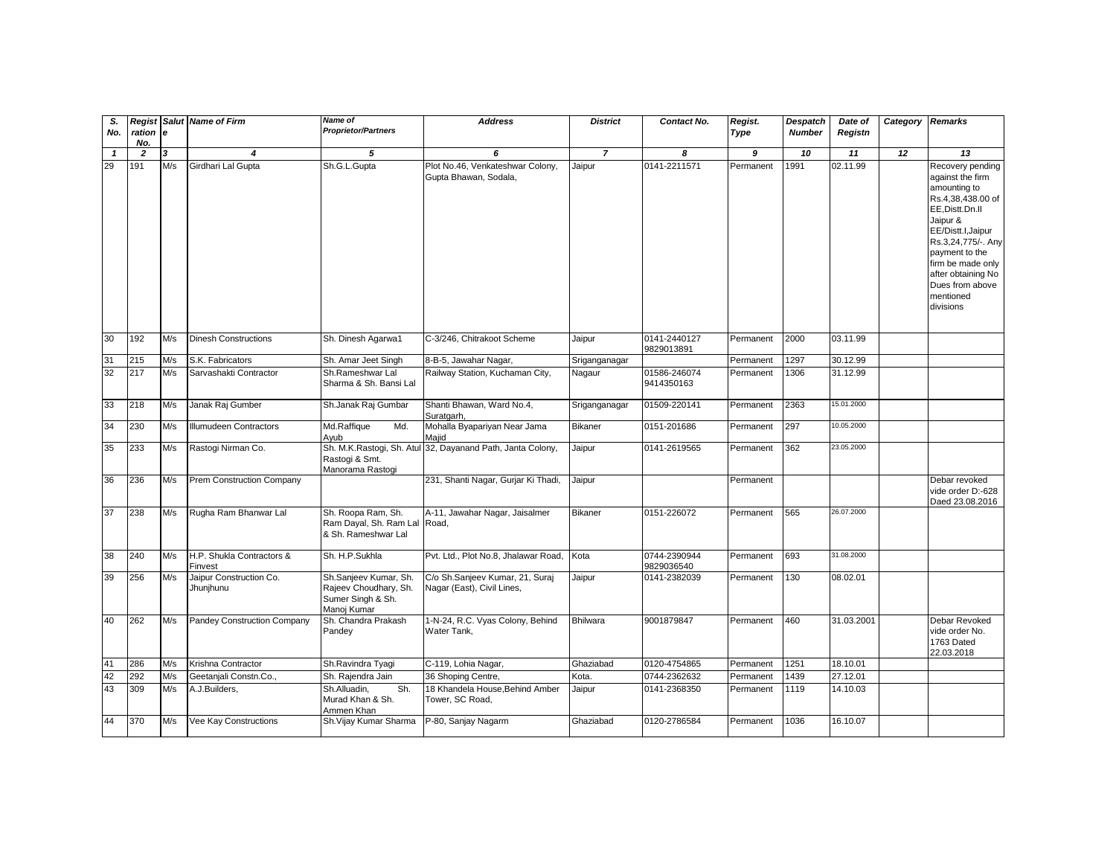| S.<br>No.    | Regist<br>ration e<br>No. |     | <b>Salut Name of Firm</b>            | Name of<br><b>Proprietor/Partners</b>                                              | <b>Address</b>                                                | <b>District</b> | Contact No.                | Regist.<br>Type | <b>Despatch</b><br><b>Number</b> | Date of<br>Registn | Category Remarks |                                                                                                                                                                                                                                                                |
|--------------|---------------------------|-----|--------------------------------------|------------------------------------------------------------------------------------|---------------------------------------------------------------|-----------------|----------------------------|-----------------|----------------------------------|--------------------|------------------|----------------------------------------------------------------------------------------------------------------------------------------------------------------------------------------------------------------------------------------------------------------|
| $\mathbf{1}$ | $\overline{2}$            | 3   | $\boldsymbol{A}$                     | 5                                                                                  | 6                                                             | $\overline{7}$  | 8                          | 9               | 10                               | 11                 | 12               | 13                                                                                                                                                                                                                                                             |
| 29           | 191                       | M/s | Girdhari Lal Gupta                   | Sh.G.L.Gupta                                                                       | Plot No.46, Venkateshwar Colony,<br>Gupta Bhawan, Sodala,     | Jaipur          | 0141-2211571               | Permanent       | 1991                             | 02.11.99           |                  | Recovery pending<br>against the firm<br>amounting to<br>Rs.4,38,438.00 of<br>EE, Distt.Dn.II<br>Jaipur &<br>EE/Distt.I, Jaipur<br>Rs.3,24,775/-. Any<br>payment to the<br>firm be made only<br>after obtaining No<br>Dues from above<br>mentioned<br>divisions |
| 30           | 192                       | M/s | <b>Dinesh Constructions</b>          | Sh. Dinesh Agarwa1                                                                 | C-3/246, Chitrakoot Scheme                                    | Jaipur          | 0141-2440127<br>9829013891 | Permanent       | 2000                             | 03.11.99           |                  |                                                                                                                                                                                                                                                                |
| 31           | 215                       | M/s | S.K. Fabricators                     | Sh. Amar Jeet Singh                                                                | 8-B-5, Jawahar Nagar,                                         | Sriganganagar   |                            | Permanent       | 1297                             | 30.12.99           |                  |                                                                                                                                                                                                                                                                |
| 32           | 217                       | M/s | Sarvashakti Contractor               | Sh.Rameshwar Lal<br>Sharma & Sh. Bansi Lal                                         | Railway Station, Kuchaman City,                               | Nagaur          | 01586-246074<br>9414350163 | Permanent       | 1306                             | 31.12.99           |                  |                                                                                                                                                                                                                                                                |
| 33           | 218                       | M/s | Janak Raj Gumber                     | Sh.Janak Raj Gumbar                                                                | Shanti Bhawan, Ward No.4,<br>Suratgarh,                       | Sriganganagar   | 01509-220141               | Permanent       | 2363                             | 15,01,2000         |                  |                                                                                                                                                                                                                                                                |
| 34           | 230                       | M/s | Illumudeen Contractors               | Md.Raffique<br>Md.<br>Ayub                                                         | Mohalla Byapariyan Near Jama<br>Maiid                         | <b>Bikaner</b>  | 0151-201686                | Permanent       | 297                              | 10.05.2000         |                  |                                                                                                                                                                                                                                                                |
| 35           | 233                       | M/s | Rastogi Nirman Co.                   | Sh. M.K.Rastogi, Sh. Atul<br>Rastogi & Smt.<br>Manorama Rastogi                    | 32, Dayanand Path, Janta Colony,                              | Jaipur          | 0141-2619565               | Permanent       | 362                              | 23.05.2000         |                  |                                                                                                                                                                                                                                                                |
| 36           | 236                       | M/s | Prem Construction Company            |                                                                                    | 231, Shanti Nagar, Gurjar Ki Thadi,                           | Jaipur          |                            | Permanent       |                                  |                    |                  | Debar revoked<br>vide order D:-628<br>Daed 23.08.2016                                                                                                                                                                                                          |
| 37           | 238                       | M/s | Rugha Ram Bhanwar Lal                | Sh. Roopa Ram, Sh.<br>Ram Dayal, Sh. Ram Lal Road,<br>& Sh. Rameshwar Lal          | A-11, Jawahar Nagar, Jaisalmer                                | <b>Bikaner</b>  | 0151-226072                | Permanent       | 565                              | 26.07.2000         |                  |                                                                                                                                                                                                                                                                |
| 38           | 240                       | M/s | H.P. Shukla Contractors &<br>Finvest | Sh. H.P.Sukhla                                                                     | Pvt. Ltd., Plot No.8, Jhalawar Road,                          | Kota            | 0744-2390944<br>9829036540 | Permanent       | 693                              | 31.08.2000         |                  |                                                                                                                                                                                                                                                                |
| 39           | 256                       | M/s | Jaipur Construction Co.<br>Jhunjhunu | Sh.Sanjeev Kumar, Sh.<br>Rajeev Choudhary, Sh.<br>Sumer Singh & Sh.<br>Manoi Kumar | C/o Sh.Sanjeev Kumar, 21, Suraj<br>Nagar (East), Civil Lines, | Jaipur          | 0141-2382039               | Permanent       | 130                              | 08.02.01           |                  |                                                                                                                                                                                                                                                                |
| 40           | 262                       | M/s | Pandey Construction Company          | Sh. Chandra Prakash<br>Pandey                                                      | 1-N-24, R.C. Vyas Colony, Behind<br>Water Tank,               | <b>Bhilwara</b> | 9001879847                 | Permanent       | 460                              | 31.03.2001         |                  | Debar Revoked<br>vide order No.<br>1763 Dated<br>22.03.2018                                                                                                                                                                                                    |
| 41           | 286                       | M/s | Krishna Contractor                   | Sh.Ravindra Tyagi                                                                  | C-119, Lohia Nagar,                                           | Ghaziabad       | 0120-4754865               | Permanent       | 1251                             | 18.10.01           |                  |                                                                                                                                                                                                                                                                |
| 42           | 292                       | M/s | Geetanjali Constn.Co.,               | Sh. Rajendra Jain                                                                  | 36 Shoping Centre,                                            | Kota.           | 0744-2362632               | Permanent       | 1439                             | 27.12.01           |                  |                                                                                                                                                                                                                                                                |
| 43           | 309                       | M/s | A.J.Builders,                        | Sh.<br>Sh.Alluadin.<br>Murad Khan & Sh.<br>Ammen Khan                              | 18 Khandela House, Behind Amber<br>Tower, SC Road,            | Jaipur          | 0141-2368350               | Permanent       | 1119                             | 14.10.03           |                  |                                                                                                                                                                                                                                                                |
| 44           | 370                       | M/s | Vee Kay Constructions                | Sh. Vijay Kumar Sharma                                                             | P-80, Sanjay Nagarm                                           | Ghaziabad       | 0120-2786584               | Permanent       | 1036                             | 16.10.07           |                  |                                                                                                                                                                                                                                                                |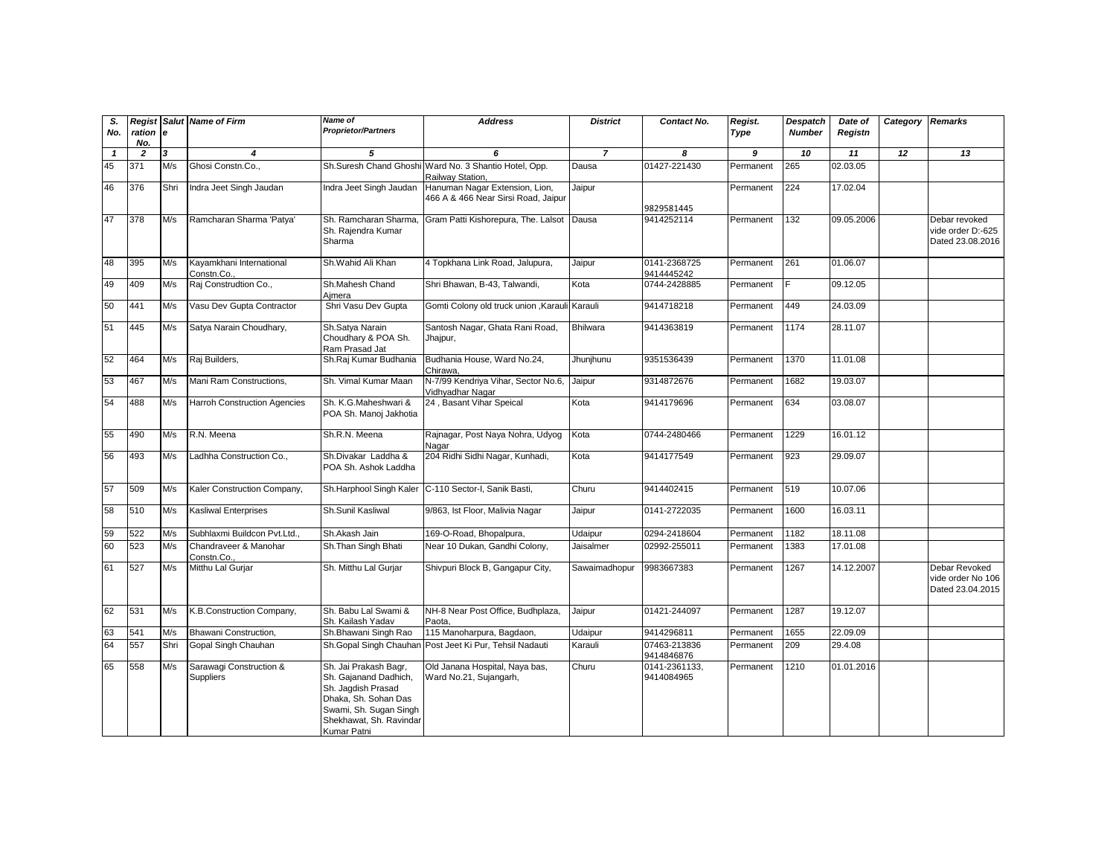| S.<br>No.    | ration e<br>No. |                         | <b>Regist Salut Name of Firm</b>       | Name of<br><b>Proprietor/Partners</b>                                                                                                                            | <b>Address</b>                                                            | <b>District</b> | Contact No.                 | Regist.<br>Type | <b>Despatch</b><br><b>Number</b> | Date of<br>Registn | Category Remarks |                                                        |
|--------------|-----------------|-------------------------|----------------------------------------|------------------------------------------------------------------------------------------------------------------------------------------------------------------|---------------------------------------------------------------------------|-----------------|-----------------------------|-----------------|----------------------------------|--------------------|------------------|--------------------------------------------------------|
| $\mathbf{1}$ | $\overline{2}$  | $\overline{\mathbf{3}}$ | 4                                      | 5                                                                                                                                                                | 6                                                                         | $\overline{z}$  | 8                           | $\overline{g}$  | 10                               | 11                 | $\overline{12}$  | $\overline{13}$                                        |
| 45           | 371             | M/s                     | Ghosi Constn.Co                        |                                                                                                                                                                  | Sh.Suresh Chand Ghoshi Ward No. 3 Shantio Hotel, Opp.<br>Railway Station, | Dausa           | 01427-221430                | Permanent       | 265                              | 02.03.05           |                  |                                                        |
| 46           | 376             | Shri                    | Indra Jeet Singh Jaudan                | Indra Jeet Singh Jaudan                                                                                                                                          | Hanuman Nagar Extension, Lion,<br>466 A & 466 Near Sirsi Road, Jaipur     | Jaipur          | 9829581445                  | Permanent       | 224                              | 17.02.04           |                  |                                                        |
| 47           | 378             | M/s                     | Ramcharan Sharma 'Patya'               | Sh. Ramcharan Sharma.<br>Sh. Rajendra Kumar<br>Sharma                                                                                                            | Gram Patti Kishorepura, The. Lalsot                                       | Dausa           | 9414252114                  | Permanent       | 132                              | 09.05.2006         |                  | Debar revoked<br>vide order D:-625<br>Dated 23.08.2016 |
| 48           | 395             | M/s                     | Kayamkhani International<br>Constn.Co. | Sh.Wahid Ali Khan                                                                                                                                                | 4 Topkhana Link Road, Jalupura,                                           | Jaipur          | 0141-2368725<br>9414445242  | Permanent       | 261                              | 01.06.07           |                  |                                                        |
| 49           | 409             | M/s                     | Raj Construdtion Co.,                  | Sh.Mahesh Chand<br>Aimera                                                                                                                                        | Shri Bhawan, B-43, Talwandi,                                              | Kota            | 0744-2428885                | Permanent       | E                                | 09.12.05           |                  |                                                        |
| 50           | 441             | M/s                     | Vasu Dev Gupta Contractor              | Shri Vasu Dev Gupta                                                                                                                                              | Gomti Colony old truck union , Karauli Karauli                            |                 | 9414718218                  | Permanent       | 449                              | 24.03.09           |                  |                                                        |
| 51           | 445             | M/s                     | Satya Narain Choudhary,                | Sh.Satya Narain<br>Choudhary & POA Sh.<br>Ram Prasad Jat                                                                                                         | Santosh Nagar, Ghata Rani Road,<br>Jhajpur,                               | <b>Bhilwara</b> | 9414363819                  | Permanent       | 1174                             | 28.11.07           |                  |                                                        |
| 52           | 464             | M/s                     | Raj Builders,                          | Sh.Raj Kumar Budhania                                                                                                                                            | Budhania House, Ward No.24,<br>Chirawa.                                   | Jhunjhunu       | 9351536439                  | Permanent       | 1370                             | 11.01.08           |                  |                                                        |
| 53           | 467             | M/s                     | Mani Ram Constructions,                | Sh. Vimal Kumar Maan                                                                                                                                             | N-7/99 Kendriya Vihar, Sector No.6,<br>Vidhyadhar Naqar                   | Jaipur          | 9314872676                  | Permanent       | 1682                             | 19.03.07           |                  |                                                        |
| 54           | 488             | M/s                     | <b>Harroh Construction Agencies</b>    | Sh. K.G.Maheshwari &<br>POA Sh. Manoj Jakhotia                                                                                                                   | 24, Basant Vihar Speical                                                  | Kota            | 9414179696                  | Permanent       | 634                              | 03.08.07           |                  |                                                        |
| 55           | 490             | M/s                     | R.N. Meena                             | Sh.R.N. Meena                                                                                                                                                    | Rajnagar, Post Naya Nohra, Udyog<br>Nagar                                 | Kota            | 0744-2480466                | Permanent       | 1229                             | 16.01.12           |                  |                                                        |
| 56           | 493             | M/s                     | Ladhha Construction Co.,               | Sh.Divakar Laddha &<br>POA Sh. Ashok Laddha                                                                                                                      | 204 Ridhi Sidhi Nagar, Kunhadi,                                           | Kota            | 9414177549                  | Permanent       | 923                              | 29.09.07           |                  |                                                        |
| 57           | 509             | M/s                     | Kaler Construction Company,            | Sh.Harphool Singh Kaler                                                                                                                                          | C-110 Sector-I, Sanik Basti,                                              | Churu           | 9414402415                  | Permanent       | 519                              | 10.07.06           |                  |                                                        |
| 58           | 510             | M/s                     | Kasliwal Enterprises                   | Sh.Sunil Kasliwal                                                                                                                                                | 9/863, Ist Floor, Malivia Nagar                                           | Jaipur          | 0141-2722035                | Permanent       | 1600                             | 16.03.11           |                  |                                                        |
| 59           | 522             | M/s                     | Subhlaxmi Buildcon Pvt.Ltd.,           | Sh.Akash Jain                                                                                                                                                    | 169-O-Road, Bhopalpura,                                                   | Udaipur         | 0294-2418604                | Permanent       | 1182                             | 18.11.08           |                  |                                                        |
| 60           | 523             | M/s                     | Chandraveer & Manohar<br>Constn.Co.    | Sh.Than Singh Bhati                                                                                                                                              | Near 10 Dukan, Gandhi Colony,                                             | Jaisalmer       | 02992-255011                | Permanent       | 1383                             | 17.01.08           |                  |                                                        |
| 61           | 527             | M/s                     | Mitthu Lal Gurjar                      | Sh. Mitthu Lal Gurjar                                                                                                                                            | Shivpuri Block B, Gangapur City,                                          | Sawaimadhopur   | 9983667383                  | Permanent       | 1267                             | 14.12.2007         |                  | Debar Revoked<br>vide order No 106<br>Dated 23.04.2015 |
| 62           | 531             | M/s                     | K.B.Construction Company,              | Sh. Babu Lal Swami &<br>Sh. Kailash Yadav                                                                                                                        | NH-8 Near Post Office, Budhplaza,<br>Paota.                               | Jaipur          | 01421-244097                | Permanent       | 1287                             | 19.12.07           |                  |                                                        |
| 63           | 541             | M/s                     | Bhawani Construction.                  | Sh.Bhawani Singh Rao                                                                                                                                             | 115 Manoharpura, Bagdaon,                                                 | Udaipur         | 9414296811                  | Permanent       | 1655                             | 22.09.09           |                  |                                                        |
| 64           | 557             | Shri                    | Gopal Singh Chauhan                    | Sh.Gopal Singh Chauhar                                                                                                                                           | Post Jeet Ki Pur, Tehsil Nadauti                                          | Karauli         | 07463-213836<br>9414846876  | Permanent       | 209                              | 29.4.08            |                  |                                                        |
| 65           | 558             | M/s                     | Sarawagi Construction &<br>Suppliers   | Sh. Jai Prakash Bagr,<br>Sh. Gajanand Dadhich,<br>Sh. Jagdish Prasad<br>Dhaka, Sh. Sohan Das<br>Swami, Sh. Sugan Singh<br>Shekhawat, Sh. Ravindar<br>Kumar Patni | Old Janana Hospital, Naya bas,<br>Ward No.21, Sujangarh,                  | Churu           | 0141-2361133,<br>9414084965 | Permanent       | 1210                             | 01.01.2016         |                  |                                                        |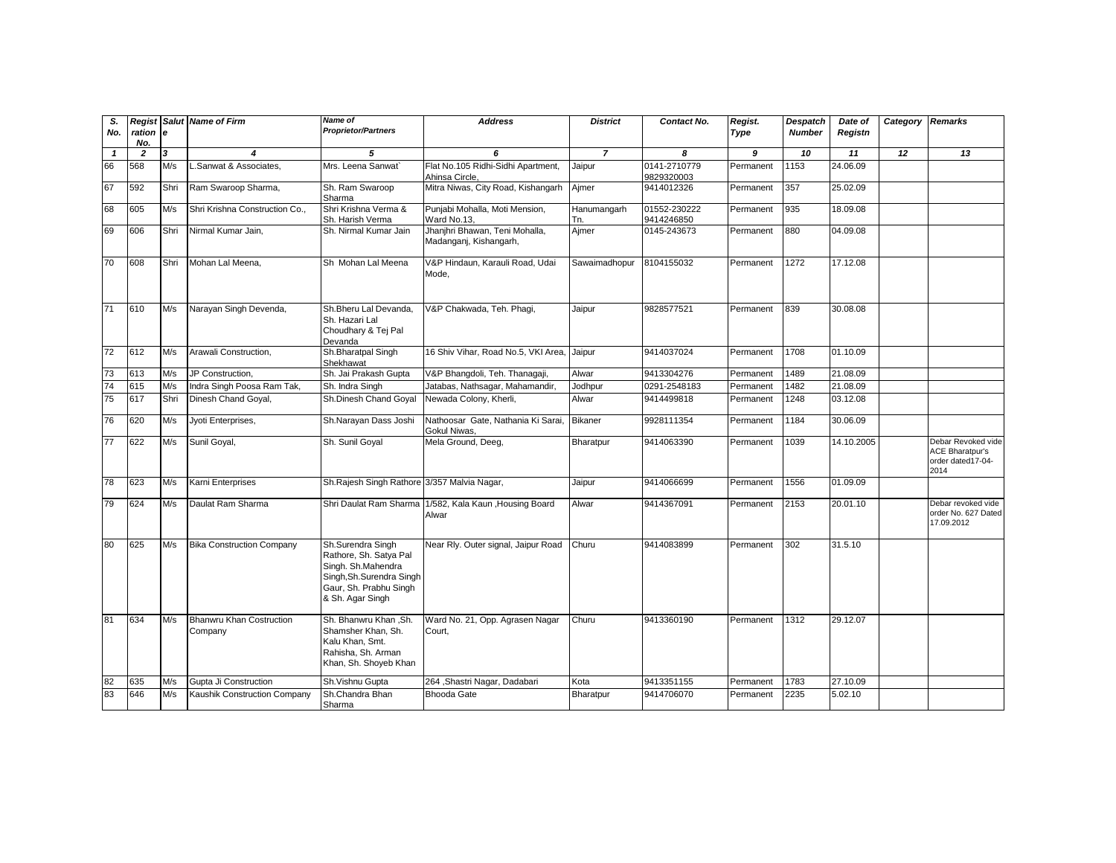| S.<br>No.    | ration<br>No.  | le   | <b>Regist Salut Name of Firm</b>           | <b>Name of</b><br><b>Proprietor/Partners</b>                                                                                                 | <b>Address</b>                                           | <b>District</b>    | Contact No.                | Regist.<br>Type | Despatch<br><b>Number</b> | Date of<br>Registn | Category | <b>Remarks</b>                                                            |
|--------------|----------------|------|--------------------------------------------|----------------------------------------------------------------------------------------------------------------------------------------------|----------------------------------------------------------|--------------------|----------------------------|-----------------|---------------------------|--------------------|----------|---------------------------------------------------------------------------|
| $\mathbf{1}$ | $\overline{2}$ | 3    | $\boldsymbol{4}$                           | 5                                                                                                                                            | 6                                                        | $\overline{7}$     | 8                          | 9               | 10                        | 11                 | 12       | 13                                                                        |
| 66           | 568            | M/s  | .Sanwat & Associates.                      | Mrs. Leena Sanwat                                                                                                                            | Flat No.105 Ridhi-Sidhi Apartment,<br>Ahinsa Circle,     | Jaipur             | 0141-2710779<br>9829320003 | Permanent       | 1153                      | 24.06.09           |          |                                                                           |
| 67           | 592            | Shri | Ram Swaroop Sharma,                        | Sh. Ram Swaroop<br>Sharma                                                                                                                    | Mitra Niwas, City Road, Kishangarh                       | Ajmer              | 9414012326                 | Permanent       | 357                       | 25.02.09           |          |                                                                           |
| 68           | 605            | M/s  | Shri Krishna Construction Co.,             | Shri Krishna Verma &<br>Sh. Harish Verma                                                                                                     | Punjabi Mohalla, Moti Mension,<br>Ward No.13,            | Hanumangarh<br>Tn. | 01552-230222<br>9414246850 | Permanent       | 935                       | 18.09.08           |          |                                                                           |
| 69           | 606            | Shri | Nirmal Kumar Jain.                         | Sh. Nirmal Kumar Jain                                                                                                                        | Jhanjhri Bhawan, Teni Mohalla,<br>Madanganj, Kishangarh, | Aimer              | 0145-243673                | Permanent       | 880                       | 04.09.08           |          |                                                                           |
| 70           | 608            | Shri | Mohan Lal Meena,                           | Sh Mohan Lal Meena                                                                                                                           | V&P Hindaun, Karauli Road, Udai<br>Mode.                 | Sawaimadhopur      | 8104155032                 | Permanent       | 1272                      | 17.12.08           |          |                                                                           |
| 71           | 610            | M/s  | Narayan Singh Devenda,                     | Sh.Bheru Lal Devanda.<br>Sh. Hazari Lal<br>Choudhary & Tej Pal<br>Devanda                                                                    | V&P Chakwada, Teh. Phagi,                                | Jaipur             | 9828577521                 | Permanent       | 839                       | 30.08.08           |          |                                                                           |
| 72           | 612            | M/s  | Arawali Construction,                      | Sh.Bharatpal Singh<br>Shekhawat                                                                                                              | 16 Shiv Vihar, Road No.5, VKI Area.                      | Jaipur             | 9414037024                 | Permanent       | 1708                      | 01.10.09           |          |                                                                           |
| 73           | 613            | M/s  | JP Construction,                           | Sh. Jai Prakash Gupta                                                                                                                        | V&P Bhangdoli, Teh. Thanagaji,                           | Alwar              | 9413304276                 | Permanent       | 1489                      | 21.08.09           |          |                                                                           |
| 74           | 615            | M/s  | Indra Singh Poosa Ram Tak,                 | Sh. Indra Singh                                                                                                                              | Jatabas, Nathsagar, Mahamandir,                          | Jodhpur            | 0291-2548183               | Permanent       | 1482                      | 21.08.09           |          |                                                                           |
| 75           | 617            | Shri | Dinesh Chand Goyal,                        | Sh.Dinesh Chand Goyal                                                                                                                        | Newada Colony, Kherli,                                   | Alwar              | 9414499818                 | Permanent       | 1248                      | 03.12.08           |          |                                                                           |
| 76           | 620            | M/s  | Jyoti Enterprises,                         | Sh.Narayan Dass Joshi                                                                                                                        | Nathoosar Gate, Nathania Ki Sarai.<br>Gokul Niwas.       | <b>Bikaner</b>     | 9928111354                 | Permanent       | 1184                      | 30.06.09           |          |                                                                           |
| 77           | 622            | M/s  | Sunil Goyal,                               | Sh. Sunil Goyal                                                                                                                              | Mela Ground, Deeg,                                       | Bharatpur          | 9414063390                 | Permanent       | 1039                      | 14.10.2005         |          | Debar Revoked vide<br><b>ACE Bharatpur's</b><br>order dated17-04-<br>2014 |
| 78           | 623            | M/s  | Karni Enterprises                          | Sh.Rajesh Singh Rathore 3/357 Malvia Nagar,                                                                                                  |                                                          | Jaipur             | 9414066699                 | Permanent       | 1556                      | 01.09.09           |          |                                                                           |
| 79           | 624            | M/s  | Daulat Ram Sharma                          | Shri Daulat Ram Sharma                                                                                                                       | 1/582, Kala Kaun , Housing Board<br>Alwar                | Alwar              | 9414367091                 | Permanent       | 2153                      | 20.01.10           |          | Debar revoked vide<br>order No. 627 Dated<br>17.09.2012                   |
| 80           | 625            | M/s  | <b>Bika Construction Company</b>           | Sh.Surendra Singh<br>Rathore, Sh. Satya Pal<br>Singh. Sh.Mahendra<br>Singh, Sh. Surendra Singh<br>Gaur, Sh. Prabhu Singh<br>& Sh. Agar Singh | Near Rly. Outer signal, Jaipur Road                      | Churu              | 9414083899                 | Permanent       | 302                       | 31.5.10            |          |                                                                           |
| 81           | 634            | M/s  | <b>Bhanwru Khan Costruction</b><br>Company | Sh. Bhanwru Khan, Sh.<br>Shamsher Khan, Sh.<br>Kalu Khan, Smt.<br>Rahisha, Sh. Arman<br>Khan, Sh. Shoyeb Khan                                | Ward No. 21, Opp. Agrasen Nagar<br>Court,                | Churu              | 9413360190                 | Permanent       | 1312                      | 29.12.07           |          |                                                                           |
| 82           | 635            | M/s  | Gupta Ji Construction                      | Sh.Vishnu Gupta                                                                                                                              | 264, Shastri Nagar, Dadabari                             | Kota               | 9413351155                 | Permanent       | 1783                      | 27.10.09           |          |                                                                           |
| 83           | 646            | M/s  | Kaushik Construction Company               | Sh.Chandra Bhan<br>Sharma                                                                                                                    | <b>Bhooda Gate</b>                                       | Bharatpur          | 9414706070                 | Permanent       | 2235                      | 5.02.10            |          |                                                                           |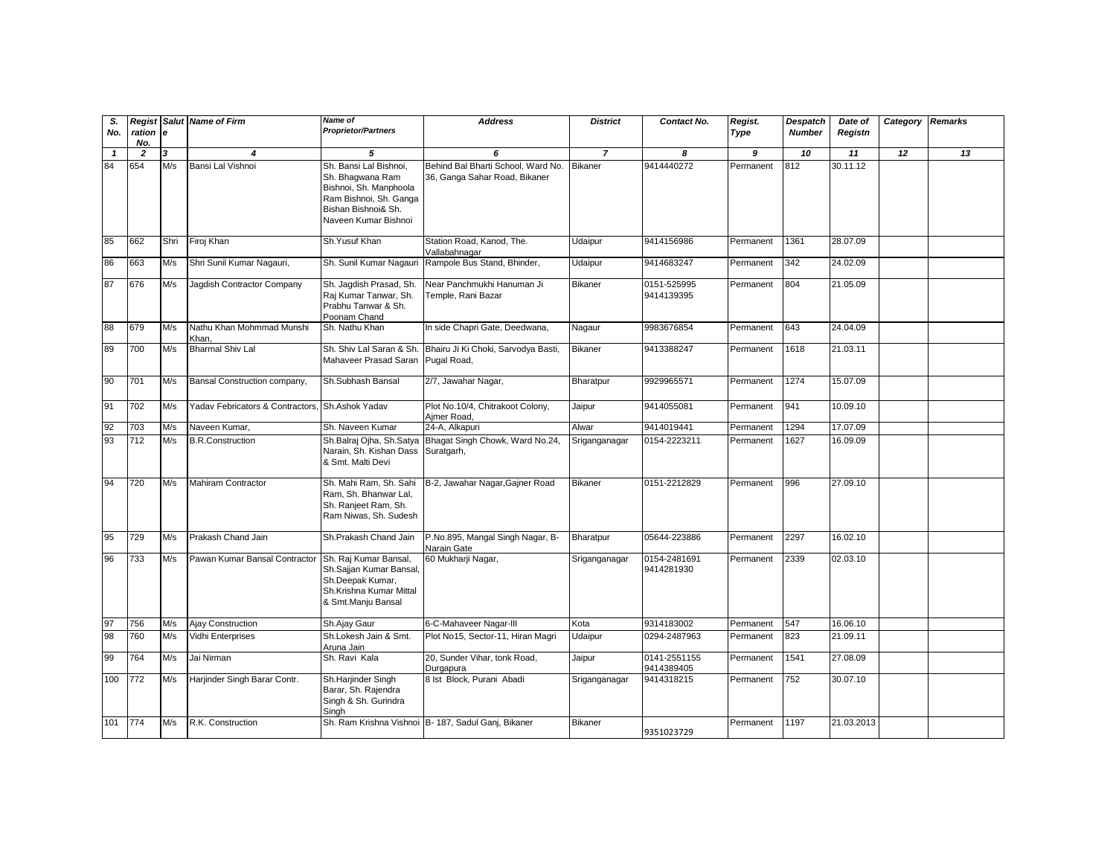| S.<br>No.          | ration                | l e      | <b>Regist Salut Name of Firm</b>      | Name of<br><b>Proprietor/Partners</b>                                                                                                              | <b>Address</b>                                                           | <b>District</b>                  | Contact No.                | Regist.<br>Type | Despatch<br><b>Number</b> | Date of<br>Registn | Category | <b>Remarks</b> |
|--------------------|-----------------------|----------|---------------------------------------|----------------------------------------------------------------------------------------------------------------------------------------------------|--------------------------------------------------------------------------|----------------------------------|----------------------------|-----------------|---------------------------|--------------------|----------|----------------|
|                    | No.                   |          |                                       |                                                                                                                                                    |                                                                          |                                  |                            |                 |                           |                    |          |                |
| $\mathbf{1}$<br>84 | $\overline{2}$<br>654 | 3<br>M/s | $\boldsymbol{4}$<br>Bansi Lal Vishnoi | 5<br>Sh. Bansi Lal Bishnoi.<br>Sh. Bhagwana Ram<br>Bishnoi, Sh. Manphoola<br>Ram Bishnoi, Sh. Ganga<br>Bishan Bishnoi& Sh.<br>Naveen Kumar Bishnoi | 6<br>Behind Bal Bharti School, Ward No.<br>36, Ganga Sahar Road, Bikaner | $\overline{7}$<br><b>Bikaner</b> | 8<br>9414440272            | 9<br>Permanent  | 10<br>812                 | 11<br>30.11.12     | 12       | 13             |
| 85                 | 662                   | Shri     | Firoj Khan                            | Sh.Yusuf Khan                                                                                                                                      | Station Road, Kanod, The.<br>Vallabahnagar                               | Udaipur                          | 9414156986                 | Permanent       | 1361                      | 28.07.09           |          |                |
| 86                 | 663                   | M/s      | Shri Sunil Kumar Nagauri,             | Sh. Sunil Kumar Nagauri                                                                                                                            | Rampole Bus Stand, Bhinder,                                              | Udaipur                          | 9414683247                 | Permanent       | 342                       | 24.02.09           |          |                |
| 87                 | 676                   | M/s      | Jagdish Contractor Company            | Sh. Jagdish Prasad, Sh.<br>Raj Kumar Tanwar, Sh.<br>Prabhu Tanwar & Sh.<br>Poonam Chand                                                            | Near Panchmukhi Hanuman Ji<br>Temple, Rani Bazar                         | <b>Bikaner</b>                   | 0151-525995<br>9414139395  | Permanent       | 804                       | 21.05.09           |          |                |
| 88                 | 679                   | M/s      | Nathu Khan Mohmmad Munshi<br>Khan.    | Sh. Nathu Khan                                                                                                                                     | In side Chapri Gate, Deedwana,                                           | Nagaur                           | 9983676854                 | Permanent       | 643                       | 24.04.09           |          |                |
| 89                 | 700                   | M/s      | <b>Bharmal Shiv Lal</b>               | Sh. Shiv Lal Saran & Sh.<br>Mahaveer Prasad Saran                                                                                                  | Bhairu Ji Ki Choki, Sarvodya Basti,<br>Pugal Road,                       | <b>Bikaner</b>                   | 9413388247                 | Permanent       | 1618                      | 21.03.11           |          |                |
| 90                 | 701                   | M/s      | Bansal Construction company,          | Sh.Subhash Bansal                                                                                                                                  | 2/7, Jawahar Nagar,                                                      | Bharatpur                        | 9929965571                 | Permanent       | 1274                      | 15.07.09           |          |                |
| 91                 | 702                   | M/s      | Yadav Febricators & Contractors,      | Sh.Ashok Yadav                                                                                                                                     | Plot No.10/4, Chitrakoot Colony,<br>Ajmer Road,                          | Jaipur                           | 9414055081                 | Permanent       | 941                       | 10.09.10           |          |                |
| 92                 | 703                   | M/s      | Naveen Kumar,                         | Sh. Naveen Kumar                                                                                                                                   | 24-A, Alkapuri                                                           | Alwar                            | 9414019441                 | Permanent       | 1294                      | 17.07.09           |          |                |
| 93                 | 712                   | M/s      | <b>B.R.Construction</b>               | Sh.Balraj Ojha, Sh.Satya<br>Narain, Sh. Kishan Dass<br>& Smt. Malti Devi                                                                           | Bhagat Singh Chowk, Ward No.24,<br>Suratgarh,                            | Sriganganagar                    | 0154-2223211               | Permanent       | 1627                      | 16.09.09           |          |                |
| 94                 | 720                   | M/s      | <b>Mahiram Contractor</b>             | Sh. Mahi Ram, Sh. Sahi<br>Ram, Sh. Bhanwar Lal,<br>Sh. Ranjeet Ram, Sh.<br>Ram Niwas, Sh. Sudesh                                                   | B-2, Jawahar Nagar, Gajner Road                                          | <b>Bikaner</b>                   | 0151-2212829               | Permanent       | 996                       | 27.09.10           |          |                |
| 95                 | 729                   | M/s      | Prakash Chand Jain                    | Sh.Prakash Chand Jain                                                                                                                              | P.No.895, Mangal Singh Nagar, B-<br>Narain Gate                          | Bharatpur                        | 05644-223886               | Permanent       | 2297                      | 16.02.10           |          |                |
| 96                 | 733                   | M/s      | Pawan Kumar Bansal Contractor         | Sh. Raj Kumar Bansal,<br>Sh.Sajjan Kumar Bansal,<br>Sh.Deepak Kumar,<br>Sh.Krishna Kumar Mittal<br>& Smt.Manju Bansal                              | 60 Mukharji Nagar,                                                       | Sriganganagar                    | 0154-2481691<br>9414281930 | Permanent       | 2339                      | 02.03.10           |          |                |
| 97                 | 756                   | M/s      | Ajay Construction                     | Sh.Ajay Gaur                                                                                                                                       | 6-C-Mahaveer Nagar-III                                                   | Kota                             | 9314183002                 | Permanent       | 547                       | 16.06.10           |          |                |
| 98                 | 760                   | M/s      | Vidhi Enterprises                     | Sh.Lokesh Jain & Smt.<br>Aruna Jain                                                                                                                | Plot No15, Sector-11, Hiran Magri                                        | Udaipur                          | 0294-2487963               | Permanent       | 823                       | 21.09.11           |          |                |
| 99                 | 764                   | M/s      | Jai Nirman                            | Sh. Ravi Kala                                                                                                                                      | 20, Sunder Vihar, tonk Road,<br>Durgapura                                | Jaipur                           | 0141-2551155<br>9414389405 | Permanent       | 1541                      | 27.08.09           |          |                |
| 100                | 772                   | M/s      | Harjinder Singh Barar Contr.          | Sh.Harjinder Singh<br>Barar, Sh. Rajendra<br>Singh & Sh. Gurindra<br>Singh                                                                         | 8 lst Block, Purani Abadi                                                | Sriganganagar                    | 9414318215                 | Permanent       | 752                       | 30.07.10           |          |                |
| 101                | 774                   | M/s      | R.K. Construction                     |                                                                                                                                                    | Sh. Ram Krishna Vishnoi B- 187, Sadul Ganj, Bikaner                      | <b>Bikaner</b>                   | 9351023729                 | Permanent       | 1197                      | 21.03.2013         |          |                |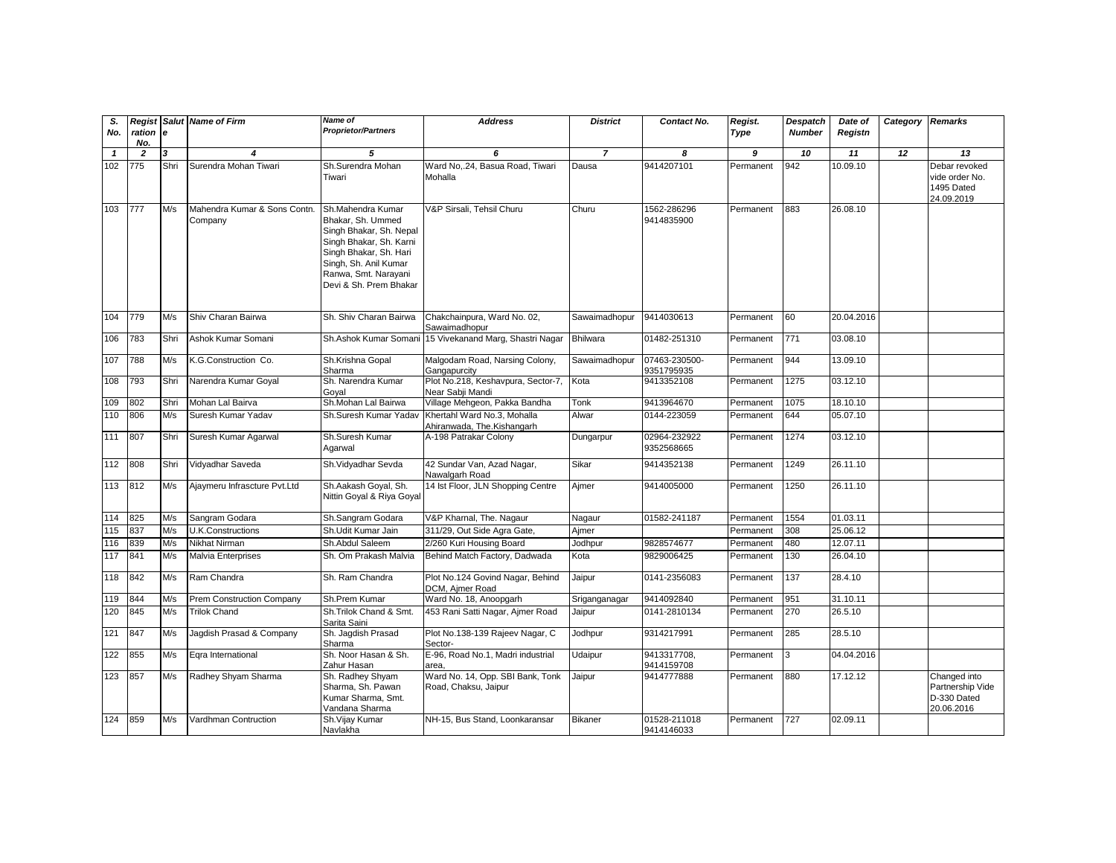| S.<br>No.    | ration<br>No.           | le   | <b>Regist Salut Name of Firm</b>        | Name of<br><b>Proprietor/Partners</b>                                                                                                                                                             | <b>Address</b>                                            | <b>District</b> | Contact No.                 | Regist.<br>Type | <b>Despatch</b><br><b>Number</b> | Date of<br>Registn | Category Remarks |                                                               |
|--------------|-------------------------|------|-----------------------------------------|---------------------------------------------------------------------------------------------------------------------------------------------------------------------------------------------------|-----------------------------------------------------------|-----------------|-----------------------------|-----------------|----------------------------------|--------------------|------------------|---------------------------------------------------------------|
| $\mathbf{1}$ | $\overline{\mathbf{z}}$ | 3    | $\boldsymbol{4}$                        | 5                                                                                                                                                                                                 | 6                                                         | $\overline{7}$  | 8                           | 9               | 10                               | 11                 | 12               | $\overline{13}$                                               |
| 102          | $\overline{775}$        | Shri | Surendra Mohan Tiwari                   | Sh.Surendra Mohan<br>Tiwari                                                                                                                                                                       | Ward No24, Basua Road, Tiwari<br>Mohalla                  | Dausa           | 9414207101                  | Permanent       | 942                              | 10.09.10           |                  | Debar revoked<br>vide order No.<br>1495 Dated<br>24.09.2019   |
| 103          | 777                     | M/s  | Mahendra Kumar & Sons Contn.<br>Company | Sh.Mahendra Kumar<br>Bhakar, Sh. Ummed<br>Singh Bhakar, Sh. Nepal<br>Singh Bhakar, Sh. Karni<br>Singh Bhakar, Sh. Hari<br>Singh, Sh. Anil Kumar<br>Ranwa, Smt. Narayani<br>Devi & Sh. Prem Bhakar | V&P Sirsali, Tehsil Churu                                 | Churu           | 1562-286296<br>9414835900   | Permanent       | 883                              | 26.08.10           |                  |                                                               |
| 104          | 779                     | M/s  | Shiv Charan Bairwa                      | Sh. Shiv Charan Bairwa                                                                                                                                                                            | Chakchainpura, Ward No. 02,<br>Sawaimadhopur              | Sawaimadhopur   | 9414030613                  | Permanent       | 60                               | 20.04.2016         |                  |                                                               |
| 106          | 783                     | Shri | Ashok Kumar Somani                      | Sh.Ashok Kumar Somani                                                                                                                                                                             | 15 Vivekanand Marg, Shastri Nagar                         | <b>Bhilwara</b> | 01482-251310                | Permanent       | 771                              | 03.08.10           |                  |                                                               |
| 107          | 788                     | M/s  | K.G.Construction Co.                    | Sh.Krishna Gopal<br>Sharma                                                                                                                                                                        | Malgodam Road, Narsing Colony,<br>Gangapurcity            | Sawaimadhopur   | 07463-230500-<br>9351795935 | Permanent       | 944                              | 13.09.10           |                  |                                                               |
| 108          | 793                     | Shri | Narendra Kumar Goyal                    | Sh. Narendra Kumar<br>Goyal                                                                                                                                                                       | Plot No.218, Keshavpura, Sector-7,<br>Near Sabji Mandi    | Kota            | 9413352108                  | Permanent       | 1275                             | 03.12.10           |                  |                                                               |
| 109          | 802                     | Shri | Mohan Lal Bairva                        | Sh.Mohan Lal Bairwa                                                                                                                                                                               | Village Mehgeon, Pakka Bandha                             | Tonk            | 9413964670                  | Permanent       | 1075                             | 18.10.10           |                  |                                                               |
| 110          | 806                     | M/s  | Suresh Kumar Yadav                      | Sh.Suresh Kumar Yaday                                                                                                                                                                             | Khertahl Ward No.3, Mohalla<br>Ahiranwada, The.Kishangarh | Alwar           | 0144-223059                 | Permanent       | 644                              | 05.07.10           |                  |                                                               |
| 111          | 807                     | Shri | Suresh Kumar Agarwal                    | Sh.Suresh Kumar<br>Agarwal                                                                                                                                                                        | A-198 Patrakar Colony                                     | Dungarpur       | 02964-232922<br>9352568665  | Permanent       | 1274                             | 03.12.10           |                  |                                                               |
| 112          | 808                     | Shri | Vidyadhar Saveda                        | Sh.Vidyadhar Sevda                                                                                                                                                                                | 42 Sundar Van, Azad Nagar,<br>Nawalgarh Road              | Sikar           | 9414352138                  | Permanent       | 1249                             | 26.11.10           |                  |                                                               |
| 113          | 812                     | M/s  | Ajaymeru Infrascture Pvt.Ltd            | Sh.Aakash Goyal, Sh.<br>Nittin Goyal & Riya Goyal                                                                                                                                                 | 14 Ist Floor, JLN Shopping Centre                         | Ajmer           | 9414005000                  | Permanent       | 1250                             | 26.11.10           |                  |                                                               |
| 114          | 825                     | M/s  | Sangram Godara                          | Sh.Sangram Godara                                                                                                                                                                                 | V&P Kharnal, The. Nagaur                                  | Nagaur          | 01582-241187                | Permanent       | 1554                             | 01.03.11           |                  |                                                               |
| 115          | 837                     | M/s  | U.K.Constructions                       | Sh.Udit Kumar Jain                                                                                                                                                                                | 311/29, Out Side Agra Gate,                               | Ajmer           |                             | Permanent       | 308                              | 25.06.12           |                  |                                                               |
| 116          | 839                     | M/s  | Nikhat Nirman                           | Sh.Abdul Saleem                                                                                                                                                                                   | 2/260 Kuri Housing Board                                  | Jodhpur         | 9828574677                  | Permanent       | 480                              | 12.07.11           |                  |                                                               |
| 117          | 841                     | M/s  | Malvia Enterprises                      | Sh. Om Prakash Malvia                                                                                                                                                                             | Behind Match Factory, Dadwada                             | Kota            | 9829006425                  | Permanent       | 130                              | 26.04.10           |                  |                                                               |
| 118          | 842                     | M/s  | Ram Chandra                             | Sh. Ram Chandra                                                                                                                                                                                   | Plot No.124 Govind Nagar, Behind<br>DCM, Ajmer Road       | Jaipur          | 0141-2356083                | Permanent       | 137                              | 28.4.10            |                  |                                                               |
| 119          | 844                     | M/s  | Prem Construction Company               | Sh.Prem Kumar                                                                                                                                                                                     | Ward No. 18, Anoopgarh                                    | Sriganganagar   | 9414092840                  | Permanent       | 951                              | 31.10.11           |                  |                                                               |
| 120          | 845                     | M/s  | <b>Trilok Chand</b>                     | Sh.Trilok Chand & Smt.<br>Sarita Saini                                                                                                                                                            | 453 Rani Satti Nagar, Ajmer Road                          | Jaipur          | 0141-2810134                | Permanent       | 270                              | 26.5.10            |                  |                                                               |
| 121          | 847                     | M/s  | Jagdish Prasad & Company                | Sh. Jagdish Prasad<br>Sharma                                                                                                                                                                      | Plot No.138-139 Rajeev Nagar, C<br>Sector-                | Jodhpur         | 9314217991                  | Permanent       | 285                              | 28.5.10            |                  |                                                               |
| 122          | 855                     | M/s  | Egra International                      | Sh. Noor Hasan & Sh.<br>Zahur Hasan                                                                                                                                                               | E-96, Road No.1, Madri industrial<br>area,                | Udaipur         | 9413317708,<br>9414159708   | Permanent       | 3                                | 04.04.2016         |                  |                                                               |
| 123          | 857                     | M/s  | Radhey Shyam Sharma                     | Sh. Radhey Shyam<br>Sharma, Sh. Pawan<br>Kumar Sharma, Smt.<br>/andana Sharma                                                                                                                     | Ward No. 14, Opp. SBI Bank, Tonk<br>Road, Chaksu, Jaipur  | Jaipur          | 9414777888                  | Permanent       | 880                              | 17.12.12           |                  | Changed into<br>Partnership Vide<br>D-330 Dated<br>20.06.2016 |
| 124          | 859                     | M/s  | Vardhman Contruction                    | Sh.Vijay Kumar<br>Navlakha                                                                                                                                                                        | NH-15, Bus Stand, Loonkaransar                            | <b>Bikaner</b>  | 01528-211018<br>9414146033  | Permanent       | 727                              | 02.09.11           |                  |                                                               |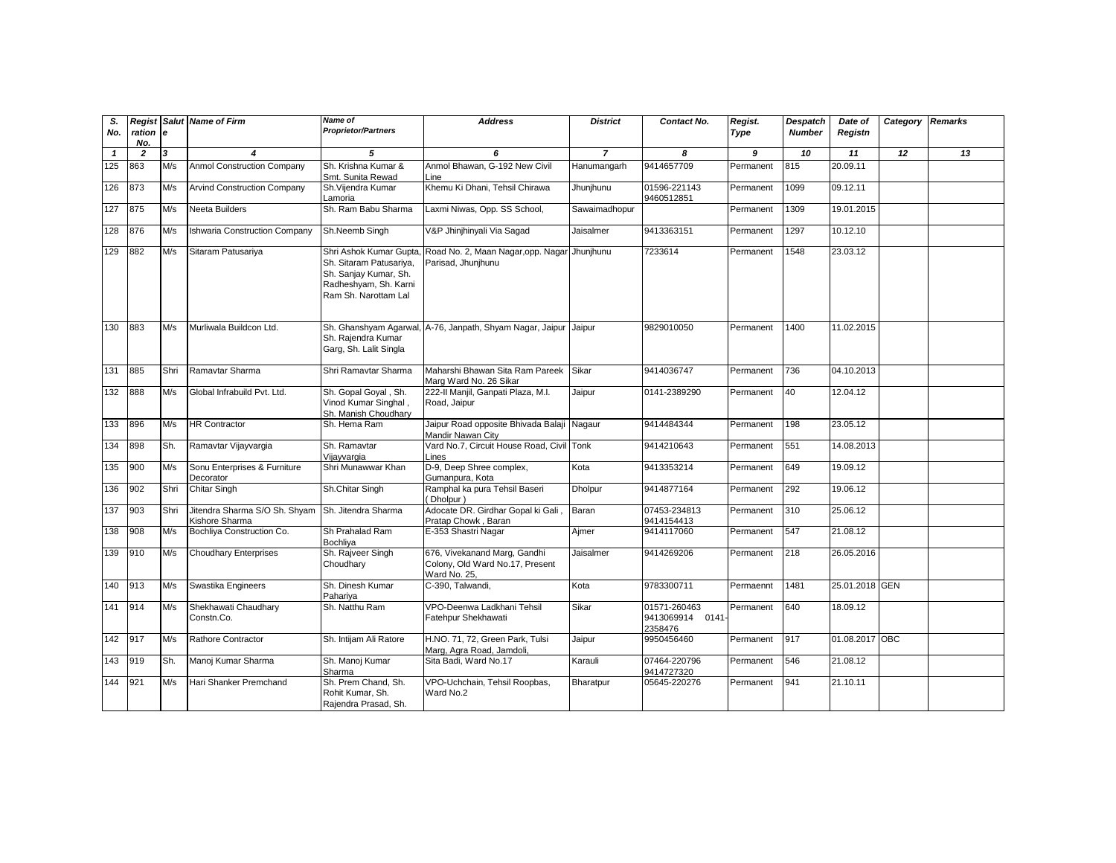| S.<br>No.    | ration e              |                         | <b>Regist Salut Name of Firm</b>                | Name of<br><b>Proprietor/Partners</b>                                                                                       | <b>Address</b>                                                                  | <b>District</b> | Contact No.                                 | Regist.<br>Type | <b>Despatch</b><br><b>Number</b> | Date of<br>Registn | Category Remarks |    |
|--------------|-----------------------|-------------------------|-------------------------------------------------|-----------------------------------------------------------------------------------------------------------------------------|---------------------------------------------------------------------------------|-----------------|---------------------------------------------|-----------------|----------------------------------|--------------------|------------------|----|
| $\mathbf{1}$ | No.<br>$\overline{2}$ | $\overline{\mathbf{3}}$ | $\overline{4}$                                  | 5                                                                                                                           | 6                                                                               | $\overline{7}$  | 8                                           | 9               | 10                               | 11                 | 12               | 13 |
| 125          | 863                   | M/s                     | <b>Anmol Construction Company</b>               | Sh. Krishna Kumar &                                                                                                         | Anmol Bhawan, G-192 New Civil                                                   | Hanumangarh     | 9414657709                                  | Permanent       | 815                              | 20.09.11           |                  |    |
|              |                       |                         |                                                 | Smt. Sunita Rewad                                                                                                           | Line                                                                            |                 |                                             |                 |                                  |                    |                  |    |
| 126          | 873                   | M/s                     | <b>Arvind Construction Company</b>              | Sh. Vijendra Kumar<br>Lamoria                                                                                               | Khemu Ki Dhani, Tehsil Chirawa                                                  | Jhunjhunu       | 01596-221143<br>9460512851                  | Permanent       | 1099                             | 09.12.11           |                  |    |
| 127          | 875                   | M/s                     | <b>Neeta Builders</b>                           | Sh. Ram Babu Sharma                                                                                                         | Laxmi Niwas, Opp. SS School,                                                    | Sawaimadhopur   |                                             | Permanent       | 1309                             | 19.01.2015         |                  |    |
| 128          | 876                   | M/s                     | <b>Ishwaria Construction Company</b>            | Sh.Neemb Singh                                                                                                              | V&P Jhinjhinyali Via Sagad                                                      | Jaisalmer       | 9413363151                                  | Permanent       | 1297                             | 10.12.10           |                  |    |
| 129          | 882                   | M/s                     | Sitaram Patusariya                              | Shri Ashok Kumar Gupta<br>Sh. Sitaram Patusariya,<br>Sh. Sanjay Kumar, Sh.<br>Radheshyam, Sh. Karni<br>Ram Sh. Narottam Lal | Road No. 2, Maan Nagar, opp. Nagar Jhunjhunu<br>Parisad, Jhunjhunu              |                 | 7233614                                     | Permanent       | 1548                             | 23.03.12           |                  |    |
| 130          | 883                   | M/s                     | Murliwala Buildcon Ltd.                         | Sh. Rajendra Kumar<br>Garg, Sh. Lalit Singla                                                                                | Sh. Ghanshyam Agarwal, A-76, Janpath, Shyam Nagar, Jaipur Jaipur                |                 | 9829010050                                  | Permanent       | 1400                             | 11.02.2015         |                  |    |
| 131          | 885                   | Shri                    | Ramavtar Sharma                                 | Shri Ramavtar Sharma                                                                                                        | Maharshi Bhawan Sita Ram Pareek<br>Marg Ward No. 26 Sikar                       | Sikar           | 9414036747                                  | Permanent       | 736                              | 04.10.2013         |                  |    |
| 132          | 888                   | M/s                     | Global Infrabuild Pvt. Ltd.                     | Sh. Gopal Goyal, Sh.<br>Vinod Kumar Singhal,<br>Sh. Manish Choudhary                                                        | 222-II Manjil, Ganpati Plaza, M.I.<br>Road, Jaipur                              | Jaipur          | 0141-2389290                                | Permanent       | 40                               | 12.04.12           |                  |    |
| 133          | 896                   | M/s                     | <b>HR Contractor</b>                            | Sh. Hema Ram                                                                                                                | Jaipur Road opposite Bhivada Balaji Nagaur<br>Mandir Nawan City                 |                 | 9414484344                                  | Permanent       | 198                              | 23.05.12           |                  |    |
| 134          | 898                   | Sh.                     | Ramavtar Vijayvargia                            | Sh. Ramavtar<br>Vijayvargia                                                                                                 | Vard No.7, Circuit House Road, Civil Tonk<br>Lines                              |                 | 9414210643                                  | Permanent       | 551                              | 14.08.2013         |                  |    |
| 135          | 900                   | M/s                     | Sonu Enterprises & Furniture<br>Decorator       | Shri Munawwar Khan                                                                                                          | D-9, Deep Shree complex,<br>Gumanpura, Kota                                     | Kota            | 9413353214                                  | Permanent       | 649                              | 19.09.12           |                  |    |
| 136          | 902                   | Shri                    | Chitar Singh                                    | Sh.Chitar Singh                                                                                                             | Ramphal ka pura Tehsil Baseri<br>Dholpur)                                       | <b>Dholpur</b>  | 9414877164                                  | Permanent       | 292                              | 19.06.12           |                  |    |
| 137          | 903                   | Shri                    | Jitendra Sharma S/O Sh. Shyam<br>Kishore Sharma | Sh. Jitendra Sharma                                                                                                         | Adocate DR. Girdhar Gopal ki Gali<br>Pratap Chowk, Baran                        | Baran           | 07453-234813<br>9414154413                  | Permanent       | 310                              | 25.06.12           |                  |    |
| 138          | 908                   | M/s                     | Bochliya Construction Co.                       | Sh Prahalad Ram<br>Bochliya                                                                                                 | E-353 Shastri Nagar                                                             | Aimer           | 9414117060                                  | Permanent       | 547                              | 21.08.12           |                  |    |
| 139          | 910                   | M/s                     | <b>Choudhary Enterprises</b>                    | Sh. Rajveer Singh<br>Choudharv                                                                                              | 676, Vivekanand Marg, Gandhi<br>Colony, Old Ward No.17, Present<br>Ward No. 25. | Jaisalmer       | 9414269206                                  | Permanent       | 218                              | 26.05.2016         |                  |    |
| 140          | 913                   | M/s                     | Swastika Engineers                              | Sh. Dinesh Kumar<br>Pahariya                                                                                                | C-390, Talwandi,                                                                | Kota            | 9783300711                                  | Permaennt       | 1481                             | 25.01.2018 GEN     |                  |    |
| 141          | 914                   | M/s                     | Shekhawati Chaudhary<br>Constn.Co.              | Sh. Natthu Ram                                                                                                              | VPO-Deenwa Ladkhani Tehsil<br>Fatehpur Shekhawati                               | Sikar           | 01571-260463<br>9413069914 0141-<br>2358476 | Permanent       | 640                              | 18.09.12           |                  |    |
| 142          | 917                   | M/s                     | Rathore Contractor                              | Sh. Intijam Ali Ratore                                                                                                      | H.NO. 71, 72, Green Park, Tulsi<br>Marg, Agra Road, Jamdoli,                    | Jaipur          | 9950456460                                  | Permanent       | 917                              | 01.08.2017 OBC     |                  |    |
| 143          | 919                   | Sh.                     | Manoj Kumar Sharma                              | Sh. Manoj Kumar<br>Sharma                                                                                                   | Sita Badi, Ward No.17                                                           | Karauli         | 07464-220796<br>9414727320                  | Permanent       | 546                              | 21.08.12           |                  |    |
| 144          | 921                   | M/s                     | Hari Shanker Premchand                          | Sh. Prem Chand, Sh.<br>Rohit Kumar, Sh.<br>Rajendra Prasad, Sh.                                                             | VPO-Uchchain, Tehsil Roopbas,<br>Ward No.2                                      | Bharatpur       | 05645-220276                                | Permanent       | 941                              | 21.10.11           |                  |    |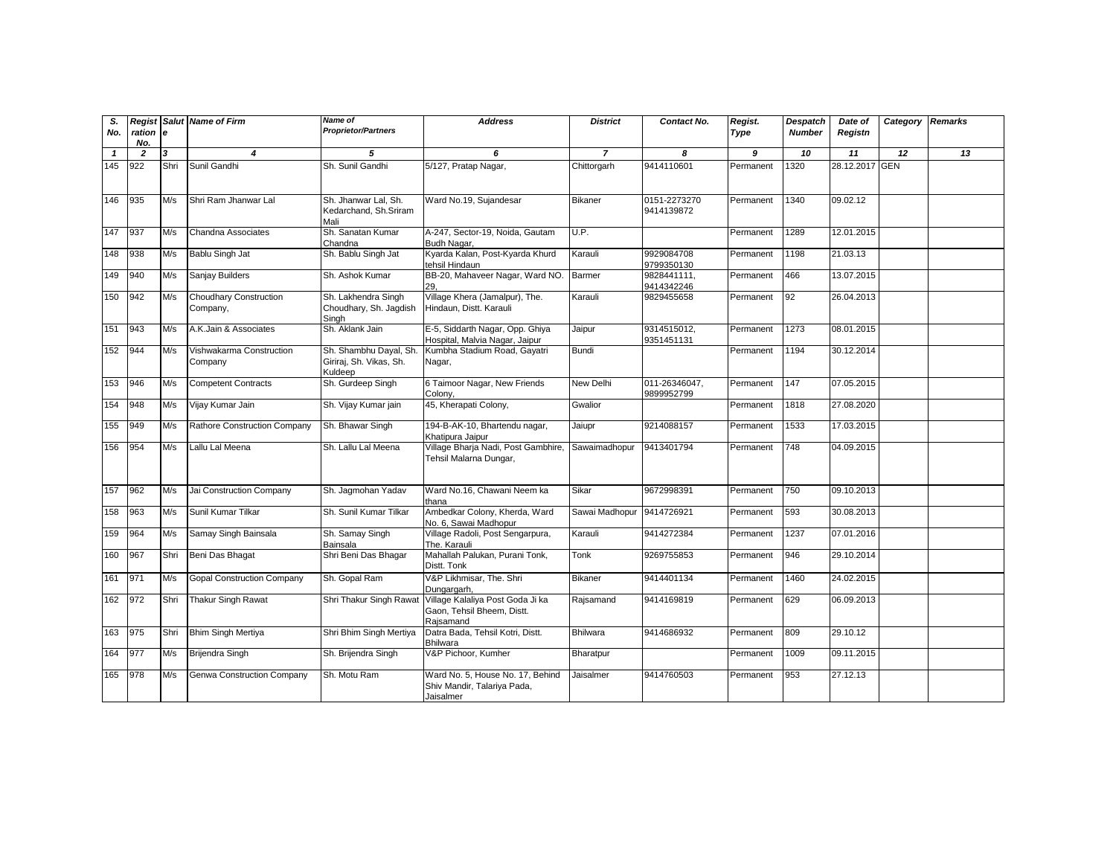| S.           |                 |                         | <b>Regist Salut Name of Firm</b>          | <b>Name of</b>                                               | <b>Address</b>                                                               | <b>District</b> | Contact No.                 | Regist.   | <b>Despatch</b> | Date of        | Category | <b>Remarks</b> |
|--------------|-----------------|-------------------------|-------------------------------------------|--------------------------------------------------------------|------------------------------------------------------------------------------|-----------------|-----------------------------|-----------|-----------------|----------------|----------|----------------|
| No.          | ration e<br>No. |                         |                                           | <b>Proprietor/Partners</b>                                   |                                                                              |                 |                             | Type      | <b>Number</b>   | Registn        |          |                |
| $\mathbf{1}$ | $\overline{2}$  | $\overline{\mathbf{3}}$ | 4                                         | 5                                                            | 6                                                                            | $\overline{7}$  | 8                           | 9         | 10              | 11             | 12       | 13             |
| 145          | 922             | Shri                    | Sunil Gandhi                              | Sh. Sunil Gandhi                                             | 5/127, Pratap Nagar,                                                         | Chittorgarh     | 9414110601                  | Permanent | 1320            | 28.12.2017 GEN |          |                |
| 146          | 935             | M/s                     | Shri Ram Jhanwar Lal                      | Sh. Jhanwar Lal, Sh.<br>Kedarchand, Sh.Sriram<br>Mali        | Ward No.19, Sujandesar                                                       | Bikaner         | 0151-2273270<br>9414139872  | Permanent | 1340            | 09.02.12       |          |                |
| 147          | 937             | M/s                     | Chandna Associates                        | Sh. Sanatan Kumar<br>Chandna                                 | A-247, Sector-19, Noida, Gautam<br>Budh Nagar,                               | U.P.            |                             | Permanent | 1289            | 12.01.2015     |          |                |
| 148          | 938             | M/s                     | Bablu Singh Jat                           | Sh. Bablu Singh Jat                                          | Kyarda Kalan, Post-Kyarda Khurd<br>tehsil Hindaun                            | Karauli         | 9929084708<br>9799350130    | Permanent | 1198            | 21.03.13       |          |                |
| 149          | 940             | M/s                     | Sanjay Builders                           | Sh. Ashok Kumar                                              | BB-20, Mahaveer Nagar, Ward NO<br>29.                                        | Barmer          | 9828441111.<br>9414342246   | Permanent | 466             | 13.07.2015     |          |                |
| 150          | 942             | M/s                     | <b>Choudhary Construction</b><br>Company, | Sh. Lakhendra Singh<br>Choudhary, Sh. Jagdish<br>Singh       | Village Khera (Jamalpur), The.<br>Hindaun, Distt. Karauli                    | Karauli         | 9829455658                  | Permanent | 92              | 26.04.2013     |          |                |
| 151          | 943             | M/s                     | A.K.Jain & Associates                     | Sh. Aklank Jain                                              | E-5, Siddarth Nagar, Opp. Ghiya<br>Hospital, Malvia Nagar, Jaipur            | Jaipur          | 9314515012,<br>9351451131   | Permanent | 1273            | 08.01.2015     |          |                |
| 152          | 944             | M/s                     | Vishwakarma Construction<br>Company       | Sh. Shambhu Dayal, Sh.<br>Giriraj, Sh. Vikas, Sh.<br>Kuldeep | Kumbha Stadium Road, Gayatri<br>Nagar,                                       | Bundi           |                             | Permanent | 1194            | 30.12.2014     |          |                |
| 153          | 946             | M/s                     | <b>Competent Contracts</b>                | Sh. Gurdeep Singh                                            | 6 Taimoor Nagar, New Friends<br>Colony,                                      | New Delhi       | 011-26346047.<br>9899952799 | Permanent | 147             | 07.05.2015     |          |                |
| 154          | 948             | M/s                     | Vijay Kumar Jain                          | Sh. Vijay Kumar jain                                         | 45, Kherapati Colony,                                                        | Gwalior         |                             | Permanent | 1818            | 27.08.2020     |          |                |
| 155          | 949             | M/s                     | Rathore Construction Company              | Sh. Bhawar Singh                                             | 194-B-AK-10, Bhartendu nagar,<br>Khatipura Jaipur                            | Jaiupr          | 9214088157                  | Permanent | 1533            | 17.03.2015     |          |                |
| 156          | 954             | M/s                     | Lallu Lal Meena                           | Sh. Lallu Lal Meena                                          | Village Bharja Nadi, Post Gambhire,<br>Tehsil Malarna Dungar,                | Sawaimadhopur   | 9413401794                  | Permanent | 748             | 04.09.2015     |          |                |
| 157          | 962             | M/s                     | Jai Construction Company                  | Sh. Jagmohan Yadav                                           | Ward No.16, Chawani Neem ka<br>thana                                         | Sikar           | 9672998391                  | Permanent | 750             | 09.10.2013     |          |                |
| 158          | 963             | M/s                     | Sunil Kumar Tilkar                        | Sh. Sunil Kumar Tilkar                                       | Ambedkar Colony, Kherda, Ward<br>No. 6, Sawai Madhopur                       | Sawai Madhopur  | 9414726921                  | Permanent | 593             | 30.08.2013     |          |                |
| 159          | 964             | M/s                     | Samay Singh Bainsala                      | Sh. Samay Singh<br>Bainsala                                  | Village Radoli, Post Sengarpura,<br>The. Karauli                             | Karauli         | 9414272384                  | Permanent | 1237            | 07.01.2016     |          |                |
| 160          | 967             | Shri                    | Beni Das Bhagat                           | Shri Beni Das Bhagar                                         | Mahallah Palukan, Purani Tonk,<br>Distt. Tonk                                | Tonk            | 9269755853                  | Permanent | 946             | 29.10.2014     |          |                |
| 161          | 971             | M/s                     | <b>Gopal Construction Company</b>         | Sh. Gopal Ram                                                | V&P Likhmisar, The. Shri<br>Dungargarh,                                      | <b>Bikaner</b>  | 9414401134                  | Permanent | 1460            | 24.02.2015     |          |                |
| 162          | 972             | Shri                    | <b>Thakur Singh Rawat</b>                 | Shri Thakur Singh Rawa                                       | Village Kalaliya Post Goda Ji ka<br>Gaon, Tehsil Bheem, Distt.<br>Rajsamand  | Rajsamand       | 9414169819                  | Permanent | 629             | 06.09.2013     |          |                |
| 163          | 975             | Shri                    | <b>Bhim Singh Mertiya</b>                 | Shri Bhim Singh Mertiya                                      | Datra Bada, Tehsil Kotri, Distt.<br><b>Bhilwara</b>                          | Bhilwara        | 9414686932                  | Permanent | 809             | 29.10.12       |          |                |
| 164          | 977             | M/s                     | Brijendra Singh                           | Sh. Brijendra Singh                                          | V&P Pichoor, Kumher                                                          | Bharatpur       |                             | Permanent | 1009            | 09.11.2015     |          |                |
| 165          | 978             | M/s                     | <b>Genwa Construction Company</b>         | Sh. Motu Ram                                                 | Ward No. 5, House No. 17, Behind<br>Shiv Mandir, Talariya Pada,<br>Jaisalmer | Jaisalmer       | 9414760503                  | Permanent | 953             | 27.12.13       |          |                |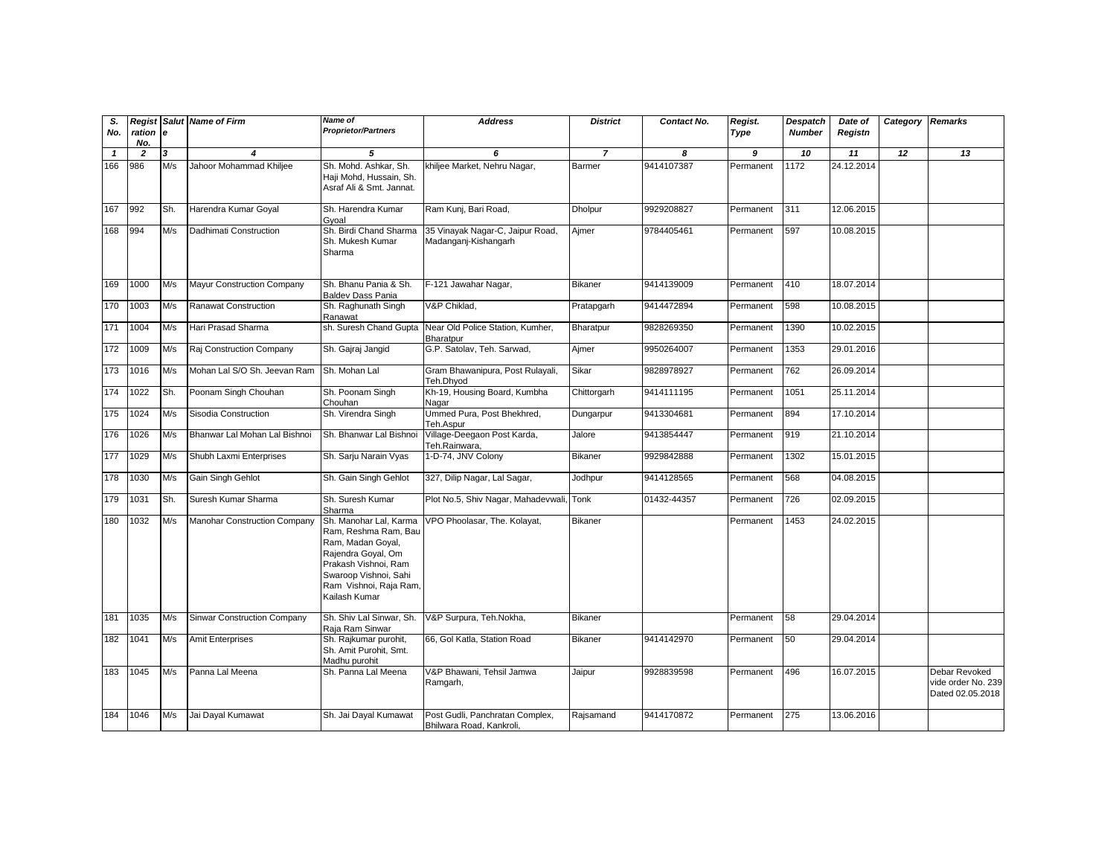| S.<br>No.    | ration<br>No.  | le  | <b>Regist Salut Name of Firm</b>    | Name of<br><b>Proprietor/Partners</b>                                                                                                                                                 | <b>Address</b>                                              | <b>District</b> | Contact No. | Regist.<br>Type | <b>Despatch</b><br><b>Number</b> | Date of<br>Registn | Category Remarks |                                                         |
|--------------|----------------|-----|-------------------------------------|---------------------------------------------------------------------------------------------------------------------------------------------------------------------------------------|-------------------------------------------------------------|-----------------|-------------|-----------------|----------------------------------|--------------------|------------------|---------------------------------------------------------|
| $\mathbf{1}$ | $\overline{2}$ | 3   | $\boldsymbol{4}$                    | 5                                                                                                                                                                                     | 6                                                           | $\overline{7}$  | 8           | 9               | 10                               | 11                 | 12               | 13                                                      |
| 166          | 986            | M/s | Jahoor Mohammad Khiljee             | Sh. Mohd. Ashkar, Sh.<br>Haji Mohd, Hussain, Sh.<br>Asraf Ali & Smt. Jannat.                                                                                                          | khiljee Market, Nehru Nagar,                                | <b>Barmer</b>   | 9414107387  | Permanent       | 1172                             | 24.12.2014         |                  |                                                         |
| 167          | 992            | Sh. | Harendra Kumar Goyal                | Sh. Harendra Kumar<br>Gyoal                                                                                                                                                           | Ram Kunj, Bari Road,                                        | <b>Dholpur</b>  | 9929208827  | Permanent       | 311                              | 12.06.2015         |                  |                                                         |
| 168          | 994            | M/s | Dadhimati Construction              | Sh. Birdi Chand Sharma<br>Sh. Mukesh Kumar<br>Sharma                                                                                                                                  | 35 Vinayak Nagar-C, Jaipur Road,<br>Madanganj-Kishangarh    | Ajmer           | 9784405461  | Permanent       | 597                              | 10.08.2015         |                  |                                                         |
| 169          | 1000           | M/s | <b>Mayur Construction Company</b>   | Sh. Bhanu Pania & Sh.<br><b>Baldev Dass Pania</b>                                                                                                                                     | F-121 Jawahar Nagar,                                        | <b>Bikaner</b>  | 9414139009  | Permanent       | 410                              | 18.07.2014         |                  |                                                         |
| 170          | 1003           | M/s | <b>Ranawat Construction</b>         | Sh. Raghunath Singh<br>Ranawat                                                                                                                                                        | V&P Chiklad.                                                | Pratapgarh      | 9414472894  | Permanent       | 598                              | 10.08.2015         |                  |                                                         |
| 171          | 1004           | M/s | Hari Prasad Sharma                  | sh. Suresh Chand Gupta                                                                                                                                                                | Near Old Police Station, Kumher,<br>Bharatpur               | Bharatpur       | 9828269350  | Permanent       | 1390                             | 10.02.2015         |                  |                                                         |
| 172          | 1009           | M/s | Raj Construction Company            | Sh. Gajraj Jangid                                                                                                                                                                     | G.P. Satolav, Teh. Sarwad,                                  | Ajmer           | 9950264007  | Permanent       | 1353                             | 29.01.2016         |                  |                                                         |
| 173          | 1016           | M/s | Mohan Lal S/O Sh. Jeevan Ram        | Sh. Mohan Lal                                                                                                                                                                         | Gram Bhawanipura, Post Rulayali,<br>Teh.Dhyod               | Sikar           | 9828978927  | Permanent       | 762                              | 26.09.2014         |                  |                                                         |
| 174          | 1022           | Sh. | Poonam Singh Chouhan                | Sh. Poonam Singh<br>Chouhan                                                                                                                                                           | Kh-19, Housing Board, Kumbha<br>Nagar                       | Chittorgarh     | 9414111195  | Permanent       | 1051                             | 25.11.2014         |                  |                                                         |
| 175          | 1024           | M/s | Sisodia Construction                | Sh. Virendra Singh                                                                                                                                                                    | Ummed Pura, Post Bhekhred,<br>Teh.Aspur                     | Dungarpur       | 9413304681  | Permanent       | 894                              | 17.10.2014         |                  |                                                         |
| 176          | 1026           | M/s | Bhanwar Lal Mohan Lal Bishnoi       | Sh. Bhanwar Lal Bishnoi                                                                                                                                                               | Village-Deegaon Post Karda,<br>Teh.Rainwara.                | Jalore          | 9413854447  | Permanent       | 919                              | 21.10.2014         |                  |                                                         |
| 177          | 1029           | M/s | Shubh Laxmi Enterprises             | Sh. Sarju Narain Vyas                                                                                                                                                                 | 1-D-74, JNV Colony                                          | <b>Bikaner</b>  | 9929842888  | Permanent       | 1302                             | 15.01.2015         |                  |                                                         |
| 178          | 1030           | M/s | Gain Singh Gehlot                   | Sh. Gain Singh Gehlot                                                                                                                                                                 | 327, Dilip Nagar, Lal Sagar,                                | Jodhpur         | 9414128565  | Permanent       | 568                              | 04.08.2015         |                  |                                                         |
| 179          | 1031           | Sh. | Suresh Kumar Sharma                 | Sh. Suresh Kumar<br>Sharma                                                                                                                                                            | Plot No.5, Shiv Nagar, Mahadevwali, Tonk                    |                 | 01432-44357 | Permanent       | 726                              | 02.09.2015         |                  |                                                         |
| 180          | 1032           | M/s | <b>Manohar Construction Company</b> | Sh. Manohar Lal, Karma<br>Ram, Reshma Ram, Bau<br>Ram, Madan Goyal,<br>Rajendra Goyal, Om<br>Prakash Vishnoi, Ram<br>Swaroop Vishnoi, Sahi<br>Ram Vishnoi, Raja Ram,<br>Kailash Kumar | VPO Phoolasar, The. Kolayat,                                | <b>Bikaner</b>  |             | Permanent       | 1453                             | 24.02.2015         |                  |                                                         |
| 181          | 1035           | M/s | Sinwar Construction Company         | Sh. Shiv Lal Sinwar, Sh.<br>Raja Ram Sinwar                                                                                                                                           | V&P Surpura, Teh.Nokha,                                     | <b>Bikaner</b>  |             | Permanent       | 58                               | 29.04.2014         |                  |                                                         |
| 182          | 1041           | M/s | <b>Amit Enterprises</b>             | Sh. Rajkumar purohit,<br>Sh. Amit Purohit, Smt.<br>Madhu purohit                                                                                                                      | 66, Gol Katla, Station Road                                 | <b>Bikaner</b>  | 9414142970  | Permanent       | 50                               | 29.04.2014         |                  |                                                         |
| 183          | 1045           | M/s | Panna Lal Meena                     | Sh. Panna Lal Meena                                                                                                                                                                   | V&P Bhawani, Tehsil Jamwa<br>Ramgarh,                       | Jaipur          | 9928839598  | Permanent       | 496                              | 16.07.2015         |                  | Debar Revoked<br>vide order No. 239<br>Dated 02.05.2018 |
| 184          | 1046           | M/s | Jai Dayal Kumawat                   | Sh. Jai Dayal Kumawat                                                                                                                                                                 | Post Gudli, Panchratan Complex,<br>Bhilwara Road, Kankroli, | Rajsamand       | 9414170872  | Permanent       | 275                              | 13.06.2016         |                  |                                                         |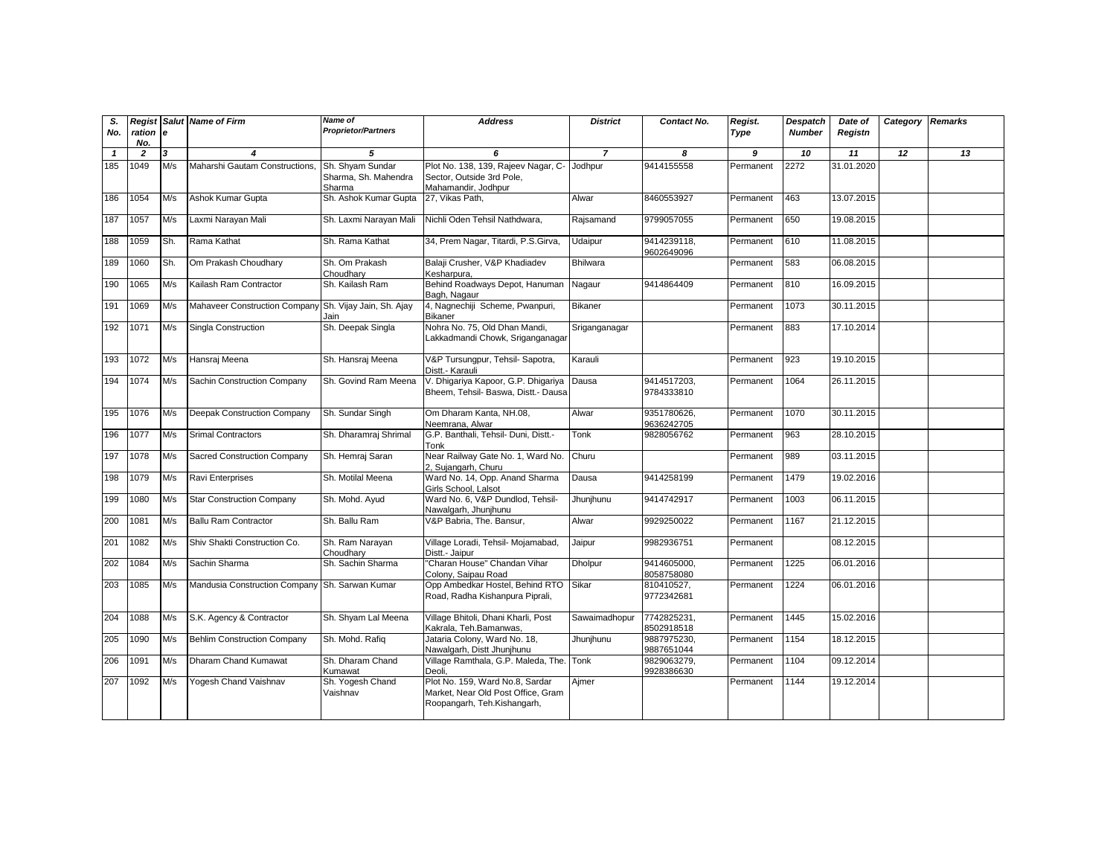| S.           | Regist          |     | <b>Salut Name of Firm</b>                              | <b>Name of</b>                                     | <b>Address</b>                                                                                       | <b>District</b> | Contact No.               | Regist.   | Despatch      | Date of    | Category        | <b>Remarks</b> |
|--------------|-----------------|-----|--------------------------------------------------------|----------------------------------------------------|------------------------------------------------------------------------------------------------------|-----------------|---------------------------|-----------|---------------|------------|-----------------|----------------|
| No.          | ration e<br>No. |     |                                                        | <b>Proprietor/Partners</b>                         |                                                                                                      |                 |                           | Type      | <b>Number</b> | Registn    |                 |                |
| $\mathbf{1}$ | $\overline{2}$  | 3   | $\overline{\mathbf{4}}$                                | 5                                                  | 6                                                                                                    | $\overline{7}$  | 8                         | 9         | 10            | 11         | $\overline{12}$ | 13             |
| 185          | 1049            | M/s | Maharshi Gautam Constructions,                         | Sh. Shyam Sundar<br>Sharma, Sh. Mahendra<br>Sharma | Plot No. 138, 139, Rajeev Nagar, C-<br>Sector, Outside 3rd Pole,<br>Mahamandir, Jodhpur              | Jodhpur         | 9414155558                | Permanent | 2272          | 31.01.2020 |                 |                |
| 186          | 1054            | M/s | Ashok Kumar Gupta                                      | Sh. Ashok Kumar Gupta                              | 27, Vikas Path,                                                                                      | Alwar           | 8460553927                | Permanent | 463           | 13.07.2015 |                 |                |
| 187          | 1057            | M/s | Laxmi Narayan Mali                                     | Sh. Laxmi Narayan Mali                             | Nichli Oden Tehsil Nathdwara,                                                                        | Rajsamand       | 9799057055                | Permanent | 650           | 19.08.2015 |                 |                |
| 188          | 1059            | Sh. | Rama Kathat                                            | Sh. Rama Kathat                                    | 34, Prem Nagar, Titardi, P.S.Girva,                                                                  | Udaipur         | 9414239118,<br>9602649096 | Permanent | 610           | 11.08.2015 |                 |                |
| 189          | 1060            | Sh. | Om Prakash Choudhary                                   | Sh. Om Prakash<br>Choudharv                        | Balaji Crusher, V&P Khadiadev<br>Kesharpura.                                                         | <b>Bhilwara</b> |                           | Permanent | 583           | 06.08.2015 |                 |                |
| 190          | 1065            | M/s | Kailash Ram Contractor                                 | Sh. Kailash Ram                                    | Behind Roadways Depot, Hanuman<br>Bagh, Nagaur                                                       | Nagaur          | 9414864409                | Permanent | 810           | 16.09.2015 |                 |                |
| 191          | 1069            | M/s | Mahaveer Construction Company Sh. Vijay Jain, Sh. Ajay | Jain                                               | 4, Nagnechiji Scheme, Pwanpuri,<br><b>Bikaner</b>                                                    | <b>Bikaner</b>  |                           | Permanent | 1073          | 30.11.2015 |                 |                |
| 192          | 1071            | M/s | Singla Construction                                    | Sh. Deepak Singla                                  | Nohra No. 75, Old Dhan Mandi,<br>Lakkadmandi Chowk, Sriganganagar                                    | Sriganganagar   |                           | Permanent | 883           | 17.10.2014 |                 |                |
| 193          | 1072            | M/s | Hansraj Meena                                          | Sh. Hansraj Meena                                  | V&P Tursungpur, Tehsil- Sapotra,<br>Distt.- Karauli                                                  | Karauli         |                           | Permanent | 923           | 19.10.2015 |                 |                |
| 194          | 1074            | M/s | Sachin Construction Company                            | Sh. Govind Ram Meena                               | V. Dhigariya Kapoor, G.P. Dhigariya Dausa<br>Bheem, Tehsil- Baswa, Distt.- Dausa                     |                 | 9414517203,<br>9784333810 | Permanent | 1064          | 26.11.2015 |                 |                |
| 195          | 1076            | M/s | <b>Deepak Construction Company</b>                     | Sh. Sundar Singh                                   | Om Dharam Kanta, NH.08.<br>Neemrana, Alwar                                                           | Alwar           | 9351780626.<br>9636242705 | Permanent | 1070          | 30.11.2015 |                 |                |
| 196          | 1077            | M/s | <b>Srimal Contractors</b>                              | Sh. Dharamraj Shrimal                              | G.P. Banthali, Tehsil- Duni, Distt.-<br>Tonk                                                         | Tonk            | 9828056762                | Permanent | 963           | 28.10.2015 |                 |                |
| 197          | 1078            | M/s | Sacred Construction Company                            | Sh. Hemraj Saran                                   | Near Railway Gate No. 1, Ward No.<br>2, Sujangarh, Churu                                             | Churu           |                           | Permanent | 989           | 03.11.2015 |                 |                |
| 198          | 1079            | M/s | Ravi Enterprises                                       | Sh. Motilal Meena                                  | Ward No. 14, Opp. Anand Sharma<br>Girls School, Lalsot                                               | Dausa           | 9414258199                | Permanent | 1479          | 19.02.2016 |                 |                |
| 199          | 1080            | M/s | <b>Star Construction Company</b>                       | Sh. Mohd. Ayud                                     | Ward No. 6, V&P Dundlod, Tehsil-<br>Nawalgarh, Jhunjhunu                                             | Jhunjhunu       | 9414742917                | Permanent | 1003          | 06.11.2015 |                 |                |
| 200          | 1081            | M/s | <b>Ballu Ram Contractor</b>                            | Sh. Ballu Ram                                      | V&P Babria, The. Bansur,                                                                             | Alwar           | 9929250022                | Permanent | 1167          | 21.12.2015 |                 |                |
| 201          | 1082            | M/s | Shiv Shakti Construction Co.                           | Sh. Ram Narayan<br>Choudharv                       | Village Loradi, Tehsil- Mojamabad,<br>Distt.- Jaipur                                                 | Jaipur          | 9982936751                | Permanent |               | 08.12.2015 |                 |                |
| 202          | 1084            | M/s | Sachin Sharma                                          | Sh. Sachin Sharma                                  | 'Charan House" Chandan Vihar<br>Colony, Saipau Road                                                  | <b>Dholpur</b>  | 9414605000,<br>8058758080 | Permanent | 1225          | 06.01.2016 |                 |                |
| 203          | 1085            | M/s | Mandusia Construction Company                          | Sh. Sarwan Kumar                                   | Opp Ambedkar Hostel, Behind RTO<br>Road, Radha Kishanpura Piprali,                                   | Sikar           | 810410527,<br>9772342681  | Permanent | 1224          | 06.01.2016 |                 |                |
| 204          | 1088            | M/s | S.K. Agency & Contractor                               | Sh. Shyam Lal Meena                                | Village Bhitoli, Dhani Kharli, Post<br>Kakrala, Teh.Bamanwas,                                        | Sawaimadhopur   | 7742825231,<br>8502918518 | Permanent | 1445          | 15.02.2016 |                 |                |
| 205          | 1090            | M/s | <b>Behlim Construction Company</b>                     | Sh. Mohd. Rafiq                                    | Jataria Colony, Ward No. 18,<br>Nawalgarh, Distt Jhunjhunu                                           | Jhunjhunu       | 9887975230,<br>9887651044 | Permanent | 1154          | 18.12.2015 |                 |                |
| 206          | 1091            | M/s | Dharam Chand Kumawat                                   | Sh. Dharam Chand<br>Kumawat                        | Village Ramthala, G.P. Maleda, The. Tonk<br>Deoli.                                                   |                 | 9829063279.<br>9928386630 | Permanent | 1104          | 09.12.2014 |                 |                |
| 207          | 1092            | M/s | Yogesh Chand Vaishnav                                  | Sh. Yogesh Chand<br>Vaishnav                       | Plot No. 159, Ward No.8, Sardar<br>Market, Near Old Post Office, Gram<br>Roopangarh, Teh.Kishangarh, | Aimer           |                           | Permanent | 1144          | 19.12.2014 |                 |                |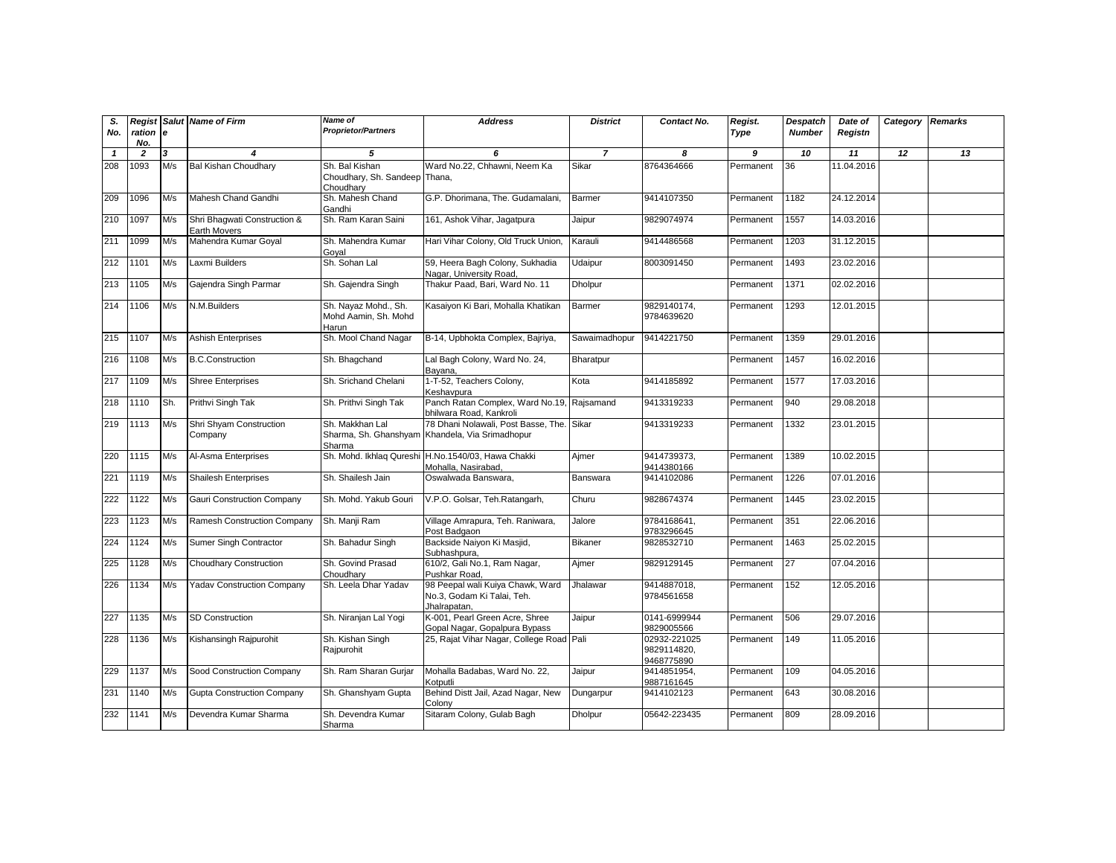| S.<br>No.    | Regist<br>ration e<br>No. |     | <b>Salut Name of Firm</b>                    | <b>Name of</b><br><b>Proprietor/Partners</b>                 | <b>Address</b>                                                                               | <b>District</b> | Contact No.                               | Regist.<br>Type | Despatch<br><b>Number</b> | Date of<br>Registn | Category | <b>Remarks</b> |
|--------------|---------------------------|-----|----------------------------------------------|--------------------------------------------------------------|----------------------------------------------------------------------------------------------|-----------------|-------------------------------------------|-----------------|---------------------------|--------------------|----------|----------------|
| $\mathbf{1}$ | $\overline{2}$            | 3   | 4                                            | 5                                                            | 6                                                                                            | $\overline{7}$  | 8                                         | 9               | 10                        | 11                 | 12       | 13             |
| 208          | 1093                      | M/s | <b>Bal Kishan Choudhary</b>                  | Sh. Bal Kishan<br>Choudhary, Sh. Sandeep Thana,<br>Choudhary | Ward No.22, Chhawni, Neem Ka                                                                 | Sikar           | 8764364666                                | Permanent       | 36                        | 11.04.2016         |          |                |
| 209          | 1096                      | M/s | Mahesh Chand Gandhi                          | Sh. Mahesh Chand<br>Gandhi                                   | G.P. Dhorimana, The. Gudamalani,                                                             | Barmer          | 9414107350                                | Permanent       | 1182                      | 24.12.2014         |          |                |
| 210          | 1097                      | M/s | Shri Bhaqwati Construction &<br>Earth Movers | Sh. Ram Karan Saini                                          | 161, Ashok Vihar, Jagatpura                                                                  | Jaipur          | 9829074974                                | Permanent       | 1557                      | 14.03.2016         |          |                |
| 211          | 1099                      | M/s | Mahendra Kumar Goyal                         | Sh. Mahendra Kumar<br>Goyal                                  | Hari Vihar Colony, Old Truck Union,                                                          | Karauli         | 9414486568                                | Permanent       | 1203                      | 31.12.2015         |          |                |
| 212          | 1101                      | M/s | Laxmi Builders                               | Sh. Sohan Lal                                                | 59, Heera Bagh Colony, Sukhadia<br>Nagar, University Road,                                   | Udaipur         | 8003091450                                | Permanent       | 1493                      | 23.02.2016         |          |                |
| 213          | 1105                      | M/s | Gajendra Singh Parmar                        | Sh. Gajendra Singh                                           | Thakur Paad, Bari, Ward No. 11                                                               | Dholpur         |                                           | Permanent       | 1371                      | 02.02.2016         |          |                |
| 214          | 1106                      | M/s | N.M.Builders                                 | Sh. Nayaz Mohd., Sh.<br>Mohd Aamin, Sh. Mohd<br>Harun        | Kasaiyon Ki Bari, Mohalla Khatikan                                                           | Barmer          | 9829140174,<br>9784639620                 | Permanent       | 1293                      | 12.01.2015         |          |                |
| 215          | 1107                      | M/s | <b>Ashish Enterprises</b>                    | Sh. Mool Chand Nagar                                         | B-14, Upbhokta Complex, Bajriya,                                                             | Sawaimadhopur   | 9414221750                                | Permanent       | 1359                      | 29.01.2016         |          |                |
| 216          | 1108                      | M/s | <b>B.C.Construction</b>                      | Sh. Bhagchand                                                | Lal Bagh Colony, Ward No. 24,<br>Bayana,                                                     | Bharatpur       |                                           | Permanent       | 1457                      | 16.02.2016         |          |                |
| 217          | 1109                      | M/s | <b>Shree Enterprises</b>                     | Sh. Srichand Chelani                                         | 1-T-52, Teachers Colony,<br>Keshavpura                                                       | Kota            | 9414185892                                | Permanent       | 1577                      | 17.03.2016         |          |                |
| 218          | 1110                      | Sh. | Prithvi Singh Tak                            | Sh. Prithvi Singh Tak                                        | Panch Ratan Complex, Ward No.19, Rajsamand<br>bhilwara Road, Kankroli                        |                 | 9413319233                                | Permanent       | 940                       | 29.08.2018         |          |                |
| 219          | 1113                      | M/s | Shri Shyam Construction<br>Company           | Sh. Makkhan Lal<br>Sharma                                    | 78 Dhani Nolawali, Post Basse, The. Sikar<br>Sharma, Sh. Ghanshyam Khandela, Via Srimadhopur |                 | 9413319233                                | Permanent       | 1332                      | 23.01.2015         |          |                |
| 220          | 1115                      | M/s | Al-Asma Enterprises                          |                                                              | Sh. Mohd. Ikhlaq Qureshi H.No.1540/03, Hawa Chakki<br>Mohalla, Nasirabad,                    | Ajmer           | 9414739373,<br>9414380166                 | Permanent       | 1389                      | 10.02.2015         |          |                |
| 221          | 1119                      | M/s | <b>Shailesh Enterprises</b>                  | Sh. Shailesh Jain                                            | Oswalwada Banswara,                                                                          | Banswara        | 9414102086                                | Permanent       | 1226                      | 07.01.2016         |          |                |
| 222          | 1122                      | M/s | <b>Gauri Construction Company</b>            | Sh. Mohd. Yakub Gouri                                        | V.P.O. Golsar, Teh.Ratangarh,                                                                | Churu           | 9828674374                                | Permanent       | 1445                      | 23.02.2015         |          |                |
| 223          | 1123                      | M/s | Ramesh Construction Company                  | Sh. Manji Ram                                                | Village Amrapura, Teh. Raniwara,<br>Post Badgaon                                             | Jalore          | 9784168641,<br>9783296645                 | Permanent       | 351                       | 22.06.2016         |          |                |
| 224          | 1124                      | M/s | Sumer Singh Contractor                       | Sh. Bahadur Singh                                            | Backside Naiyon Ki Masjid,<br>Subhashpura.                                                   | <b>Bikaner</b>  | 9828532710                                | Permanent       | 1463                      | 25.02.2015         |          |                |
| 225          | 1128                      | M/s | <b>Choudhary Construction</b>                | Sh. Govind Prasad<br>Choudharv                               | 610/2, Gali No.1, Ram Nagar,<br>Pushkar Road.                                                | Ajmer           | 9829129145                                | Permanent       | 27                        | 07.04.2016         |          |                |
| 226          | 1134                      | M/s | <b>Yadav Construction Company</b>            | Sh. Leela Dhar Yadav                                         | 98 Peepal wali Kuiya Chawk, Ward<br>No.3, Godam Ki Talai, Teh.<br>Jhalrapatan,               | Jhalawar        | 9414887018,<br>9784561658                 | Permanent       | 152                       | 12.05.2016         |          |                |
| 227          | 1135                      | M/s | <b>SD Construction</b>                       | Sh. Niranjan Lal Yogi                                        | K-001. Pearl Green Acre. Shree<br>Gopal Nagar, Gopalpura Bypass                              | Jaipur          | 0141-6999944<br>9829005566                | Permanent       | 506                       | 29.07.2016         |          |                |
| 228          | 1136                      | M/s | Kishansingh Rajpurohit                       | Sh. Kishan Singh<br>Rajpurohit                               | 25, Rajat Vihar Nagar, College Road Pali                                                     |                 | 02932-221025<br>9829114820,<br>9468775890 | Permanent       | 149                       | 11.05.2016         |          |                |
| 229          | 1137                      | M/s | Sood Construction Company                    | Sh. Ram Sharan Gurjar                                        | Mohalla Badabas, Ward No. 22,<br>Kotputli                                                    | Jaipur          | 9414851954,<br>9887161645                 | Permanent       | 109                       | 04.05.2016         |          |                |
| 231          | 1140                      | M/s | <b>Gupta Construction Company</b>            | Sh. Ghanshyam Gupta                                          | Behind Distt Jail, Azad Nagar, New<br>Colony                                                 | Dungarpur       | 9414102123                                | Permanent       | 643                       | 30.08.2016         |          |                |
| 232          | 1141                      | M/s | Devendra Kumar Sharma                        | Sh. Devendra Kumar<br>Sharma                                 | Sitaram Colony, Gulab Bagh                                                                   | Dholpur         | 05642-223435                              | Permanent       | 809                       | 28.09.2016         |          |                |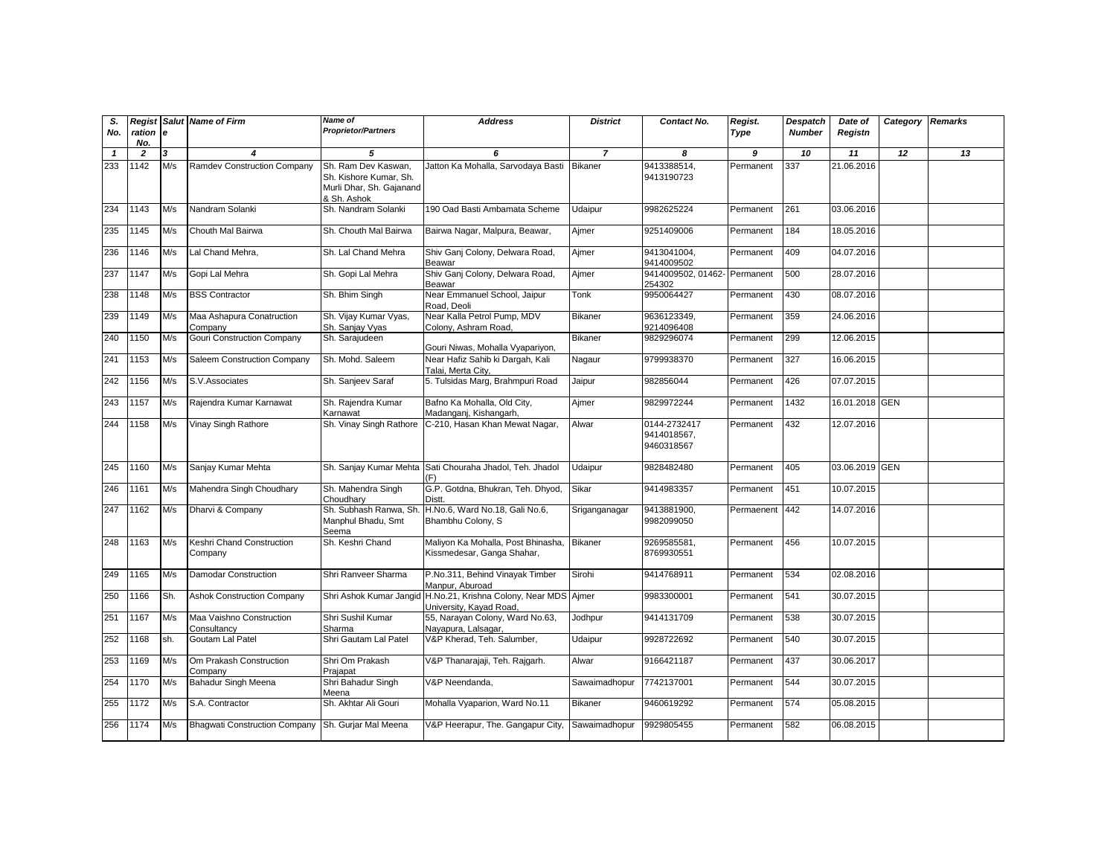| S.<br>No.    | Regist<br>ration e<br>No. |     | <b>Salut</b> Name of Firm                          | <b>Name of</b><br><b>Proprietor/Partners</b>                                             | <b>Address</b>                                                     | <b>District</b> | Contact No.                               | Regist.<br>Type | <b>Despatch</b><br><b>Number</b> | Date of<br>Registn | Category   | <b>Remarks</b> |
|--------------|---------------------------|-----|----------------------------------------------------|------------------------------------------------------------------------------------------|--------------------------------------------------------------------|-----------------|-------------------------------------------|-----------------|----------------------------------|--------------------|------------|----------------|
| $\mathbf{1}$ | $\overline{2}$            | 3   | 4                                                  | 5                                                                                        | 6                                                                  | $\overline{7}$  | 8                                         | 9               | 10                               | 11                 | 12         | 13             |
| 233          | 1142                      | M/s | Ramdev Construction Company                        | Sh. Ram Dev Kaswan,<br>Sh. Kishore Kumar, Sh.<br>Murli Dhar, Sh. Gajanand<br>& Sh. Ashok | Jatton Ka Mohalla, Sarvodaya Basti                                 | <b>Bikaner</b>  | 9413388514,<br>9413190723                 | Permanent       | 337                              | 21.06.2016         |            |                |
| 234          | 1143                      | M/s | Nandram Solanki                                    | Sh. Nandram Solanki                                                                      | 190 Oad Basti Ambamata Scheme                                      | Udaipur         | 9982625224                                | Permanent       | 261                              | 03.06.2016         |            |                |
| 235          | 1145                      | M/s | Chouth Mal Bairwa                                  | Sh. Chouth Mal Bairwa                                                                    | Bairwa Nagar, Malpura, Beawar,                                     | Ajmer           | 9251409006                                | Permanent       | 184                              | 18.05.2016         |            |                |
| 236          | 1146                      | M/s | Lal Chand Mehra,                                   | Sh. Lal Chand Mehra                                                                      | Shiv Ganj Colony, Delwara Road,<br>Beawar                          | Ajmer           | 9413041004,<br>9414009502                 | Permanent       | 409                              | 04.07.2016         |            |                |
| 237          | 1147                      | M/s | Gopi Lal Mehra                                     | Sh. Gopi Lal Mehra                                                                       | Shiv Ganj Colony, Delwara Road,<br>Beawar                          | Ajmer           | 9414009502, 01462- Permanent<br>254302    |                 | 500                              | 28.07.2016         |            |                |
| 238          | 1148                      | M/s | <b>BSS Contractor</b>                              | Sh. Bhim Singh                                                                           | Near Emmanuel School, Jaipur<br>Road, Deoli                        | Tonk            | 9950064427                                | Permanent       | 430                              | 08.07.2016         |            |                |
| 239          | 1149                      | M/s | Maa Ashapura Conatruction<br>Company               | Sh. Vijay Kumar Vyas,<br>Sh. Sanjay Vyas                                                 | Near Kalla Petrol Pump, MDV<br>Colony, Ashram Road,                | Bikaner         | 9636123349.<br>9214096408                 | Permanent       | 359                              | 24.06.2016         |            |                |
| 240          | 1150                      | M/s | Gouri Construction Company                         | Sh. Sarajudeen                                                                           | Gouri Niwas, Mohalla Vyapariyon,                                   | <b>Bikaner</b>  | 9829296074                                | Permanent       | 299                              | 12.06.2015         |            |                |
| 241          | 1153                      | M/s | Saleem Construction Company                        | Sh. Mohd. Saleem                                                                         | Near Hafiz Sahib ki Dargah, Kali<br>Talai, Merta City,             | Nagaur          | 9799938370                                | Permanent       | 327                              | 16.06.2015         |            |                |
| 242          | 1156                      | M/s | S.V.Associates                                     | Sh. Sanjeev Saraf                                                                        | 5. Tulsidas Marg, Brahmpuri Road                                   | Jaipur          | 982856044                                 | Permanent       | 426                              | 07.07.2015         |            |                |
| 243          | 1157                      | M/s | Rajendra Kumar Karnawat                            | Sh. Rajendra Kumar<br>Karnawat                                                           | Bafno Ka Mohalla, Old City,<br>Madanganj, Kishangarh,              | Ajmer           | 9829972244                                | Permanent       | 1432                             | 16.01.2018         | <b>GEN</b> |                |
| 244          | 1158                      | M/s | Vinay Singh Rathore                                | Sh. Vinay Singh Rathore                                                                  | C-210, Hasan Khan Mewat Nagar,                                     | Alwar           | 0144-2732417<br>9414018567.<br>9460318567 | Permanent       | 432                              | 12.07.2016         |            |                |
| 245          | 1160                      | M/s | Sanjay Kumar Mehta                                 |                                                                                          | Sh. Sanjay Kumar Mehta Sati Chouraha Jhadol, Teh. Jhadol<br>(F)    | Udaipur         | 9828482480                                | Permanent       | 405                              | 03.06.2019 GEN     |            |                |
| 246          | 1161                      | M/s | Mahendra Singh Choudhary                           | Sh. Mahendra Singh<br>Choudharv                                                          | G.P. Gotdna, Bhukran, Teh. Dhyod,<br><b>Distt</b>                  | Sikar           | 9414983357                                | Permanent       | 451                              | 10.07.2015         |            |                |
| 247          | 1162                      | M/s | Dharvi & Company                                   | Sh. Subhash Ranwa, Sh<br>Manphul Bhadu, Smt<br>Seema                                     | H.No.6, Ward No.18, Gali No.6,<br>Bhambhu Colony, S                | Sriganganagar   | 9413881900,<br>9982099050                 | Permaenent      | 442                              | 14.07.2016         |            |                |
| 248          | 1163                      | M/s | Keshri Chand Construction<br>Company               | Sh. Keshri Chand                                                                         | Maliyon Ka Mohalla, Post Bhinasha,<br>Kissmedesar, Ganga Shahar,   | <b>Bikaner</b>  | 9269585581,<br>8769930551                 | Permanent       | 456                              | 10.07.2015         |            |                |
| 249          | 1165                      | M/s | <b>Damodar Construction</b>                        | Shri Ranveer Sharma                                                                      | P.No.311, Behind Vinayak Timber<br>Manpur, Aburoad                 | Sirohi          | 9414768911                                | Permanent       | 534                              | 02.08.2016         |            |                |
| 250          | 1166                      | Sh. | <b>Ashok Construction Company</b>                  | Shri Ashok Kumar Jangi                                                                   | H.No.21, Krishna Colony, Near MDS Ajmer<br>University, Kayad Road, |                 | 9983300001                                | Permanent       | 541                              | 30.07.2015         |            |                |
| 251          | 1167                      | M/s | Maa Vaishno Construction<br>Consultancv            | Shri Sushil Kumar<br>Sharma                                                              | 55, Narayan Colony, Ward No.63,<br>Nayapura, Lalsagar,             | Jodhpur         | 9414131709                                | Permanent       | 538                              | 30.07.2015         |            |                |
| 252          | 1168                      | sh. | Goutam Lal Patel                                   | Shri Gautam Lal Patel                                                                    | V&P Kherad, Teh. Salumber,                                         | Udaipur         | 9928722692                                | Permanent       | 540                              | 30.07.2015         |            |                |
| 253          | 1169                      | M/s | Om Prakash Construction<br>Company                 | Shri Om Prakash<br>Prajapat                                                              | V&P Thanarajaji, Teh. Rajgarh.                                     | Alwar           | 9166421187                                | Permanent       | 437                              | 30.06.2017         |            |                |
| 254          | 1170                      | M/s | Bahadur Singh Meena                                | Shri Bahadur Singh<br>Meena                                                              | V&P Neendanda,                                                     | Sawaimadhopur   | 7742137001                                | Permanent       | 544                              | 30.07.2015         |            |                |
| 255          | 1172                      | M/s | S.A. Contractor                                    | Sh. Akhtar Ali Gouri                                                                     | Mohalla Vyaparion, Ward No.11                                      | Bikaner         | 9460619292                                | Permanent       | 574                              | 05.08.2015         |            |                |
| 256          | 1174                      | M/s | Bhagwati Construction Company Sh. Gurjar Mal Meena |                                                                                          | V&P Heerapur, The. Gangapur City,                                  | Sawaimadhopur   | 9929805455                                | Permanent       | 582                              | 06.08.2015         |            |                |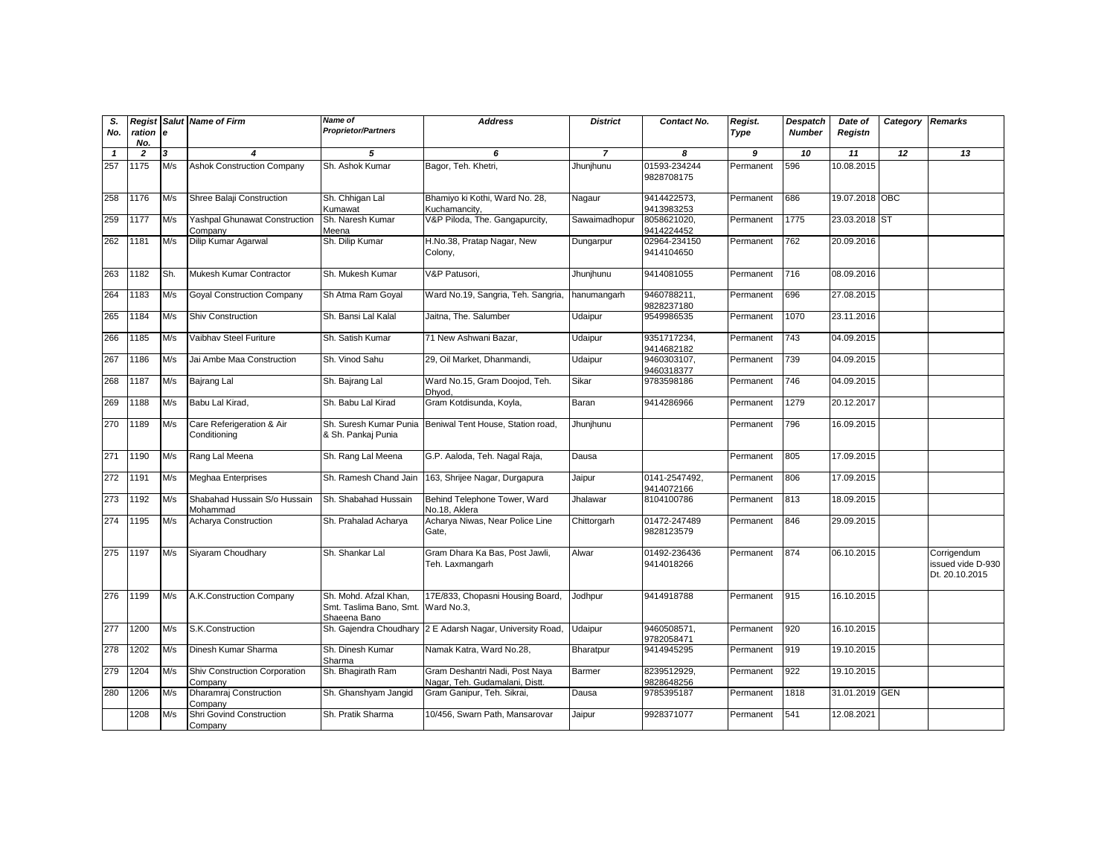| S.<br>No.    | Regist<br>ration e<br>No. |     | <b>Salut Name of Firm</b>                 | <b>Name of</b><br><b>Proprietor/Partners</b>                     | <b>Address</b>                                                   | <b>District</b> | Contact No.                 | Regist.<br>Type | Despatch<br><b>Number</b> | Date of<br>Registn | Category Remarks |                                                    |
|--------------|---------------------------|-----|-------------------------------------------|------------------------------------------------------------------|------------------------------------------------------------------|-----------------|-----------------------------|-----------------|---------------------------|--------------------|------------------|----------------------------------------------------|
| $\mathbf{1}$ | $\overline{2}$            | 3   | $\boldsymbol{4}$                          | 5                                                                | 6                                                                | $\overline{7}$  | 8                           | 9               | 10                        | 11                 | 12               | 13                                                 |
| 257          | 1175                      | M/s | <b>Ashok Construction Company</b>         | Sh. Ashok Kumar                                                  | Bagor, Teh. Khetri,                                              | Jhunjhunu       | 01593-234244<br>9828708175  | Permanent       | 596                       | 10.08.2015         |                  |                                                    |
| 258          | 1176                      | M/s | Shree Balaji Construction                 | Sh. Chhigan Lal<br>Kumawat                                       | Bhamiyo ki Kothi, Ward No. 28,<br>Kuchamancity,                  | Nagaur          | 9414422573,<br>9413983253   | Permanent       | 686                       | 19.07.2018 OBC     |                  |                                                    |
| 259          | 1177                      | M/s | Yashpal Ghunawat Construction<br>Company  | Sh. Naresh Kumar<br>Meena                                        | V&P Piloda, The. Gangapurcity,                                   | Sawaimadhopur   | 8058621020.<br>9414224452   | Permanent       | 1775                      | 23.03.2018 ST      |                  |                                                    |
| 262          | 1181                      | M/s | Dilip Kumar Agarwal                       | Sh. Dilip Kumar                                                  | H.No.38, Pratap Nagar, New<br>Colony,                            | Dungarpur       | 02964-234150<br>9414104650  | Permanent       | 762                       | 20.09.2016         |                  |                                                    |
| 263          | 1182                      | Sh. | Mukesh Kumar Contractor                   | Sh. Mukesh Kumar                                                 | V&P Patusori,                                                    | Jhunjhunu       | 9414081055                  | Permanent       | 716                       | 08.09.2016         |                  |                                                    |
| 264          | 1183                      | M/s | <b>Goyal Construction Company</b>         | Sh Atma Ram Goyal                                                | Ward No.19, Sangria, Teh. Sangria,                               | hanumangarh     | 9460788211,<br>9828237180   | Permanent       | 696                       | 27.08.2015         |                  |                                                    |
| 265          | 1184                      | M/s | <b>Shiv Construction</b>                  | Sh. Bansi Lal Kalal                                              | Jaitna. The. Salumber                                            | Udaipur         | 9549986535                  | Permanent       | 1070                      | 23.11.2016         |                  |                                                    |
| 266          | 1185                      | M/s | Vaibhav Steel Furiture                    | Sh. Satish Kumar                                                 | 71 New Ashwani Bazar,                                            | Udaipur         | 9351717234,<br>9414682182   | Permanent       | 743                       | 04.09.2015         |                  |                                                    |
| 267          | 1186                      | M/s | Jai Ambe Maa Construction                 | Sh. Vinod Sahu                                                   | 29, Oil Market, Dhanmandi,                                       | Udaipur         | 9460303107,<br>9460318377   | Permanent       | 739                       | 04.09.2015         |                  |                                                    |
| 268          | 1187                      | M/s | Bajrang Lal                               | Sh. Bajrang Lal                                                  | Ward No.15, Gram Doojod, Teh.<br>Dhvod.                          | Sikar           | 9783598186                  | Permanent       | 746                       | 04.09.2015         |                  |                                                    |
| 269          | 1188                      | M/s | Babu Lal Kirad,                           | Sh. Babu Lal Kirad                                               | Gram Kotdisunda, Koyla,                                          | Baran           | 9414286966                  | Permanent       | 1279                      | 20.12.2017         |                  |                                                    |
| 270          | 1189                      | M/s | Care Referigeration & Air<br>Conditioning | Sh. Suresh Kumar Punia<br>& Sh. Pankaj Punia                     | Beniwal Tent House, Station road,                                | Jhunjhunu       |                             | Permanent       | 796                       | 16.09.2015         |                  |                                                    |
| 271          | 1190                      | M/s | Rang Lal Meena                            | Sh. Rang Lal Meena                                               | G.P. Aaloda, Teh. Nagal Raja,                                    | Dausa           |                             | Permanent       | 805                       | 17.09.2015         |                  |                                                    |
| 272          | 1191                      | M/s | Meghaa Enterprises                        | Sh. Ramesh Chand Jain                                            | 163, Shrijee Nagar, Durgapura                                    | Jaipur          | 0141-2547492.<br>9414072166 | Permanent       | 806                       | 17.09.2015         |                  |                                                    |
| 273          | 1192                      | M/s | Shabahad Hussain S/o Hussain<br>Mohammad  | Sh. Shabahad Hussain                                             | Behind Telephone Tower, Ward<br>No.18, Aklera                    | Jhalawar        | 8104100786                  | Permanent       | 813                       | 18.09.2015         |                  |                                                    |
| 274          | 1195                      | M/s | Acharya Construction                      | Sh. Prahalad Acharya                                             | Acharya Niwas, Near Police Line<br>Gate.                         | Chittorgarh     | 01472-247489<br>9828123579  | Permanent       | 846                       | 29.09.2015         |                  |                                                    |
| 275          | 1197                      | M/s | Siyaram Choudhary                         | Sh. Shankar Lal                                                  | Gram Dhara Ka Bas, Post Jawli,<br>Teh. Laxmangarh                | Alwar           | 01492-236436<br>9414018266  | Permanent       | 874                       | 06.10.2015         |                  | Corrigendum<br>issued vide D-930<br>Dt. 20.10.2015 |
| 276          | 1199                      | M/s | A.K.Construction Company                  | Sh. Mohd. Afzal Khan,<br>Smt. Taslima Bano, Smt.<br>Shaeena Bano | 17E/833, Chopasni Housing Board,<br>Ward No.3,                   | Jodhpur         | 9414918788                  | Permanent       | 915                       | 16.10.2015         |                  |                                                    |
| 277          | 1200                      | M/s | S.K.Construction                          | Sh. Gajendra Choudhary                                           | 2 E Adarsh Nagar, University Road,                               | Udaipur         | 9460508571,<br>9782058471   | Permanent       | 920                       | 16.10.2015         |                  |                                                    |
| 278          | 1202                      | M/s | Dinesh Kumar Sharma                       | Sh. Dinesh Kumar<br>Sharma                                       | Namak Katra, Ward No.28,                                         | Bharatpur       | 9414945295                  | Permanent       | 919                       | 19.10.2015         |                  |                                                    |
| 279          | 1204                      | M/s | Shiv Construction Corporation<br>Company  | Sh. Bhagirath Ram                                                | Gram Deshantri Nadi, Post Naya<br>Nagar, Teh. Gudamalani, Distt. | Barmer          | 8239512929,<br>9828648256   | Permanent       | 922                       | 19.10.2015         |                  |                                                    |
| 280          | 1206                      | M/s | Dharamraj Construction<br>Company         | Sh. Ghanshyam Jangid                                             | Gram Ganipur, Teh. Sikrai,                                       | Dausa           | 9785395187                  | Permanent       | 1818                      | 31.01.2019 GEN     |                  |                                                    |
|              | 1208                      | M/s | Shri Govind Construction<br>Company       | Sh. Pratik Sharma                                                | 10/456, Swarn Path, Mansarovar                                   | Jaipur          | 9928371077                  | Permanent       | 541                       | 12.08.2021         |                  |                                                    |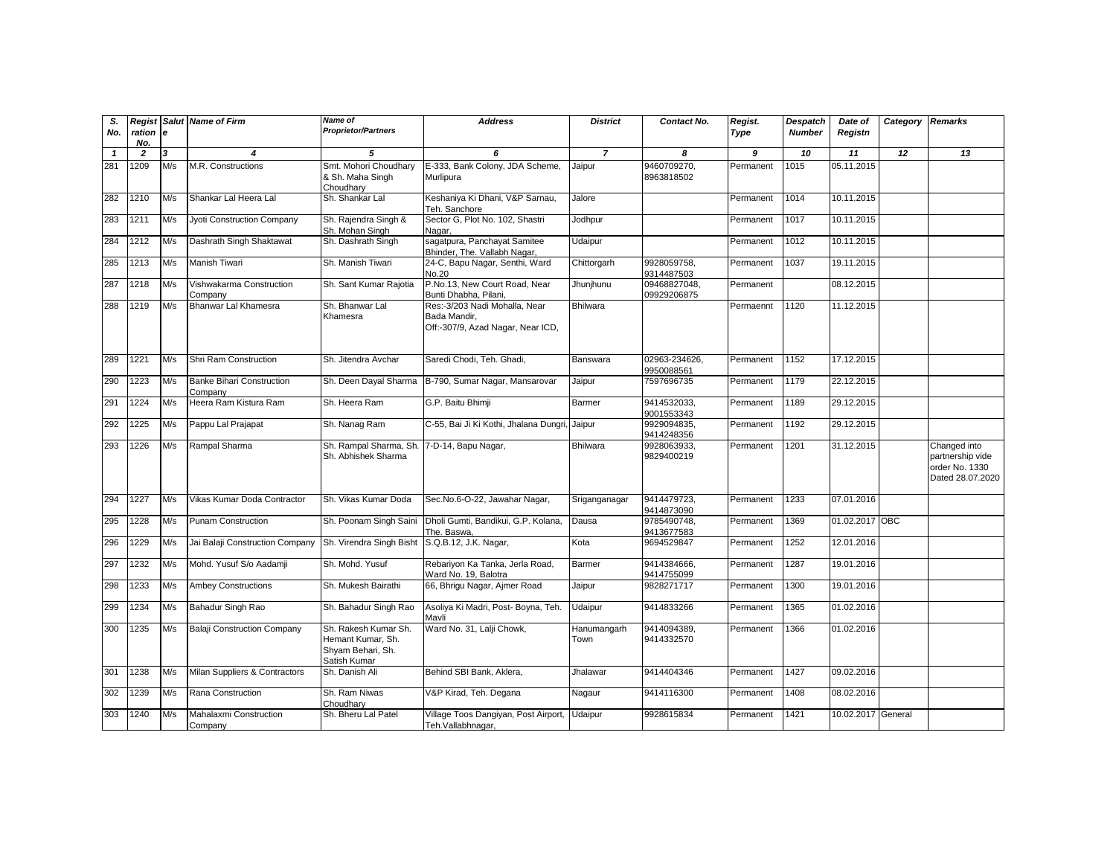| S.<br>No.    | ration e<br>No. |     | <b>Regist Salut Name of Firm</b>            | <b>Name of</b><br><b>Proprietor/Partners</b>                                   | <b>Address</b>                                                                     | <b>District</b>     | Contact No.                 | Regist.<br>Type | <b>Despatch</b><br><b>Number</b> | Date of<br>Registn | Category Remarks |                                                                        |
|--------------|-----------------|-----|---------------------------------------------|--------------------------------------------------------------------------------|------------------------------------------------------------------------------------|---------------------|-----------------------------|-----------------|----------------------------------|--------------------|------------------|------------------------------------------------------------------------|
| $\mathbf{1}$ | $\overline{2}$  | 3   | 4                                           | 5                                                                              | 6                                                                                  | $\overline{7}$      | 8                           | 9               | 10                               | 11                 | 12               | 13                                                                     |
| 281          | 1209            | M/s | M.R. Constructions                          | Smt. Mohori Choudhary<br>& Sh. Maha Singh<br>Choudhary                         | E-333, Bank Colony, JDA Scheme,<br>Murlipura                                       | Jaipur              | 9460709270,<br>8963818502   | Permanent       | 1015                             | 05.11.2015         |                  |                                                                        |
| 282          | 1210            | M/s | Shankar Lal Heera Lal                       | Sh. Shankar Lal                                                                | Keshaniya Ki Dhani, V&P Sarnau,<br>Teh. Sanchore                                   | Jalore              |                             | Permanent       | 1014                             | 10.11.2015         |                  |                                                                        |
| 283          | 1211            | M/s | Jyoti Construction Company                  | Sh. Rajendra Singh &<br>Sh. Mohan Singh                                        | Sector G, Plot No. 102, Shastri<br>Nagar,                                          | Jodhpur             |                             | Permanent       | 1017                             | 10.11.2015         |                  |                                                                        |
| 284          | 1212            | M/s | Dashrath Singh Shaktawat                    | Sh. Dashrath Singh                                                             | sagatpura, Panchayat Samitee<br>Bhinder, The. Vallabh Nagar,                       | Udaipur             |                             | Permanent       | 1012                             | 10.11.2015         |                  |                                                                        |
| 285          | 1213            | M/s | Manish Tiwari                               | Sh. Manish Tiwari                                                              | 24-C, Bapu Nagar, Senthi, Ward<br>No.20                                            | Chittorgarh         | 9928059758,<br>9314487503   | Permanent       | 1037                             | 19.11.2015         |                  |                                                                        |
| 287          | 1218            | M/s | Vishwakarma Construction<br>Company         | Sh. Sant Kumar Rajotia                                                         | P.No.13, New Court Road, Near<br>Bunti Dhabha, Pilani,                             | Jhunjhunu           | 09468827048,<br>09929206875 | Permanent       |                                  | 08.12.2015         |                  |                                                                        |
| 288          | 1219            | M/s | Bhanwar Lal Khamesra                        | Sh. Bhanwar Lal<br>Khamesra                                                    | Res:-3/203 Nadi Mohalla, Near<br>Bada Mandir,<br>Off:-307/9, Azad Nagar, Near ICD, | <b>Bhilwara</b>     |                             | Permaennt       | 1120                             | 11.12.2015         |                  |                                                                        |
| 289          | 1221            | M/s | Shri Ram Construction                       | Sh. Jitendra Avchar                                                            | Saredi Chodi, Teh. Ghadi,                                                          | Banswara            | 02963-234626,<br>9950088561 | Permanent       | 1152                             | 17.12.2015         |                  |                                                                        |
| 290          | 1223            | M/s | <b>Banke Bihari Construction</b><br>Company | Sh. Deen Dayal Sharma                                                          | B-790, Sumar Nagar, Mansarovar                                                     | Jaipur              | 7597696735                  | Permanent       | 1179                             | 22.12.2015         |                  |                                                                        |
| 291          | 1224            | M/s | Heera Ram Kistura Ram                       | Sh. Heera Ram                                                                  | G.P. Baitu Bhimji                                                                  | Barmer              | 9414532033,<br>9001553343   | Permanent       | 1189                             | 29.12.2015         |                  |                                                                        |
| 292          | 1225            | M/s | Pappu Lal Prajapat                          | Sh. Nanag Ram                                                                  | C-55, Bai Ji Ki Kothi, Jhalana Dungri, Jaipur                                      |                     | 9929094835,<br>9414248356   | Permanent       | 1192                             | 29.12.2015         |                  |                                                                        |
| 293          | 1226            | M/s | Rampal Sharma                               | Sh. Rampal Sharma, Sh<br>Sh. Abhishek Sharma                                   | 7-D-14, Bapu Nagar,                                                                | <b>Bhilwara</b>     | 9928063933.<br>9829400219   | Permanent       | 1201                             | 31.12.2015         |                  | Changed into<br>partnership vide<br>order No. 1330<br>Dated 28.07.2020 |
| 294          | 1227            | M/s | Vikas Kumar Doda Contractor                 | Sh. Vikas Kumar Doda                                                           | Sec.No.6-O-22, Jawahar Nagar,                                                      | Sriganganagar       | 9414479723,<br>9414873090   | Permanent       | 1233                             | 07.01.2016         |                  |                                                                        |
| 295          | 1228            | M/s | <b>Punam Construction</b>                   | Sh. Poonam Singh Saini                                                         | Dholi Gumti, Bandikui, G.P. Kolana.<br>The. Baswa,                                 | Dausa               | 9785490748,<br>9413677583   | Permanent       | 1369                             | 01.02.2017 OBC     |                  |                                                                        |
| 296          | 1229            | M/s | Jai Balaji Construction Company             | Sh. Virendra Singh Bisht                                                       | S.Q.B.12, J.K. Nagar,                                                              | Kota                | 9694529847                  | Permanent       | 1252                             | 12.01.2016         |                  |                                                                        |
| 297          | 1232            | M/s | Mohd. Yusuf S/o Aadamji                     | Sh. Mohd. Yusuf                                                                | Rebariyon Ka Tanka, Jerla Road,<br>Ward No. 19, Balotra                            | Barmer              | 9414384666,<br>9414755099   | Permanent       | 1287                             | 19.01.2016         |                  |                                                                        |
| 298          | 1233            | M/s | <b>Ambey Constructions</b>                  | Sh. Mukesh Bairathi                                                            | 66, Bhrigu Nagar, Ajmer Road                                                       | Jaipur              | 9828271717                  | Permanent       | 1300                             | 19.01.2016         |                  |                                                                        |
| 299          | 1234            | M/s | Bahadur Singh Rao                           | Sh. Bahadur Singh Rao                                                          | Asoliya Ki Madri, Post- Boyna, Teh.<br>Mavli                                       | Udaipur             | 9414833266                  | Permanent       | 1365                             | 01.02.2016         |                  |                                                                        |
| 300          | 1235            | M/s | <b>Balaji Construction Company</b>          | Sh. Rakesh Kumar Sh.<br>Hemant Kumar, Sh.<br>Shyam Behari, Sh.<br>Satish Kumar | Ward No. 31, Lalji Chowk,                                                          | Hanumangarh<br>Town | 9414094389,<br>9414332570   | Permanent       | 1366                             | 01.02.2016         |                  |                                                                        |
| 301          | 1238            | M/s | Milan Suppliers & Contractors               | Sh. Danish Ali                                                                 | Behind SBI Bank, Aklera,                                                           | Jhalawar            | 9414404346                  | Permanent       | 1427                             | 09.02.2016         |                  |                                                                        |
| 302          | 1239            | M/s | Rana Construction                           | Sh. Ram Niwas<br>Choudhary                                                     | V&P Kirad, Teh. Degana                                                             | Nagaur              | 9414116300                  | Permanent       | 1408                             | 08.02.2016         |                  |                                                                        |
| 303          | 1240            | M/s | Mahalaxmi Construction<br>Company           | Sh. Bheru Lal Patel                                                            | Village Toos Dangiyan, Post Airport, Udaipur<br>Teh.Vallabhnagar,                  |                     | 9928615834                  | Permanent       | 1421                             | 10.02.2017 General |                  |                                                                        |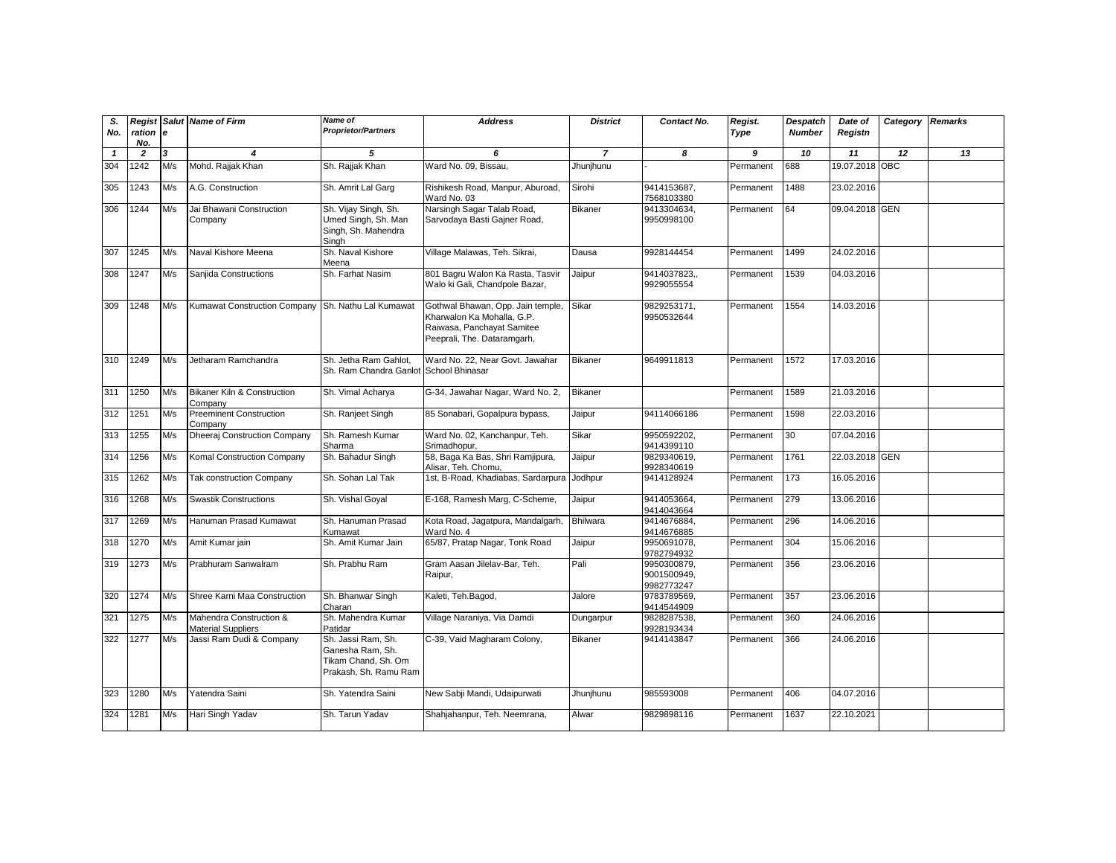| S.<br>No.    | ration e<br>No. |     | <b>Regist Salut Name of Firm</b>                     | Name of<br><b>Proprietor/Partners</b>                                                  | <b>Address</b>                                                                                                               | <b>District</b> | Contact No.                              | Regist.<br>Type | <b>Despatch</b><br><b>Number</b> | Date of<br>Registn | Category Remarks |    |
|--------------|-----------------|-----|------------------------------------------------------|----------------------------------------------------------------------------------------|------------------------------------------------------------------------------------------------------------------------------|-----------------|------------------------------------------|-----------------|----------------------------------|--------------------|------------------|----|
| $\mathbf{1}$ | $\overline{2}$  | 3   | 4                                                    | 5                                                                                      | 6                                                                                                                            | $\overline{7}$  | 8                                        | 9               | 10                               | 11                 | 12               | 13 |
| 304          | 1242            | M/s | Mohd. Rajjak Khan                                    | Sh. Rajjak Khan                                                                        | Ward No. 09, Bissau,                                                                                                         | Jhunjhunu       |                                          | Permanent       | 688                              | 19.07.2018 OBC     |                  |    |
| 305          | 1243            | M/s | A.G. Construction                                    | Sh. Amrit Lal Garg                                                                     | Rishikesh Road, Manpur, Aburoad,<br>Ward No. 03                                                                              | Sirohi          | 9414153687,<br>7568103380                | Permanent       | 1488                             | 23.02.2016         |                  |    |
| 306          | 1244            | M/s | Jai Bhawani Construction<br>Company                  | Sh. Vijay Singh, Sh.<br>Umed Singh, Sh. Man<br>Singh, Sh. Mahendra<br>Singh            | Narsingh Sagar Talab Road,<br>Sarvodaya Basti Gajner Road,                                                                   | Bikaner         | 9413304634,<br>9950998100                | Permanent       | 64                               | 09.04.2018 GEN     |                  |    |
| 307          | 1245            | M/s | Naval Kishore Meena                                  | Sh. Naval Kishore<br>Meena                                                             | Village Malawas, Teh. Sikrai,                                                                                                | Dausa           | 9928144454                               | Permanent       | 1499                             | 24.02.2016         |                  |    |
| 308          | 1247            | M/s | Sanjida Constructions                                | Sh. Farhat Nasim                                                                       | 801 Bagru Walon Ka Rasta, Tasvir<br>Walo ki Gali, Chandpole Bazar,                                                           | Jaipur          | 9414037823,,<br>9929055554               | Permanent       | 1539                             | 04.03.2016         |                  |    |
| 309          | 1248            | M/s | <b>Kumawat Construction Company</b>                  | Sh. Nathu Lal Kumawat                                                                  | Gothwal Bhawan, Opp. Jain temple,<br>Kharwalon Ka Mohalla, G.P.<br>Raiwasa, Panchayat Samitee<br>Peeprali, The. Dataramgarh, | Sikar           | 9829253171.<br>9950532644                | Permanent       | 1554                             | 14.03.2016         |                  |    |
| 310          | 1249            | M/s | Jetharam Ramchandra                                  | Sh. Jetha Ram Gahlot,<br>Sh. Ram Chandra Ganlot School Bhinasar                        | Ward No. 22, Near Govt. Jawahar                                                                                              | <b>Bikaner</b>  | 9649911813                               | Permanent       | 1572                             | 17.03.2016         |                  |    |
| 311          | 1250            | M/s | <b>Bikaner Kiln &amp; Construction</b><br>Company    | Sh. Vimal Acharya                                                                      | G-34, Jawahar Nagar, Ward No. 2,                                                                                             | <b>Bikaner</b>  |                                          | Permanent       | 1589                             | 21.03.2016         |                  |    |
| 312          | 1251            | M/s | <b>Preeminent Construction</b><br>Company            | Sh. Ranjeet Singh                                                                      | 85 Sonabari, Gopalpura bypass,                                                                                               | Jaipur          | 94114066186                              | Permanent       | 1598                             | 22.03.2016         |                  |    |
| 313          | 1255            | M/s | <b>Dheeraj Construction Company</b>                  | Sh. Ramesh Kumar<br>Sharma                                                             | Ward No. 02, Kanchanpur, Teh.<br>Srimadhopur.                                                                                | Sikar           | 9950592202.<br>9414399110                | Permanent       | 30                               | 07.04.2016         |                  |    |
| 314          | 1256            | M/s | Komal Construction Company                           | Sh. Bahadur Singh                                                                      | 58, Baga Ka Bas, Shri Ramjipura,<br>Alisar, Teh. Chomu,                                                                      | Jaipur          | 9829340619.<br>9928340619                | Permanent       | 1761                             | 22.03.2018 GEN     |                  |    |
| 315          | 1262            | M/s | <b>Tak construction Company</b>                      | Sh. Sohan Lal Tak                                                                      | 1st, B-Road, Khadiabas, Sardarpura                                                                                           | Jodhpur         | 9414128924                               | Permanent       | 173                              | 16.05.2016         |                  |    |
| 316          | 1268            | M/s | <b>Swastik Constructions</b>                         | Sh. Vishal Goyal                                                                       | E-168, Ramesh Marg, C-Scheme,                                                                                                | Jaipur          | 9414053664,<br>9414043664                | Permanent       | 279                              | 13.06.2016         |                  |    |
| 317          | 1269            | M/s | Hanuman Prasad Kumawat                               | Sh. Hanuman Prasad<br>Kumawat                                                          | Kota Road, Jagatpura, Mandalgarh,<br>Ward No. 4                                                                              | Bhilwara        | 9414676884,<br>9414676885                | Permanent       | 296                              | 14.06.2016         |                  |    |
| 318          | 1270            | M/s | Amit Kumar jain                                      | Sh. Amit Kumar Jain                                                                    | 65/87, Pratap Nagar, Tonk Road                                                                                               | Jaipur          | 9950691078.<br>9782794932                | Permanent       | 304                              | 15.06.2016         |                  |    |
| 319          | 1273            | M/s | Prabhuram Sanwalram                                  | Sh. Prabhu Ram                                                                         | Gram Aasan Jilelav-Bar, Teh.<br>Raipur,                                                                                      | Pali            | 9950300879,<br>9001500949,<br>9982773247 | Permanent       | 356                              | 23.06.2016         |                  |    |
| 320          | 1274            | M/s | Shree Karni Maa Construction                         | Sh. Bhanwar Singh<br>Charan                                                            | Kaleti, Teh.Bagod,                                                                                                           | Jalore          | 9783789569,<br>9414544909                | Permanent       | 357                              | 23.06.2016         |                  |    |
| 321          | 1275            | M/s | Mahendra Construction &<br><b>Material Suppliers</b> | Sh. Mahendra Kumar<br>Patidar                                                          | Village Naraniya, Via Damdi                                                                                                  | Dungarpur       | 9828287538<br>9928193434                 | Permanent       | 360                              | 24.06.2016         |                  |    |
| 322          | 1277            | M/s | Jassi Ram Dudi & Company                             | Sh. Jassi Ram, Sh.<br>Ganesha Ram. Sh.<br>Tikam Chand, Sh. Om<br>Prakash, Sh. Ramu Ram | C-39, Vaid Magharam Colony,                                                                                                  | <b>Bikaner</b>  | 9414143847                               | Permanent       | 366                              | 24.06.2016         |                  |    |
| 323          | 1280            | M/s | Yatendra Saini                                       | Sh. Yatendra Saini                                                                     | New Sabji Mandi, Udaipurwati                                                                                                 | Jhunjhunu       | 985593008                                | Permanent       | 406                              | 04.07.2016         |                  |    |
| 324          | 1281            | M/s | Hari Singh Yadav                                     | Sh. Tarun Yadav                                                                        | Shahjahanpur, Teh. Neemrana,                                                                                                 | Alwar           | 9829898116                               | Permanent       | 1637                             | 22.10.2021         |                  |    |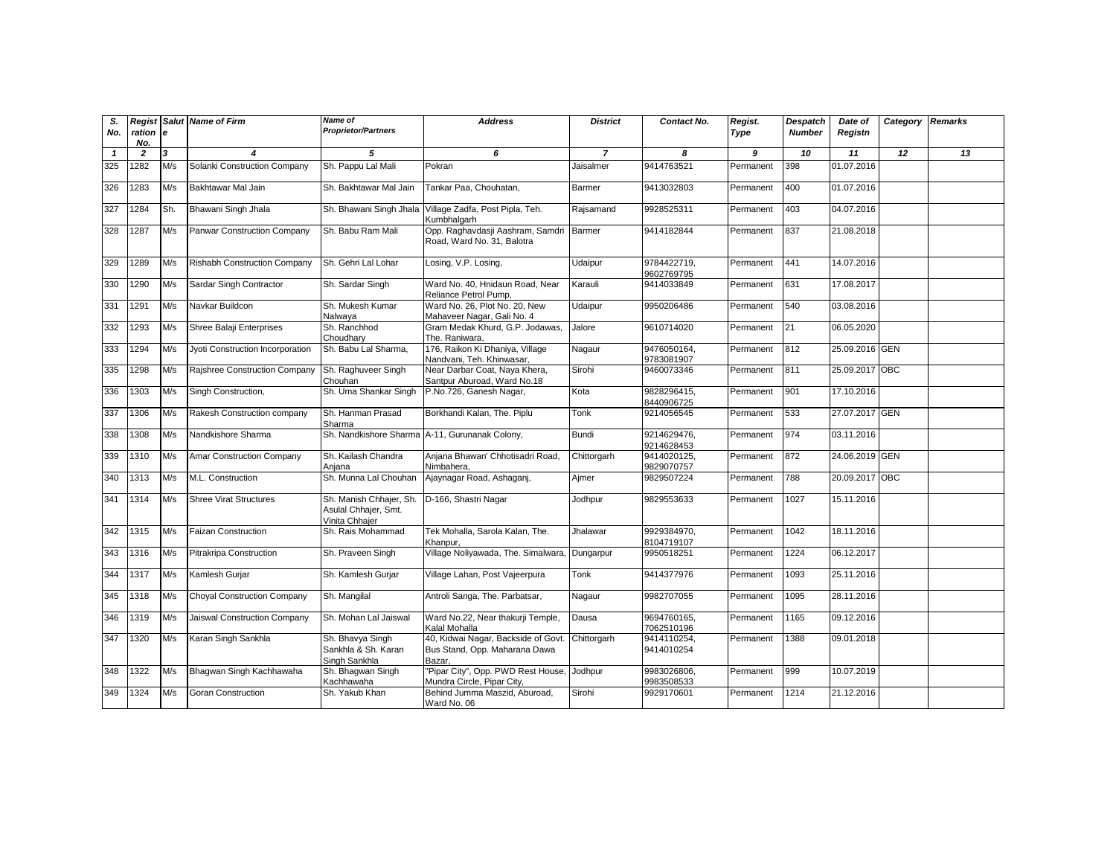| S.<br>No.    | ration e       |     | <b>Regist Salut Name of Firm</b>   | <b>Name of</b><br><b>Proprietor/Partners</b>                      | <b>Address</b>                                                                | <b>District</b> | Contact No.               | Regist.<br>Type | <b>Despatch</b><br><b>Number</b> | Date of<br>Registn | Category | <b>Remarks</b> |
|--------------|----------------|-----|------------------------------------|-------------------------------------------------------------------|-------------------------------------------------------------------------------|-----------------|---------------------------|-----------------|----------------------------------|--------------------|----------|----------------|
|              | No.            |     |                                    |                                                                   |                                                                               |                 |                           |                 |                                  |                    |          |                |
| $\mathbf{1}$ | $\overline{2}$ | 3   | $\boldsymbol{4}$                   | 5                                                                 | 6                                                                             | $\overline{7}$  | 8                         | 9               | 10                               | 11                 | 12       | 13             |
| 325          | 1282           | M/s | Solanki Construction Company       | Sh. Pappu Lal Mali                                                | Pokran                                                                        | Jaisalmer       | 9414763521                | Permanent       | 398                              | 01.07.2016         |          |                |
| 326          | 1283           | M/s | Bakhtawar Mal Jain                 | Sh. Bakhtawar Mal Jain                                            | Tankar Paa, Chouhatan,                                                        | Barmer          | 9413032803                | Permanent       | 400                              | 01.07.2016         |          |                |
| 327          | 1284           | Sh. | Bhawani Singh Jhala                | Sh. Bhawani Singh Jhala                                           | Village Zadfa, Post Pipla, Teh.<br>Kumbhalgarh                                | Rajsamand       | 9928525311                | Permanent       | 403                              | 04.07.2016         |          |                |
| 328          | 1287           | M/s | Panwar Construction Company        | Sh. Babu Ram Mali                                                 | Opp. Raghavdasji Aashram, Samdri Barmer<br>Road, Ward No. 31, Balotra         |                 | 9414182844                | Permanent       | 837                              | 21.08.2018         |          |                |
| 329          | 1289           | M/s | Rishabh Construction Company       | Sh. Gehri Lal Lohar                                               | Losing, V.P. Losing,                                                          | Udaipur         | 9784422719,<br>9602769795 | Permanent       | 441                              | 14.07.2016         |          |                |
| 330          | 1290           | M/s | Sardar Singh Contractor            | Sh. Sardar Singh                                                  | Ward No. 40, Hnidaun Road, Near<br>Reliance Petrol Pump.                      | Karauli         | 9414033849                | Permanent       | 631                              | 17.08.2017         |          |                |
| 331          | 1291           | M/s | Navkar Buildcon                    | Sh. Mukesh Kumar<br>Nalwaya                                       | Ward No. 26, Plot No. 20, New<br>Mahaveer Nagar, Gali No. 4                   | Udaipur         | 9950206486                | Permanent       | 540                              | 03.08.2016         |          |                |
| 332          | 1293           | M/s | Shree Balaji Enterprises           | Sh. Ranchhod<br>Choudhary                                         | Gram Medak Khurd, G.P. Jodawas,<br>The. Raniwara,                             | Jalore          | 9610714020                | Permanent       | 21                               | 06.05.2020         |          |                |
| 333          | 1294           | M/s | Jyoti Construction Incorporation   | Sh. Babu Lal Sharma,                                              | 176, Raikon Ki Dhaniya, Village<br>Nandvani, Teh. Khinwasar,                  | Nagaur          | 9476050164,<br>9783081907 | Permanent       | 812                              | 25.09.2016 GEN     |          |                |
| 335          | 1298           | M/s | Rajshree Construction Company      | Sh. Raghuveer Singh<br>Chouhan                                    | Near Darbar Coat, Naya Khera,<br>Santpur Aburoad, Ward No.18                  | Sirohi          | 9460073346                | Permanent       | 811                              | 25.09.2017 OBC     |          |                |
| 336          | 1303           | M/s | Singh Construction,                | Sh. Uma Shankar Singh                                             | P.No.726, Ganesh Nagar,                                                       | Kota            | 9828296415,<br>8440906725 | Permanent       | 901                              | 17.10.2016         |          |                |
| 337          | 1306           | M/s | Rakesh Construction company        | Sh. Hanman Prasad<br>Sharma                                       | Borkhandi Kalan, The. Piplu                                                   | Tonk            | 9214056545                | Permanent       | 533                              | 27.07.2017 GEN     |          |                |
| 338          | 1308           | M/s | Nandkishore Sharma                 |                                                                   | Sh. Nandkishore Sharma A-11, Gurunanak Colony,                                | Bundi           | 9214629476,<br>9214628453 | Permanent       | 974                              | 03.11.2016         |          |                |
| 339          | 1310           | M/s | <b>Amar Construction Company</b>   | Sh. Kailash Chandra<br>Aniana                                     | Anjana Bhawan' Chhotisadri Road,<br>Nimbahera.                                | Chittorgarh     | 9414020125,<br>9829070757 | Permanent       | 872                              | 24.06.2019 GEN     |          |                |
| 340          | 1313           | M/s | M.L. Construction                  | Sh. Munna Lal Chouhan                                             | Ajaynagar Road, Ashaganj,                                                     | Ajmer           | 9829507224                | Permanent       | 788                              | 20.09.2017 OBC     |          |                |
| 341          | 1314           | M/s | <b>Shree Virat Structures</b>      | Sh. Manish Chhajer, Sh.<br>Asulal Chhajer, Smt.<br>Vinita Chhaier | D-166, Shastri Nagar                                                          | Jodhpur         | 9829553633                | Permanent       | 1027                             | 15.11.2016         |          |                |
| 342          | 1315           | M/s | <b>Faizan Construction</b>         | Sh. Rais Mohammad                                                 | Tek Mohalla, Sarola Kalan, The.<br>Khanpur.                                   | Jhalawar        | 9929384970,<br>8104719107 | Permanent       | 1042                             | 18.11.2016         |          |                |
| 343          | 1316           | M/s | <b>Pitrakripa Construction</b>     | Sh. Praveen Singh                                                 | Village Noliyawada, The. Simalwara, Dungarpur                                 |                 | 9950518251                | Permanent       | 1224                             | 06.12.2017         |          |                |
| 344          | 1317           | M/s | Kamlesh Gurjar                     | Sh. Kamlesh Gurjar                                                | Village Lahan, Post Vajeerpura                                                | Tonk            | 9414377976                | Permanent       | 1093                             | 25.11.2016         |          |                |
| 345          | 1318           | M/s | <b>Choyal Construction Company</b> | Sh. Mangilal                                                      | Antroli Sanga, The. Parbatsar,                                                | Nagaur          | 9982707055                | Permanent       | 1095                             | 28.11.2016         |          |                |
| 346          | 1319           | M/s | Jaiswal Construction Company       | Sh. Mohan Lal Jaiswal                                             | Ward No.22, Near thakurji Temple,<br>Kalal Mohalla                            | Dausa           | 9694760165,<br>7062510196 | Permanent       | 1165                             | 09.12.2016         |          |                |
| 347          | 1320           | M/s | Karan Singh Sankhla                | Sh. Bhavya Singh<br>Sankhla & Sh. Karan<br>Singh Sankhla          | 40, Kidwai Nagar, Backside of Govt<br>Bus Stand, Opp. Maharana Dawa<br>Bazar. | Chittorgarh     | 9414110254,<br>9414010254 | Permanent       | 1388                             | 09.01.2018         |          |                |
| 348          | 1322           | M/s | Bhagwan Singh Kachhawaha           | Sh. Bhagwan Singh<br>Kachhawaha                                   | 'Pipar City", Opp. PWD Rest House,<br>Mundra Circle, Pipar City.              | Jodhpur         | 9983026806,<br>9983508533 | Permanent       | 999                              | 10.07.2019         |          |                |
| 349          | 1324           | M/s | <b>Goran Construction</b>          | Sh. Yakub Khan                                                    | Behind Jumma Maszid, Aburoad,<br>Ward No. 06                                  | Sirohi          | 9929170601                | Permanent       | 1214                             | 21.12.2016         |          |                |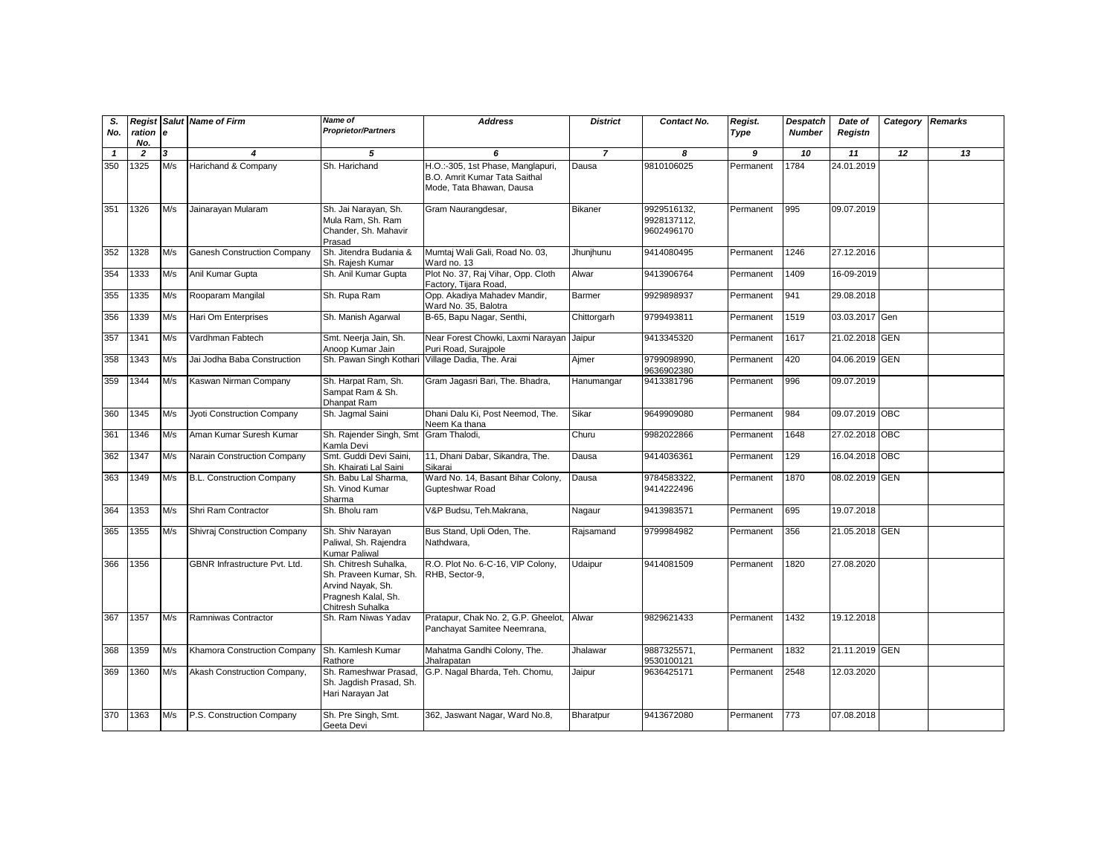| S.<br>No.    | ration e<br>No. |     | <b>Regist Salut Name of Firm</b>     | <b>Name of</b><br><b>Proprietor/Partners</b>                                                                    | <b>Address</b>                                                                                 | <b>District</b> | Contact No.                              | Regist.<br>Type | <b>Despatch</b><br><b>Number</b> | Date of<br>Registn | Category Remarks |    |
|--------------|-----------------|-----|--------------------------------------|-----------------------------------------------------------------------------------------------------------------|------------------------------------------------------------------------------------------------|-----------------|------------------------------------------|-----------------|----------------------------------|--------------------|------------------|----|
| $\mathbf{1}$ | $\overline{z}$  | 3   | 4                                    | 5                                                                                                               | 6                                                                                              | $\overline{7}$  | 8                                        | 9               | 10                               | 11                 | 12               | 13 |
| 350          | 1325            | M/s | Harichand & Company                  | Sh. Harichand                                                                                                   | H.O.:-305, 1st Phase, Manglapuri,<br>B.O. Amrit Kumar Tata Saithal<br>Mode, Tata Bhawan, Dausa | Dausa           | 9810106025                               | Permanent       | 1784                             | 24.01.2019         |                  |    |
| 351          | 1326            | M/s | Jainarayan Mularam                   | Sh. Jai Narayan, Sh.<br>Mula Ram, Sh. Ram<br>Chander, Sh. Mahavir<br>Prasad                                     | Gram Naurangdesar,                                                                             | <b>Bikaner</b>  | 9929516132,<br>9928137112.<br>9602496170 | Permanent       | 995                              | 09.07.2019         |                  |    |
| 352          | 1328            | M/s | <b>Ganesh Construction Company</b>   | Sh. Jitendra Budania &<br>Sh. Rajesh Kumar                                                                      | Mumtaj Wali Gali, Road No. 03,<br>Ward no. 13                                                  | Jhunjhunu       | 9414080495                               | Permanent       | 1246                             | 27.12.2016         |                  |    |
| 354          | 1333            | M/s | Anil Kumar Gupta                     | Sh. Anil Kumar Gupta                                                                                            | Plot No. 37, Raj Vihar, Opp. Cloth<br>Factory, Tijara Road,                                    | Alwar           | 9413906764                               | Permanent       | 1409                             | 16-09-2019         |                  |    |
| 355          | 1335            | M/s | Rooparam Mangilal                    | Sh. Rupa Ram                                                                                                    | Opp. Akadiya Mahadev Mandir,<br>Ward No. 35, Balotra                                           | Barmer          | 9929898937                               | Permanent       | 941                              | 29.08.2018         |                  |    |
| 356          | 1339            | M/s | Hari Om Enterprises                  | Sh. Manish Agarwal                                                                                              | B-65, Bapu Nagar, Senthi,                                                                      | Chittorgarh     | 9799493811                               | Permanent       | 1519                             | 03.03.2017         | Gen              |    |
| 357          | 1341            | M/s | Vardhman Fabtech                     | Smt. Neerja Jain, Sh.<br>Anoop Kumar Jain                                                                       | Near Forest Chowki, Laxmi Narayan Jaipur<br>Puri Road, Surajpole                               |                 | 9413345320                               | Permanent       | 1617                             | 21.02.2018 GEN     |                  |    |
| 358          | 1343            | M/s | Jai Jodha Baba Construction          | Sh. Pawan Singh Kothari                                                                                         | Village Dadia, The. Arai                                                                       | Ajmer           | 9799098990,<br>9636902380                | Permanent       | 420                              | 04.06.2019 GEN     |                  |    |
| 359          | 1344            | M/s | Kaswan Nirman Company                | Sh. Harpat Ram, Sh.<br>Sampat Ram & Sh.<br>Dhanpat Ram                                                          | Gram Jagasri Bari, The. Bhadra,                                                                | Hanumangar      | 9413381796                               | Permanent       | 996                              | 09.07.2019         |                  |    |
| 360          | 1345            | M/s | Jyoti Construction Company           | Sh. Jaqmal Saini                                                                                                | Dhani Dalu Ki, Post Neemod, The.<br>Neem Ka thana                                              | Sikar           | 9649909080                               | Permanent       | 984                              | 09.07.2019 OBC     |                  |    |
| 361          | 1346            | M/s | Aman Kumar Suresh Kumar              | Sh. Rajender Singh, Smt<br>Kamla Devi                                                                           | Gram Thalodi,                                                                                  | Churu           | 9982022866                               | Permanent       | 1648                             | 27.02.2018 OBC     |                  |    |
| 362          | 1347            | M/s | Narain Construction Company          | Smt. Guddi Devi Saini.<br>Sh. Khairati Lal Saini                                                                | 11, Dhani Dabar, Sikandra, The.<br>Sikarai                                                     | Dausa           | 9414036361                               | Permanent       | 129                              | 16.04.2018 OBC     |                  |    |
| 363          | 1349            | M/s | B.L. Construction Company            | Sh. Babu Lal Sharma,<br>Sh. Vinod Kumar<br>Sharma                                                               | Ward No. 14, Basant Bihar Colony,<br>Gupteshwar Road                                           | Dausa           | 9784583322,<br>9414222496                | Permanent       | 1870                             | 08.02.2019 GEN     |                  |    |
| 364          | 1353            | M/s | Shri Ram Contractor                  | Sh. Bholu ram                                                                                                   | V&P Budsu, Teh.Makrana,                                                                        | Nagaur          | 9413983571                               | Permanent       | 695                              | 19.07.2018         |                  |    |
| 365          | 1355            | M/s | Shivraj Construction Company         | Sh. Shiv Narayan<br>Paliwal, Sh. Rajendra<br>Kumar Paliwal                                                      | Bus Stand, Upli Oden, The.<br>Nathdwara,                                                       | Rajsamand       | 9799984982                               | Permanent       | 356                              | 21.05.2018 GEN     |                  |    |
| 366          | 1356            |     | <b>GBNR Infrastructure Pvt. Ltd.</b> | Sh. Chitresh Suhalka,<br>Sh. Praveen Kumar, Sh.<br>Arvind Nayak, Sh.<br>Pragnesh Kalal, Sh.<br>Chitresh Suhalka | R.O. Plot No. 6-C-16, VIP Colony,<br>RHB, Sector-9,                                            | Udaipur         | 9414081509                               | Permanent       | 1820                             | 27.08.2020         |                  |    |
| 367          | 1357            | M/s | Ramniwas Contractor                  | Sh. Ram Niwas Yadav                                                                                             | Pratapur, Chak No. 2, G.P. Gheelot,<br>Panchayat Samitee Neemrana,                             | Alwar           | 9829621433                               | Permanent       | 1432                             | 19.12.2018         |                  |    |
| 368          | 1359            | M/s | Khamora Construction Company         | Sh. Kamlesh Kumar<br>Rathore                                                                                    | Mahatma Gandhi Colony, The.<br>Jhalrapatan                                                     | Jhalawar        | 9887325571,<br>9530100121                | Permanent       | 1832                             | 21.11.2019 GEN     |                  |    |
| 369          | 1360            | M/s | Akash Construction Company,          | Sh. Rameshwar Prasad<br>Sh. Jagdish Prasad, Sh.<br>Hari Narayan Jat                                             | G.P. Nagal Bharda, Teh. Chomu,                                                                 | Jaipur          | 9636425171                               | Permanent       | 2548                             | 12.03.2020         |                  |    |
| 370          | 1363            | M/s | P.S. Construction Company            | Sh. Pre Singh, Smt.<br>Geeta Devi                                                                               | 362, Jaswant Nagar, Ward No.8,                                                                 | Bharatpur       | 9413672080                               | Permanent       | 773                              | 07.08.2018         |                  |    |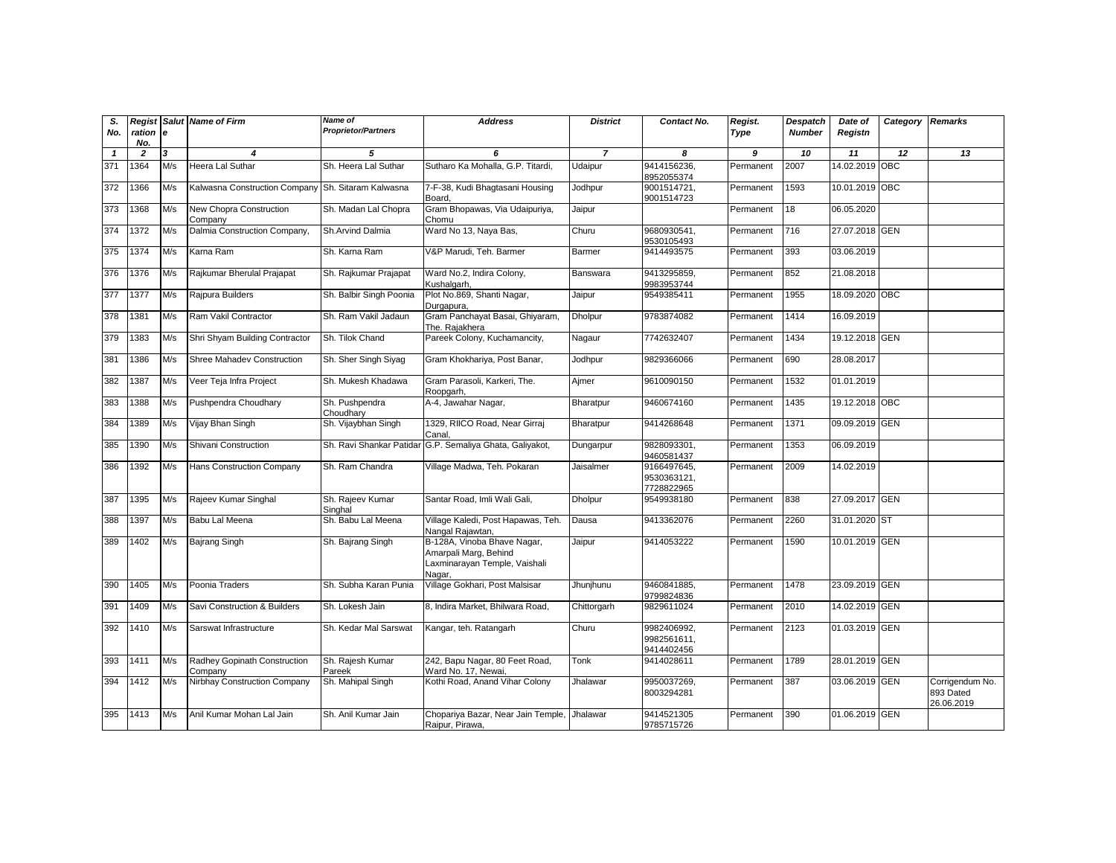| S.<br>No.    | Regist<br>ration e<br>No. |     | <b>Salut</b> Name of Firm                          | <b>Name of</b><br><b>Proprietor/Partners</b> | <b>Address</b>                                                                                  | <b>District</b> | Contact No.                              | Regist.<br>Type | Despatch<br><b>Number</b> | Date of<br>Registn | Category | <b>Remarks</b>                             |
|--------------|---------------------------|-----|----------------------------------------------------|----------------------------------------------|-------------------------------------------------------------------------------------------------|-----------------|------------------------------------------|-----------------|---------------------------|--------------------|----------|--------------------------------------------|
| $\mathbf{1}$ | $\overline{2}$            | 3   | 4                                                  | 5                                            | 6                                                                                               | $\overline{7}$  | 8                                        | 9               | 10                        | 11                 | 12       | 13                                         |
| 371          | 1364                      | M/s | Heera Lal Suthar                                   | Sh. Heera Lal Suthar                         | Sutharo Ka Mohalla, G.P. Titardi,                                                               | Udaipur         | 9414156236,<br>8952055374                | Permanent       | 2007                      | 14.02.2019 OBC     |          |                                            |
| 372          | 1366                      | M/s | Kalwasna Construction Company Sh. Sitaram Kalwasna |                                              | 7-F-38, Kudi Bhagtasani Housing<br>Board,                                                       | Jodhpur         | 9001514721,<br>9001514723                | Permanent       | 1593                      | 10.01.2019 OBC     |          |                                            |
| 373          | 1368                      | M/s | New Chopra Construction<br>Company                 | Sh. Madan Lal Chopra                         | Gram Bhopawas, Via Udaipuriya,<br>Chomu                                                         | Jaipur          |                                          | Permanent       | 18                        | 06.05.2020         |          |                                            |
| 374          | 1372                      | M/s | Dalmia Construction Company,                       | Sh.Arvind Dalmia                             | Ward No 13, Naya Bas,                                                                           | Churu           | 9680930541.<br>9530105493                | Permanent       | 716                       | 27.07.2018 GEN     |          |                                            |
| 375          | 1374                      | M/s | Karna Ram                                          | Sh. Karna Ram                                | V&P Marudi, Teh. Barmer                                                                         | Barmer          | 9414493575                               | Permanent       | 393                       | 03.06.2019         |          |                                            |
| 376          | 1376                      | M/s | Rajkumar Bherulal Prajapat                         | Sh. Rajkumar Prajapat                        | Ward No.2, Indira Colony,<br>Kushalgarh,                                                        | Banswara        | 9413295859,<br>9983953744                | Permanent       | 852                       | 21.08.2018         |          |                                            |
| 377          | 1377                      | M/s | Rajpura Builders                                   | Sh. Balbir Singh Poonia                      | Plot No.869, Shanti Nagar,<br>Durgapura,                                                        | Jaipur          | 9549385411                               | Permanent       | 1955                      | 18.09.2020 OBC     |          |                                            |
| 378          | 1381                      | M/s | Ram Vakil Contractor                               | Sh. Ram Vakil Jadaun                         | Gram Panchayat Basai, Ghiyaram,<br>The. Rajakhera                                               | <b>Dholpur</b>  | 9783874082                               | Permanent       | 1414                      | 16.09.2019         |          |                                            |
| 379          | 1383                      | M/s | Shri Shyam Building Contractor                     | Sh. Tilok Chand                              | Pareek Colony, Kuchamancity,                                                                    | Nagaur          | 7742632407                               | Permanent       | 1434                      | 19.12.2018 GEN     |          |                                            |
| 381          | 1386                      | M/s | <b>Shree Mahadev Construction</b>                  | Sh. Sher Singh Siyag                         | Gram Khokhariya, Post Banar,                                                                    | Jodhpur         | 9829366066                               | Permanent       | 690                       | 28.08.2017         |          |                                            |
| 382          | 1387                      | M/s | Veer Teja Infra Project                            | Sh. Mukesh Khadawa                           | Gram Parasoli, Karkeri, The.<br>Roopgarh,                                                       | Ajmer           | 9610090150                               | Permanent       | 1532                      | 01.01.2019         |          |                                            |
| 383          | 1388                      | M/s | Pushpendra Choudhary                               | Sh. Pushpendra<br>Choudharv                  | A-4, Jawahar Nagar,                                                                             | Bharatpur       | 9460674160                               | Permanent       | 1435                      | 19.12.2018 OBC     |          |                                            |
| 384          | 1389                      | M/s | Vijay Bhan Singh                                   | Sh. Vijaybhan Singh                          | 1329, RIICO Road, Near Girraj<br>Canal.                                                         | Bharatpur       | 9414268648                               | Permanent       | 1371                      | 09.09.2019 GEN     |          |                                            |
| 385          | 1390                      | M/s | Shivani Construction                               | Sh. Ravi Shankar Patidar                     | G.P. Semaliya Ghata, Galiyakot,                                                                 | Dungarpur       | 9828093301,<br>9460581437                | Permanent       | 1353                      | 06.09.2019         |          |                                            |
| 386          | 1392                      | M/s | Hans Construction Company                          | Sh. Ram Chandra                              | Village Madwa, Teh. Pokaran                                                                     | Jaisalmer       | 9166497645,<br>9530363121,<br>7728822965 | Permanent       | 2009                      | 14.02.2019         |          |                                            |
| 387          | 1395                      | M/s | Rajeev Kumar Singhal                               | Sh. Rajeev Kumar<br>Singhal                  | Santar Road, Imli Wali Gali,                                                                    | Dholpur         | 9549938180                               | Permanent       | 838                       | 27.09.2017 GEN     |          |                                            |
| 388          | 1397                      | M/s | Babu Lal Meena                                     | Sh. Babu Lal Meena                           | Village Kaledi, Post Hapawas, Teh.<br>Nangal Rajawtan,                                          | Dausa           | 9413362076                               | Permanent       | 2260                      | 31.01.2020 ST      |          |                                            |
| 389          | 1402                      | M/s | <b>Bajrang Singh</b>                               | Sh. Bajrang Singh                            | B-128A, Vinoba Bhave Nagar,<br>Amarpali Marg, Behind<br>Laxminarayan Temple, Vaishali<br>Nagar, | Jaipur          | 9414053222                               | Permanent       | 1590                      | 10.01.2019 GEN     |          |                                            |
| 390          | 1405                      | M/s | Poonia Traders                                     | Sh. Subha Karan Punia                        | Village Gokhari, Post Malsisar                                                                  | Jhunjhunu       | 9460841885,<br>9799824836                | Permanent       | 1478                      | 23.09.2019 GEN     |          |                                            |
| 391          | 1409                      | M/s | Savi Construction & Builders                       | Sh. Lokesh Jain                              | 8, Indira Market, Bhilwara Road,                                                                | Chittorgarh     | 9829611024                               | Permanent       | 2010                      | 14.02.2019 GEN     |          |                                            |
| 392          | 1410                      | M/s | Sarswat Infrastructure                             | Sh. Kedar Mal Sarswat                        | Kangar, teh. Ratangarh                                                                          | Churu           | 9982406992,<br>9982561611,<br>9414402456 | Permanent       | 2123                      | 01.03.2019 GEN     |          |                                            |
| 393          | 1411                      | M/s | Radhey Gopinath Construction<br>Company            | Sh. Rajesh Kumar<br>Pareek                   | 242, Bapu Nagar, 80 Feet Road,<br>Ward No. 17, Newai.                                           | Tonk            | 9414028611                               | Permanent       | 1789                      | 28.01.2019 GEN     |          |                                            |
| 394          | 1412                      | M/s | Nirbhay Construction Company                       | Sh. Mahipal Singh                            | Kothi Road, Anand Vihar Colony                                                                  | Jhalawar        | 9950037269,<br>8003294281                | Permanent       | 387                       | 03.06.2019 GEN     |          | Corrigendum No.<br>893 Dated<br>26.06.2019 |
| 395          | 1413                      | M/s | Anil Kumar Mohan Lal Jain                          | Sh. Anil Kumar Jain                          | Chopariya Bazar, Near Jain Temple,<br>Raipur, Pirawa,                                           | <b>Jhalawar</b> | 9414521305<br>9785715726                 | Permanent       | 390                       | 01.06.2019 GEN     |          |                                            |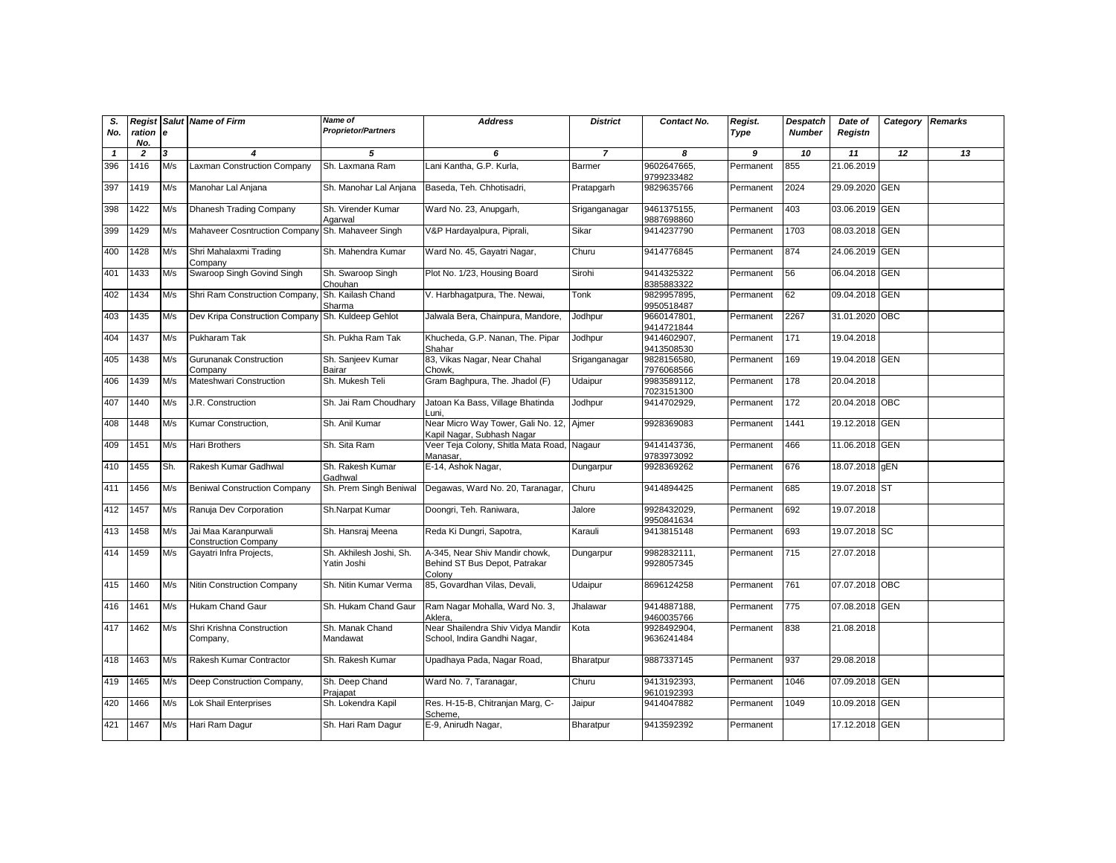| S.<br>No.    | Regist<br>ration e<br>No. |     | Salut Name of Firm                                  | <b>Name of</b><br><b>Proprietor/Partners</b> | <b>Address</b>                                                            | <b>District</b> | Contact No.               | Regist.<br>Type | <b>Despatch</b><br><b>Number</b> | Date of<br>Registn | Category   | <b>Remarks</b> |
|--------------|---------------------------|-----|-----------------------------------------------------|----------------------------------------------|---------------------------------------------------------------------------|-----------------|---------------------------|-----------------|----------------------------------|--------------------|------------|----------------|
| $\mathbf{1}$ | $\overline{2}$            | 3   | 4                                                   | 5                                            | 6                                                                         | $\overline{7}$  | 8                         | 9               | 10                               | 11                 | 12         | 13             |
| 396          | 1416                      | M/s | <b>Laxman Construction Company</b>                  | Sh. Laxmana Ram                              | Lani Kantha, G.P. Kurla.                                                  | Barmer          | 9602647665<br>9799233482  | Permanent       | 855                              | 21.06.2019         |            |                |
| 397          | 1419                      | M/s | Manohar Lal Anjana                                  | Sh. Manohar Lal Anjana                       | Baseda, Teh. Chhotisadri,                                                 | Pratapgarh      | 9829635766                | Permanent       | 2024                             | 29.09.2020         | <b>GEN</b> |                |
| 398          | 1422                      | M/s | Dhanesh Trading Company                             | Sh. Virender Kumar<br>Agarwal                | Ward No. 23, Anupgarh,                                                    | Sriganganagar   | 9461375155,<br>9887698860 | Permanent       | 403                              | 03.06.2019         | <b>GEN</b> |                |
| 399          | 1429                      | M/s | Mahaveer Cosntruction Company Sh. Mahaveer Singh    |                                              | V&P Hardayalpura, Piprali,                                                | Sikar           | 9414237790                | Permanent       | 1703                             | 08.03.2018 GEN     |            |                |
| 400          | 1428                      | M/s | Shri Mahalaxmi Trading<br>Company                   | Sh. Mahendra Kumar                           | Ward No. 45, Gayatri Nagar,                                               | Churu           | 9414776845                | Permanent       | 874                              | 24.06.2019         | <b>GEN</b> |                |
| 401          | 1433                      | M/s | Swaroop Singh Govind Singh                          | Sh. Swaroop Singh<br>Chouhan                 | Plot No. 1/23, Housing Board                                              | Sirohi          | 9414325322<br>8385883322  | Permanent       | 56                               | 06.04.2018 GEN     |            |                |
| 402          | 1434                      | M/s | Shri Ram Construction Company,                      | Sh. Kailash Chand<br>Sharma                  | V. Harbhagatpura, The. Newai,                                             | Tonk            | 9829957895,<br>9950518487 | Permanent       | 62                               | 09.04.2018 GEN     |            |                |
| 403          | 1435                      | M/s | Dev Kripa Construction Company                      | Sh. Kuldeep Gehlot                           | Jalwala Bera, Chainpura, Mandore,                                         | Jodhpur         | 9660147801,<br>9414721844 | Permanent       | 2267                             | 31.01.2020 OBC     |            |                |
| 404          | 1437                      | M/s | Pukharam Tak                                        | Sh. Pukha Ram Tak                            | Khucheda, G.P. Nanan, The. Pipar<br>Shahar                                | Jodhpur         | 9414602907,<br>9413508530 | Permanent       | 171                              | 19.04.2018         |            |                |
| 405          | 1438                      | M/s | <b>Gurunanak Construction</b><br>Company            | Sh. Sanjeev Kumar<br><b>Bairar</b>           | 83, Vikas Nagar, Near Chahal<br>Chowk.                                    | Sriganganagar   | 9828156580,<br>7976068566 | Permanent       | 169                              | 19.04.2018 GEN     |            |                |
| 406          | 1439                      | M/s | Mateshwari Construction                             | Sh. Mukesh Teli                              | Gram Baghpura, The. Jhadol (F)                                            | Udaipur         | 9983589112,<br>7023151300 | Permanent       | 178                              | 20.04.2018         |            |                |
| 407          | 1440                      | M/s | J.R. Construction                                   | Sh. Jai Ram Choudhary                        | Jatoan Ka Bass, Village Bhatinda<br>Luni.                                 | Jodhpur         | 9414702929,               | Permanent       | 172                              | 20.04.2018 OBC     |            |                |
| 408          | 1448                      | M/s | Kumar Construction.                                 | Sh. Anil Kumar                               | Near Micro Way Tower, Gali No. 12, Ajmer<br>Kapil Nagar, Subhash Nagar    |                 | 9928369083                | Permanent       | 1441                             | 19.12.2018 GEN     |            |                |
| 409          | 1451                      | M/s | Hari Brothers                                       | Sh. Sita Ram                                 | Veer Teja Colony, Shitla Mata Road, Nagaur<br>Manasar,                    |                 | 9414143736,<br>9783973092 | Permanent       | 466                              | 11.06.2018 GEN     |            |                |
| 410          | 1455                      | Sh. | Rakesh Kumar Gadhwal                                | Sh. Rakesh Kumar<br>Gadhwal                  | E-14, Ashok Nagar,                                                        | Dungarpur       | 9928369262                | Permanent       | 676                              | 18.07.2018 gEN     |            |                |
| 411          | 1456                      | M/s | <b>Beniwal Construction Company</b>                 | Sh. Prem Singh Beniwal                       | Degawas, Ward No. 20, Taranagar,                                          | Churu           | 9414894425                | Permanent       | 685                              | 19.07.2018 ST      |            |                |
| 412          | 1457                      | M/s | Ranuja Dev Corporation                              | Sh.Narpat Kumar                              | Doongri, Teh. Raniwara,                                                   | Jalore          | 9928432029,<br>9950841634 | Permanent       | 692                              | 19.07.2018         |            |                |
| 413          | 1458                      | M/s | Jai Maa Karanpurwali<br><b>Construction Company</b> | Sh. Hansraj Meena                            | Reda Ki Dungri, Sapotra,                                                  | Karauli         | 9413815148                | Permanent       | 693                              | 19.07.2018 SC      |            |                |
| 414          | 1459                      | M/s | Gayatri Infra Projects,                             | Sh. Akhilesh Joshi, Sh.<br>Yatin Joshi       | A-345, Near Shiv Mandir chowk,<br>Behind ST Bus Depot, Patrakar<br>Colony | Dungarpur       | 9982832111,<br>9928057345 | Permanent       | 715                              | 27.07.2018         |            |                |
| 415          | 1460                      | M/s | <b>Nitin Construction Company</b>                   | Sh. Nitin Kumar Verma                        | 85, Govardhan Vilas, Devali,                                              | Udaipur         | 8696124258                | Permanent       | 761                              | 07.07.2018 OBC     |            |                |
| 416          | 1461                      | M/s | Hukam Chand Gaur                                    | Sh. Hukam Chand Gaur                         | Ram Nagar Mohalla, Ward No. 3,<br>Aklera,                                 | Jhalawar        | 9414887188,<br>9460035766 | Permanent       | 775                              | 07.08.2018 GEN     |            |                |
| 417          | 1462                      | M/s | Shri Krishna Construction<br>Company,               | Sh. Manak Chand<br>Mandawat                  | Near Shailendra Shiv Vidya Mandir<br>School, Indira Gandhi Nagar,         | Kota            | 9928492904,<br>9636241484 | Permanent       | 838                              | 21.08.2018         |            |                |
| 418          | 1463                      | M/s | Rakesh Kumar Contractor                             | Sh. Rakesh Kumar                             | Upadhaya Pada, Nagar Road,                                                | Bharatpur       | 9887337145                | Permanent       | 937                              | 29.08.2018         |            |                |
| 419          | 1465                      | M/s | Deep Construction Company,                          | Sh. Deep Chand<br>Praiapat                   | Ward No. 7, Taranagar,                                                    | Churu           | 9413192393,<br>9610192393 | Permanent       | 1046                             | 07.09.2018 GEN     |            |                |
| 420          | 1466                      | M/s | Lok Shail Enterprises                               | Sh. Lokendra Kapil                           | Res. H-15-B, Chitranjan Marg, C-<br>Scheme.                               | Jaipur          | 9414047882                | Permanent       | 1049                             | 10.09.2018         | <b>GEN</b> |                |
| 421          | 1467                      | M/s | Hari Ram Dagur                                      | Sh. Hari Ram Dagur                           | E-9, Anirudh Nagar,                                                       | Bharatpur       | 9413592392                | Permanent       |                                  | 17.12.2018 GEN     |            |                |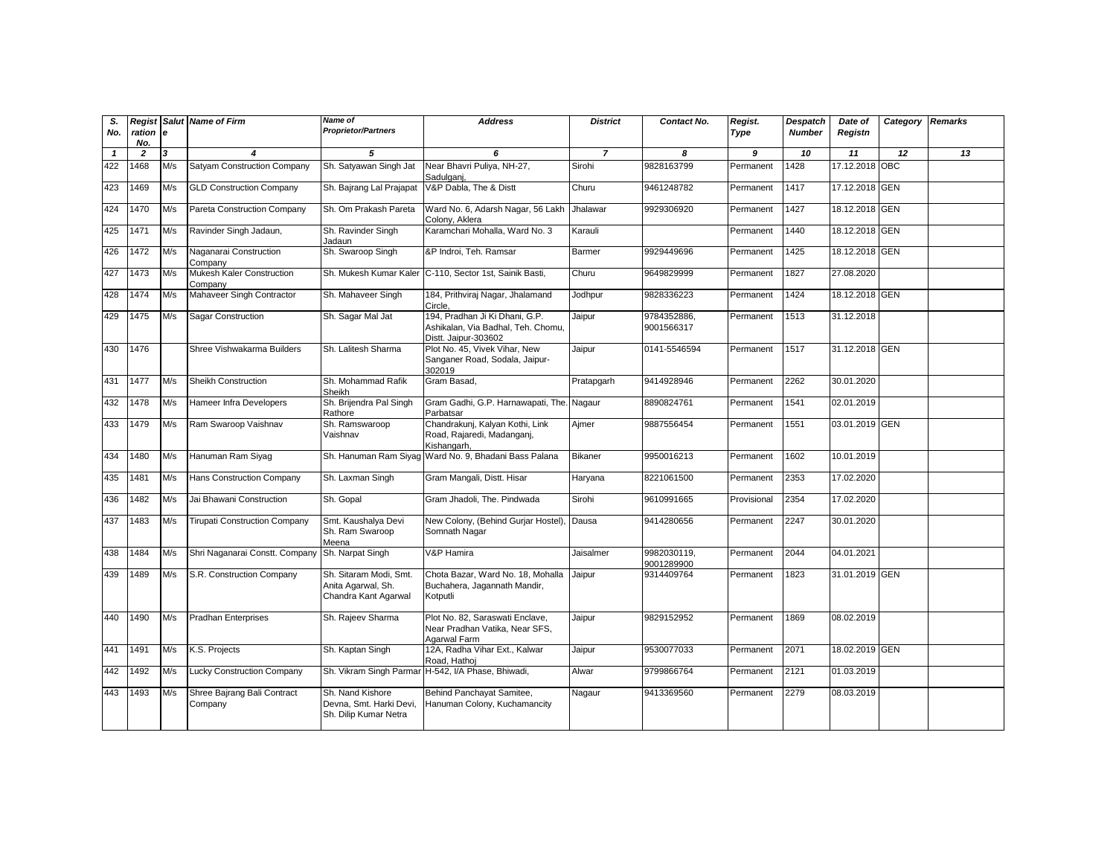| S.<br>No.    | ration e<br>No. |                | <b>Regist Salut Name of Firm</b>       | Name of<br><b>Proprietor/Partners</b>                                | <b>Address</b>                                                                               | <b>District</b> | Contact No.               | Regist.<br>Type | Despatch<br><b>Number</b> | Date of<br>Registn | Category | <b>Remarks</b> |
|--------------|-----------------|----------------|----------------------------------------|----------------------------------------------------------------------|----------------------------------------------------------------------------------------------|-----------------|---------------------------|-----------------|---------------------------|--------------------|----------|----------------|
| $\mathbf{1}$ | $\overline{2}$  | $\overline{3}$ | $\boldsymbol{\Lambda}$                 | 5                                                                    | 6                                                                                            | $\overline{7}$  | 8                         | 9               | 10                        | 11                 | 12       | 13             |
| 422          | 1468            | M/s            | Satyam Construction Company            | Sh. Satyawan Singh Jat                                               | Near Bhavri Puliya, NH-27,<br>Sadulganj                                                      | Sirohi          | 9828163799                | Permanent       | 1428                      | 17.12.2018 OBC     |          |                |
| 423          | 1469            | M/s            | <b>GLD Construction Company</b>        | Sh. Bajrang Lal Prajapat                                             | V&P Dabla, The & Distt                                                                       | Churu           | 9461248782                | Permanent       | 1417                      | 17.12.2018 GEN     |          |                |
| 424          | 1470            | M/s            | Pareta Construction Company            | Sh. Om Prakash Pareta                                                | Ward No. 6, Adarsh Nagar, 56 Lakh<br>Colony, Aklera                                          | Jhalawar        | 9929306920                | Permanent       | 1427                      | 18.12.2018 GEN     |          |                |
| 425          | 1471            | M/s            | Ravinder Singh Jadaun,                 | Sh. Ravinder Singh<br>Jadaun                                         | Karamchari Mohalla, Ward No. 3                                                               | Karauli         |                           | Permanent       | 1440                      | 18.12.2018 GEN     |          |                |
| 426          | 1472            | M/s            | Naganarai Construction<br>Company      | Sh. Swaroop Singh                                                    | &P Indroi, Teh. Ramsar                                                                       | Barmer          | 9929449696                | Permanent       | 1425                      | 18.12.2018 GEN     |          |                |
| 427          | 1473            | M/s            | Mukesh Kaler Construction<br>Company   | Sh. Mukesh Kumar Kaler                                               | C-110, Sector 1st, Sainik Basti,                                                             | Churu           | 9649829999                | Permanent       | 1827                      | 27.08.2020         |          |                |
| 428          | 1474            | M/s            | Mahaveer Singh Contractor              | Sh. Mahaveer Singh                                                   | 184, Prithviraj Nagar, Jhalamand<br>Circle.                                                  | Jodhpur         | 9828336223                | Permanent       | 1424                      | 18.12.2018 GEN     |          |                |
| 429          | 1475            | M/s            | Sagar Construction                     | Sh. Sagar Mal Jat                                                    | 194, Pradhan Ji Ki Dhani, G.P.<br>Ashikalan, Via Badhal, Teh. Chomu,<br>Distt. Jaipur-303602 | Jaipur          | 9784352886,<br>9001566317 | Permanent       | 1513                      | 31.12.2018         |          |                |
| 430          | 1476            |                | Shree Vishwakarma Builders             | Sh. Lalitesh Sharma                                                  | Plot No. 45, Vivek Vihar, New<br>Sanganer Road, Sodala, Jaipur-<br>302019                    | Jaipur          | 0141-5546594              | Permanent       | 1517                      | 31.12.2018 GEN     |          |                |
| 431          | 1477            | M/s            | <b>Sheikh Construction</b>             | Sh. Mohammad Rafik<br>Sheikh                                         | Gram Basad,                                                                                  | Pratapgarh      | 9414928946                | Permanent       | 2262                      | 30.01.2020         |          |                |
| 432          | 1478            | M/s            | Hameer Infra Developers                | Sh. Brijendra Pal Singh<br>Rathore                                   | Gram Gadhi, G.P. Harnawapati, The. Nagaur<br>Parbatsar                                       |                 | 8890824761                | Permanent       | 1541                      | 02.01.2019         |          |                |
| 433          | 1479            | M/s            | Ram Swaroop Vaishnav                   | Sh. Ramswaroop<br>Vaishnav                                           | Chandrakunj, Kalyan Kothi, Link<br>Road, Rajaredi, Madanganj,<br>Kishangarh,                 | Ajmer           | 9887556454                | Permanent       | 1551                      | 03.01.2019 GEN     |          |                |
| 434          | 1480            | M/s            | Hanuman Ram Siyag                      |                                                                      | Sh. Hanuman Ram Siyaq Ward No. 9, Bhadani Bass Palana                                        | Bikaner         | 9950016213                | Permanent       | 1602                      | 10.01.2019         |          |                |
| 435          | 1481            | M/s            | <b>Hans Construction Company</b>       | Sh. Laxman Singh                                                     | Gram Mangali, Distt. Hisar                                                                   | Haryana         | 8221061500                | Permanent       | 2353                      | 17.02.2020         |          |                |
| 436          | 1482            | M/s            | Jai Bhawani Construction               | Sh. Gopal                                                            | Gram Jhadoli, The, Pindwada                                                                  | Sirohi          | 9610991665                | Provisional     | 2354                      | 17.02.2020         |          |                |
| 437          | 1483            | M/s            | <b>Tirupati Construction Company</b>   | Smt. Kaushalya Devi<br>Sh. Ram Swaroop<br>Meena                      | New Colony, (Behind Gurjar Hostel)<br>Somnath Nagar                                          | Dausa           | 9414280656                | Permanent       | 2247                      | 30.01.2020         |          |                |
| 438          | 1484            | M/s            | Shri Naganarai Constt. Company         | Sh. Narpat Singh                                                     | V&P Hamira                                                                                   | Jaisalmer       | 9982030119.<br>9001289900 | Permanent       | 2044                      | 04.01.2021         |          |                |
| 439          | 1489            | M/s            | S.R. Construction Company              | Sh. Sitaram Modi, Smt.<br>Anita Agarwal, Sh.<br>Chandra Kant Agarwal | Chota Bazar, Ward No. 18, Mohalla<br>Buchahera, Jagannath Mandir,<br>Kotputli                | Jaipur          | 9314409764                | Permanent       | 1823                      | 31.01.2019 GEN     |          |                |
| 440          | 1490            | M/s            | <b>Pradhan Enterprises</b>             | Sh. Rajeev Sharma                                                    | Plot No. 82, Saraswati Enclave,<br>Near Pradhan Vatika, Near SFS,<br>Agarwal Farm            | Jaipur          | 9829152952                | Permanent       | 1869                      | 08.02.2019         |          |                |
| 441          | 1491            | M/s            | K.S. Projects                          | Sh. Kaptan Singh                                                     | 12A, Radha Vihar Ext., Kalwar<br>Road, Hathoj                                                | Jaipur          | 9530077033                | Permanent       | 2071                      | 18.02.2019 GEN     |          |                |
| 442          | 1492            | M/s            | <b>Lucky Construction Company</b>      | Sh. Vikram Singh Parmar                                              | H-542, I/A Phase, Bhiwadi,                                                                   | Alwar           | 9799866764                | Permanent       | 2121                      | 01.03.2019         |          |                |
| 443          | 1493            | M/s            | Shree Bajrang Bali Contract<br>Company | Sh. Nand Kishore<br>Devna, Smt. Harki Devi,<br>Sh. Dilip Kumar Netra | Behind Panchayat Samitee,<br>Hanuman Colony, Kuchamancity                                    | Nagaur          | 9413369560                | Permanent       | 2279                      | 08.03.2019         |          |                |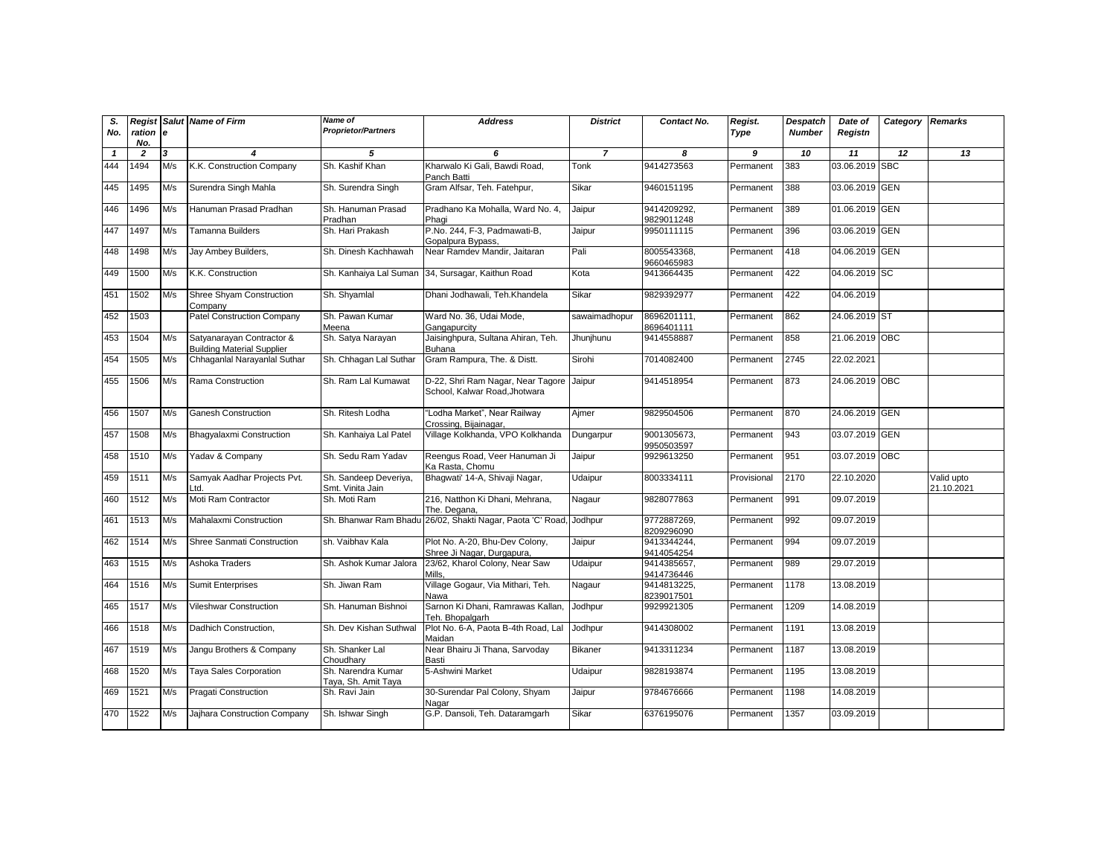| S.<br>No.    | Regist<br>ration e<br>No. |     | <b>Salut Name of Firm</b>                                      | <b>Name of</b><br><b>Proprietor/Partners</b> | <b>Address</b>                                                            | <b>District</b> | Contact No.               | Regist.<br>Type | Despatch<br><b>Number</b> | Date of<br>Registn | Category | <b>Remarks</b>           |
|--------------|---------------------------|-----|----------------------------------------------------------------|----------------------------------------------|---------------------------------------------------------------------------|-----------------|---------------------------|-----------------|---------------------------|--------------------|----------|--------------------------|
| $\mathbf{1}$ | $\overline{2}$            | 3   | $\boldsymbol{4}$                                               | 5                                            | 6                                                                         | $\overline{7}$  | 8                         | 9               | 10                        | 11                 | 12       | 13                       |
| 444          | 1494                      | M/s | K.K. Construction Company                                      | Sh. Kashif Khan                              | Kharwalo Ki Gali, Bawdi Road,<br>Panch Batti                              | Tonk            | 9414273563                | Permanent       | 383                       | 03.06.2019 SBC     |          |                          |
| 445          | 1495                      | M/s | Surendra Singh Mahla                                           | Sh. Surendra Singh                           | Gram Alfsar, Teh. Fatehpur,                                               | Sikar           | 9460151195                | Permanent       | 388                       | 03.06.2019 GEN     |          |                          |
| 446          | 1496                      | M/s | Hanuman Prasad Pradhan                                         | Sh. Hanuman Prasad<br>Pradhan                | Pradhano Ka Mohalla, Ward No. 4,<br>Phagi                                 | Jaipur          | 9414209292,<br>9829011248 | Permanent       | 389                       | 01.06.2019 GEN     |          |                          |
| 447          | 1497                      | M/s | Tamanna Builders                                               | Sh. Hari Prakash                             | P.No. 244, F-3, Padmawati-B,<br>Gopalpura Bypass,                         | Jaipur          | 9950111115                | Permanent       | 396                       | 03.06.2019 GEN     |          |                          |
| 448          | 1498                      | M/s | Jay Ambey Builders,                                            | Sh. Dinesh Kachhawah                         | Near Ramdev Mandir, Jaitaran                                              | Pali            | 8005543368,<br>9660465983 | Permanent       | 418                       | 04.06.2019 GEN     |          |                          |
| 449          | 1500                      | M/s | K.K. Construction                                              | Sh. Kanhaiya Lal Suman                       | 34, Sursagar, Kaithun Road                                                | Kota            | 9413664435                | Permanent       | 422                       | 04.06.2019 SC      |          |                          |
| 451          | 1502                      | M/s | Shree Shyam Construction<br>Company                            | Sh. Shyamlal                                 | Dhani Jodhawali, Teh.Khandela                                             | Sikar           | 9829392977                | Permanent       | 422                       | 04.06.2019         |          |                          |
| 452          | 1503                      |     | <b>Patel Construction Company</b>                              | Sh. Pawan Kumar<br>Meena                     | Ward No. 36, Udai Mode,<br>Gangapurcity                                   | sawaimadhopur   | 8696201111,<br>8696401111 | Permanent       | 862                       | 24.06.2019 ST      |          |                          |
| 453          | 1504                      | M/s | Satyanarayan Contractor &<br><b>Building Material Supplier</b> | Sh. Satya Narayan                            | Jaisinghpura, Sultana Ahiran, Teh.<br><b>Buhana</b>                       | Jhunjhunu       | 9414558887                | Permanent       | 858                       | 21.06.2019 OBC     |          |                          |
| 454          | 1505                      | M/s | Chhaganlal Narayanlal Suthar                                   | Sh. Chhagan Lal Suthar                       | Gram Rampura, The. & Distt.                                               | Sirohi          | 7014082400                | Permanent       | 2745                      | 22.02.2021         |          |                          |
| 455          | 1506                      | M/s | Rama Construction                                              | Sh. Ram Lal Kumawat                          | D-22, Shri Ram Nagar, Near Tagore Jaipur<br>School, Kalwar Road, Jhotwara |                 | 9414518954                | Permanent       | 873                       | 24.06.2019 OBC     |          |                          |
| 456          | 1507                      | M/s | <b>Ganesh Construction</b>                                     | Sh. Ritesh Lodha                             | "Lodha Market", Near Railway<br>Crossing, Bijainagar,                     | Aimer           | 9829504506                | Permanent       | 870                       | 24.06.2019 GEN     |          |                          |
| 457          | 1508                      | M/s | Bhaqyalaxmi Construction                                       | Sh. Kanhaiya Lal Patel                       | Village Kolkhanda, VPO Kolkhanda                                          | Dungarpur       | 9001305673,<br>9950503597 | Permanent       | 943                       | 03.07.2019 GEN     |          |                          |
| 458          | 1510                      | M/s | Yadav & Company                                                | Sh. Sedu Ram Yadav                           | Reengus Road, Veer Hanuman Ji<br>Ka Rasta, Chomu                          | Jaipur          | 9929613250                | Permanent       | 951                       | 03.07.2019 OBC     |          |                          |
| 459          | 1511                      | M/s | Samyak Aadhar Projects Pvt.<br>Ltd.                            | Sh. Sandeep Deveriya,<br>Smt. Vinita Jain    | Bhaqwati' 14-A, Shivaji Naqar,                                            | Udaipur         | 8003334111                | Provisional     | 2170                      | 22.10.2020         |          | Valid upto<br>21.10.2021 |
| 460          | 1512                      | M/s | Moti Ram Contractor                                            | Sh. Moti Ram                                 | 216, Natthon Ki Dhani, Mehrana,<br>The. Degana,                           | Nagaur          | 9828077863                | Permanent       | 991                       | 09.07.2019         |          |                          |
| 461          | 1513                      | M/s | Mahalaxmi Construction                                         | Sh. Bhanwar Ram Bhadu                        | 26/02, Shakti Nagar, Paota 'C' Road, Jodhpur                              |                 | 9772887269,<br>8209296090 | Permanent       | 992                       | 09.07.2019         |          |                          |
| 462          | 1514                      | M/s | Shree Sanmati Construction                                     | sh. Vaibhav Kala                             | Plot No. A-20, Bhu-Dev Colony,<br>Shree Ji Nagar, Durgapura,              | Jaipur          | 9413344244,<br>9414054254 | Permanent       | 994                       | 09.07.2019         |          |                          |
| 463          | 1515                      | M/s | Ashoka Traders                                                 | Sh. Ashok Kumar Jalora                       | 23/62, Kharol Colony, Near Saw<br>Mills,                                  | Udaipur         | 9414385657.<br>9414736446 | Permanent       | 989                       | 29.07.2019         |          |                          |
| 464          | 1516                      | M/s | <b>Sumit Enterprises</b>                                       | Sh. Jiwan Ram                                | Village Gogaur, Via Mithari, Teh.<br>Nawa                                 | Nagaur          | 9414813225,<br>8239017501 | Permanent       | 1178                      | 13.08.2019         |          |                          |
| 465          | 1517                      | M/s | Vileshwar Construction                                         | Sh. Hanuman Bishnoi                          | Sarnon Ki Dhani, Ramrawas Kallan<br>Teh. Bhopalgarh                       | Jodhpur         | 9929921305                | Permanent       | 1209                      | 14.08.2019         |          |                          |
| 466          | 1518                      | M/s | Dadhich Construction,                                          | Sh. Dev Kishan Suthwal                       | Plot No. 6-A, Paota B-4th Road, Lal<br>Maidan                             | Jodhpur         | 9414308002                | Permanent       | 1191                      | 13.08.2019         |          |                          |
| 467          | 1519                      | M/s | Jangu Brothers & Company                                       | Sh. Shanker Lal<br>Choudhary                 | Near Bhairu Ji Thana, Sarvoday<br><b>Basti</b>                            | <b>Bikaner</b>  | 9413311234                | Permanent       | 1187                      | 13.08.2019         |          |                          |
| 468          | 1520                      | M/s | Taya Sales Corporation                                         | Sh. Narendra Kumar<br>Taya, Sh. Amit Taya    | 5-Ashwini Market                                                          | Udaipur         | 9828193874                | Permanent       | 1195                      | 13.08.2019         |          |                          |
| 469          | 1521                      | M/s | <b>Pragati Construction</b>                                    | Sh. Ravi Jain                                | 30-Surendar Pal Colony, Shyam<br>Nagar                                    | Jaipur          | 9784676666                | Permanent       | 1198                      | 14.08.2019         |          |                          |
| 470          | 1522                      | M/s | Jajhara Construction Company                                   | Sh. Ishwar Singh                             | G.P. Dansoli, Teh. Dataramgarh                                            | Sikar           | 6376195076                | Permanent       | 1357                      | 03.09.2019         |          |                          |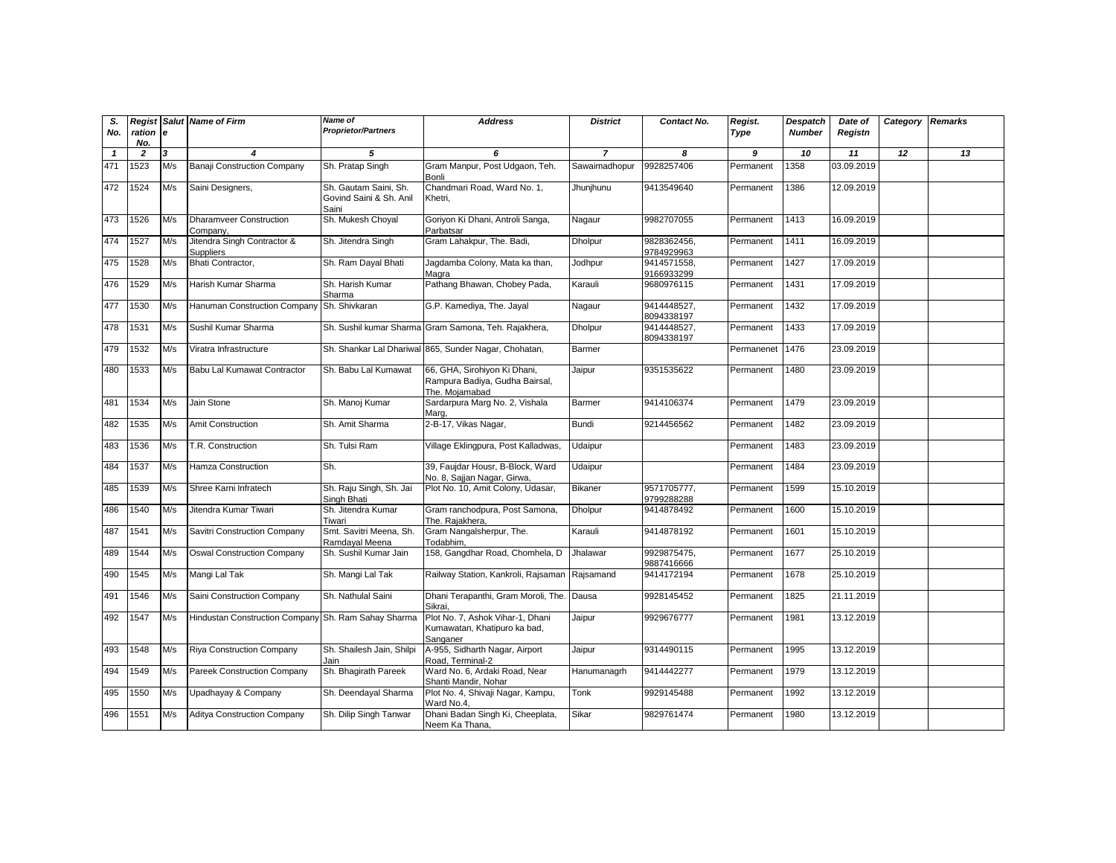| S.<br>No. | ration                | e   | <b>Regist Salut Name of Firm</b>                    | Name of<br><b>Proprietor/Partners</b>                     | <b>Address</b>                                                                   | <b>District</b> | Contact No.               | Regist.<br>Type | <b>Despatch</b><br><b>Number</b> | Date of<br>Registn | Category Remarks |    |
|-----------|-----------------------|-----|-----------------------------------------------------|-----------------------------------------------------------|----------------------------------------------------------------------------------|-----------------|---------------------------|-----------------|----------------------------------|--------------------|------------------|----|
| -1        | No.<br>$\overline{2}$ | 3   |                                                     | 5                                                         | 6                                                                                | $\overline{7}$  | 8                         | 9               | 10                               | 11                 | 12               | 13 |
| 471       | 1523                  | M/s | <b>Banaji Construction Company</b>                  | Sh. Pratap Singh                                          | Gram Manpur, Post Udgaon, Teh.<br>Bonli                                          | Sawaimadhopur   | 9928257406                | Permanent       | 1358                             | 03.09.2019         |                  |    |
| 472       | 1524                  | M/s | Saini Designers,                                    | Sh. Gautam Saini, Sh.<br>Govind Saini & Sh. Anil<br>Saini | Chandmari Road, Ward No. 1,<br>Khetri.                                           | Jhunjhunu       | 9413549640                | Permanent       | 1386                             | 12.09.2019         |                  |    |
| 473       | 1526                  | M/s | <b>Dharamveer Construction</b><br>Company,          | Sh. Mukesh Choyal                                         | Goriyon Ki Dhani, Antroli Sanga,<br>Parbatsar                                    | Nagaur          | 9982707055                | Permanent       | 1413                             | 16.09.2019         |                  |    |
| 474       | 1527                  | M/s | Jitendra Singh Contractor &<br>Suppliers            | Sh. Jitendra Singh                                        | Gram Lahakpur, The. Badi,                                                        | <b>Dholpur</b>  | 9828362456.<br>9784929963 | Permanent       | 1411                             | 16.09.2019         |                  |    |
| 475       | 1528                  | M/s | Bhati Contractor.                                   | Sh. Ram Dayal Bhati                                       | Jagdamba Colony, Mata ka than,<br>Magra                                          | Jodhpur         | 9414571558.<br>9166933299 | Permanent       | 1427                             | 17.09.2019         |                  |    |
| 476       | 1529                  | M/s | Harish Kumar Sharma                                 | Sh. Harish Kumar<br>Sharma                                | Pathang Bhawan, Chobey Pada,                                                     | Karauli         | 9680976115                | Permanent       | 1431                             | 17.09.2019         |                  |    |
| 477       | 1530                  | M/s | Hanuman Construction Company Sh. Shivkaran          |                                                           | G.P. Kamediya, The. Jayal                                                        | Nagaur          | 9414448527,<br>8094338197 | Permanent       | 1432                             | 17.09.2019         |                  |    |
| 478       | 1531                  | M/s | Sushil Kumar Sharma                                 |                                                           | Sh. Sushil kumar Sharma Gram Samona, Teh. Rajakhera,                             | <b>Dholpur</b>  | 9414448527,<br>8094338197 | Permanent       | 1433                             | 17.09.2019         |                  |    |
| 479       | 1532                  | M/s | Viratra Infrastructure                              |                                                           | Sh. Shankar Lal Dhariwal 865, Sunder Nagar, Chohatan,                            | Barmer          |                           | Permanenet      | 1476                             | 23.09.2019         |                  |    |
| 480       | 1533                  | M/s | Babu Lal Kumawat Contractor                         | Sh. Babu Lal Kumawat                                      | 66, GHA, Sirohiyon Ki Dhani,<br>Rampura Badiya, Gudha Bairsal,<br>The. Moiamabad | Jaipur          | 9351535622                | Permanent       | 1480                             | 23.09.2019         |                  |    |
| 481       | 1534                  | M/s | Jain Stone                                          | Sh. Manoj Kumar                                           | Sardarpura Marg No. 2, Vishala<br>Marg.                                          | Barmer          | 9414106374                | Permanent       | 1479                             | 23.09.2019         |                  |    |
| 482       | 1535                  | M/s | <b>Amit Construction</b>                            | Sh. Amit Sharma                                           | 2-B-17, Vikas Nagar,                                                             | <b>Bundi</b>    | 9214456562                | Permanent       | 1482                             | 23.09.2019         |                  |    |
| 483       | 1536                  | M/s | T.R. Construction                                   | Sh. Tulsi Ram                                             | Village Eklingpura, Post Kalladwas,                                              | Udaipur         |                           | Permanent       | 1483                             | 23.09.2019         |                  |    |
| 484       | 1537                  | M/s | Hamza Construction                                  | Sh.                                                       | 39, Faujdar Housr, B-Block, Ward<br>No. 8, Sajjan Nagar, Girwa,                  | Udaipur         |                           | Permanent       | 1484                             | 23.09.2019         |                  |    |
| 485       | 1539                  | M/s | Shree Karni Infratech                               | Sh. Raju Singh, Sh. Jai<br>Singh Bhati                    | Plot No. 10, Amit Colony, Udasar,                                                | <b>Bikaner</b>  | 9571705777,<br>9799288288 | Permanent       | 1599                             | 15.10.2019         |                  |    |
| 486       | 1540                  | M/s | Jitendra Kumar Tiwari                               | Sh. Jitendra Kumar<br>Tiwari                              | Gram ranchodpura, Post Samona,<br>The. Rajakhera,                                | <b>Dholpur</b>  | 9414878492                | Permanent       | 1600                             | 15.10.2019         |                  |    |
| 487       | 1541                  | M/s | Savitri Construction Company                        | Smt. Savitri Meena, Sh.<br>Ramdayal Meena                 | Gram Nangalsherpur, The.<br>Todabhim.                                            | Karauli         | 9414878192                | Permanent       | 1601                             | 15.10.2019         |                  |    |
| 489       | 1544                  | M/s | <b>Oswal Construction Company</b>                   | Sh. Sushil Kumar Jain                                     | 158, Gangdhar Road, Chomhela, D                                                  | Jhalawar        | 9929875475,<br>9887416666 | Permanent       | 1677                             | 25.10.2019         |                  |    |
| 490       | 1545                  | M/s | Mangi Lal Tak                                       | Sh. Mangi Lal Tak                                         | Railway Station, Kankroli, Rajsaman Rajsamand                                    |                 | 9414172194                | Permanent       | 1678                             | 25.10.2019         |                  |    |
| 491       | 1546                  | M/s | Saini Construction Company                          | Sh. Nathulal Saini                                        | Dhani Terapanthi, Gram Moroli, The. Dausa<br>Sikrai.                             |                 | 9928145452                | Permanent       | 1825                             | 21.11.2019         |                  |    |
| 492       | 1547                  | M/s | Hindustan Construction Company Sh. Ram Sahay Sharma |                                                           | Plot No. 7, Ashok Vihar-1, Dhani<br>Kumawatan, Khatipuro ka bad,<br>Sanganer     | Jaipur          | 9929676777                | Permanent       | 1981                             | 13.12.2019         |                  |    |
| 493       | 1548                  | M/s | <b>Riya Construction Company</b>                    | Sh. Shailesh Jain, Shilpi<br>Jain                         | A-955, Sidharth Nagar, Airport<br>Road, Terminal-2                               | Jaipur          | 9314490115                | Permanent       | 1995                             | 13.12.2019         |                  |    |
| 494       | 1549                  | M/s | Pareek Construction Company                         | Sh. Bhagirath Pareek                                      | Ward No. 6, Ardaki Road, Near<br>Shanti Mandir, Nohar                            | Hanumanagrh     | 9414442277                | Permanent       | 1979                             | 13.12.2019         |                  |    |
| 495       | 1550                  | M/s | Upadhayay & Company                                 | Sh. Deendayal Sharma                                      | Plot No. 4, Shivaji Nagar, Kampu,<br>Ward No.4,                                  | Tonk            | 9929145488                | Permanent       | 1992                             | 13.12.2019         |                  |    |
| 496       | 1551                  | M/s | <b>Aditya Construction Company</b>                  | Sh. Dilip Singh Tanwar                                    | Dhani Badan Singh Ki, Cheeplata,<br>Neem Ka Thana,                               | Sikar           | 9829761474                | Permanent       | 1980                             | 13.12.2019         |                  |    |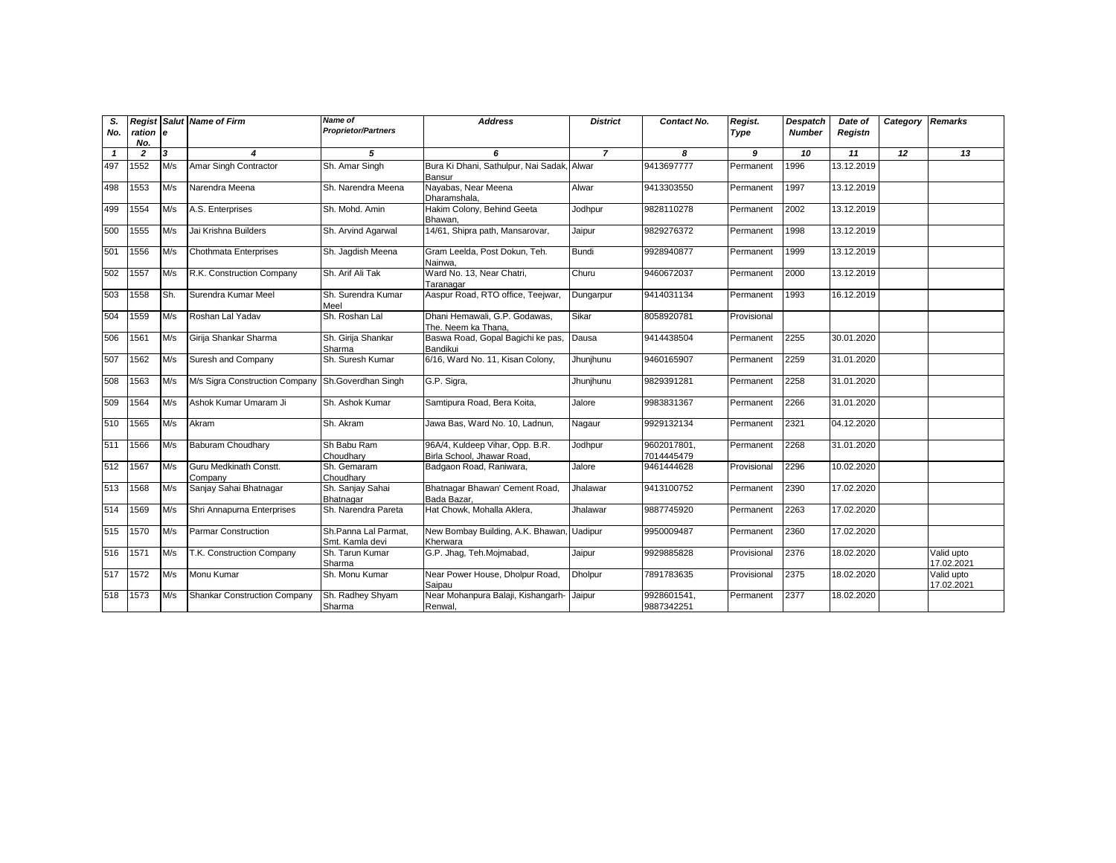| S.           |                |     | <b>Regist Salut Name of Firm</b>                  | <b>Name of</b>                          | <b>Address</b>                                                | <b>District</b> | Contact No.               | Regist.     | Despatch      | Date of    | Category | <b>Remarks</b>           |
|--------------|----------------|-----|---------------------------------------------------|-----------------------------------------|---------------------------------------------------------------|-----------------|---------------------------|-------------|---------------|------------|----------|--------------------------|
| No.          | ration e       |     |                                                   | <b>Proprietor/Partners</b>              |                                                               |                 |                           | Type        | <b>Number</b> | Registn    |          |                          |
|              | No.            |     |                                                   |                                         |                                                               |                 |                           |             |               |            |          |                          |
| $\mathbf{1}$ | $\overline{2}$ | 3   | 4                                                 | 5                                       | 6                                                             | $\overline{z}$  | 8                         | 9           | 10            | 11         | 12       | 13                       |
| 497          | 1552           | M/s | Amar Singh Contractor                             | Sh. Amar Singh                          | Bura Ki Dhani, Sathulpur, Nai Sadak, Alwar<br>Bansur          |                 | 9413697777                | Permanent   | 1996          | 13.12.2019 |          |                          |
| 498          | 1553           | M/s | Narendra Meena                                    | Sh. Narendra Meena                      | Nayabas, Near Meena<br>Dharamshala,                           | Alwar           | 9413303550                | Permanent   | 1997          | 13.12.2019 |          |                          |
| 499          | 1554           | M/s | A.S. Enterprises                                  | Sh. Mohd. Amin                          | Hakim Colony, Behind Geeta<br>Bhawan,                         | Jodhpur         | 9828110278                | Permanent   | 2002          | 13.12.2019 |          |                          |
| 500          | 1555           | M/s | Jai Krishna Builders                              | Sh. Arvind Agarwal                      | 14/61, Shipra path, Mansarovar,                               | Jaipur          | 9829276372                | Permanent   | 1998          | 13.12.2019 |          |                          |
| 501          | 1556           | M/s | Chothmata Enterprises                             | Sh. Jaqdish Meena                       | Gram Leelda, Post Dokun, Teh.<br>Nainwa.                      | <b>Bundi</b>    | 9928940877                | Permanent   | 1999          | 13.12.2019 |          |                          |
| 502          | 1557           | M/s | R.K. Construction Company                         | Sh. Arif Ali Tak                        | Ward No. 13, Near Chatri,<br>Taranagar                        | Churu           | 9460672037                | Permanent   | 2000          | 13.12.2019 |          |                          |
| 503          | 1558           | Sh. | Surendra Kumar Meel                               | Sh. Surendra Kumar<br>Meel              | Aaspur Road, RTO office, Teejwar,                             | Dungarpur       | 9414031134                | Permanent   | 1993          | 16.12.2019 |          |                          |
| 504          | 1559           | M/s | Roshan Lal Yadav                                  | Sh. Roshan Lal                          | Dhani Hemawali, G.P. Godawas,<br>The. Neem ka Thana,          | Sikar           | 8058920781                | Provisional |               |            |          |                          |
| 506          | 1561           | M/s | Girija Shankar Sharma                             | Sh. Girija Shankar<br>Sharma            | Baswa Road, Gopal Bagichi ke pas,<br>Bandikui                 | Dausa           | 9414438504                | Permanent   | 2255          | 30.01.2020 |          |                          |
| 507          | 1562           | M/s | Suresh and Company                                | Sh. Suresh Kumar                        | 6/16, Ward No. 11, Kisan Colony,                              | Jhunjhunu       | 9460165907                | Permanent   | 2259          | 31.01.2020 |          |                          |
| 508          | 1563           | M/s | M/s Sigra Construction Company Sh.Goverdhan Singh |                                         | G.P. Sigra,                                                   | Jhunjhunu       | 9829391281                | Permanent   | 2258          | 31.01.2020 |          |                          |
| 509          | 1564           | M/s | Ashok Kumar Umaram Ji                             | Sh. Ashok Kumar                         | Samtipura Road, Bera Koita,                                   | Jalore          | 9983831367                | Permanent   | 2266          | 31.01.2020 |          |                          |
| 510          | 1565           | M/s | Akram                                             | Sh. Akram                               | Jawa Bas, Ward No. 10, Ladnun,                                | Nagaur          | 9929132134                | Permanent   | 2321          | 04.12.2020 |          |                          |
| 511          | 1566           | M/s | <b>Baburam Choudhary</b>                          | Sh Babu Ram<br>Choudhary                | 96A/4, Kuldeep Vihar, Opp. B.R.<br>Birla School, Jhawar Road, | Jodhpur         | 9602017801,<br>7014445479 | Permanent   | 2268          | 31.01.2020 |          |                          |
| 512          | 1567           | M/s | Guru Medkinath Constt.<br>Company                 | Sh. Gemaram<br>Choudharv                | Badgaon Road, Raniwara,                                       | Jalore          | 9461444628                | Provisional | 2296          | 10.02.2020 |          |                          |
| 513          | 1568           | M/s | Sanjay Sahai Bhatnagar                            | Sh. Sanjay Sahai<br>Bhatnagar           | Bhatnagar Bhawan' Cement Road.<br>Bada Bazar.                 | Jhalawar        | 9413100752                | Permanent   | 2390          | 17.02.2020 |          |                          |
| 514          | 1569           | M/s | Shri Annapurna Enterprises                        | Sh. Narendra Pareta                     | Hat Chowk, Mohalla Aklera,                                    | Jhalawar        | 9887745920                | Permanent   | 2263          | 17.02.2020 |          |                          |
| 515          | 1570           | M/s | <b>Parmar Construction</b>                        | Sh.Panna Lal Parmat.<br>Smt. Kamla devi | New Bombay Building, A.K. Bhawan, Uadipur<br>Kherwara         |                 | 9950009487                | Permanent   | 2360          | 17.02.2020 |          |                          |
| 516          | 1571           | M/s | T.K. Construction Company                         | Sh. Tarun Kumar<br>Sharma               | G.P. Jhag, Teh.Mojmabad,                                      | Jaipur          | 9929885828                | Provisional | 2376          | 18.02.2020 |          | Valid upto<br>17.02.2021 |
| 517          | 1572           | M/s | Monu Kumar                                        | Sh. Monu Kumar                          | Near Power House, Dholpur Road,<br>Saipau                     | <b>Dholpur</b>  | 7891783635                | Provisional | 2375          | 18.02.2020 |          | Valid upto<br>17.02.2021 |
| 518          | 1573           | M/s | <b>Shankar Construction Company</b>               | Sh. Radhey Shyam<br>Sharma              | Near Mohanpura Balaji, Kishangarh-<br>Renwal,                 | Jaipur          | 9928601541,<br>9887342251 | Permanent   | 2377          | 18.02.2020 |          |                          |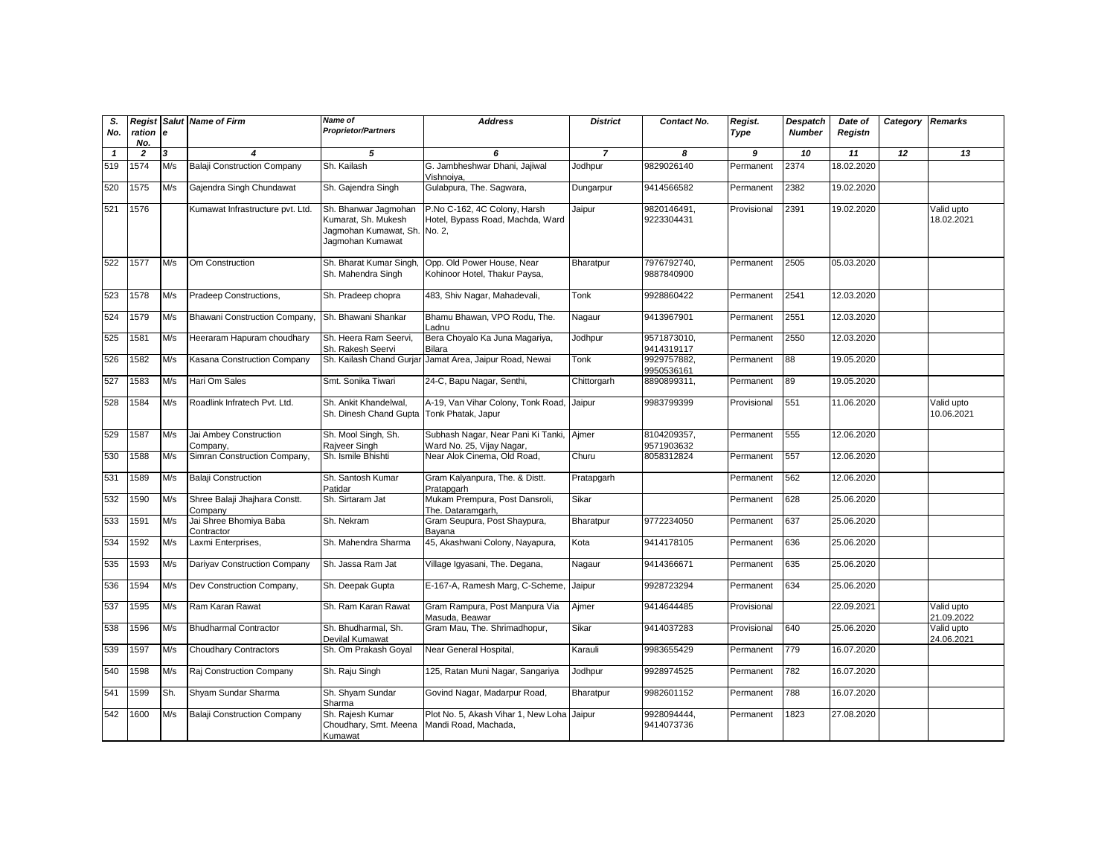| S.<br>No.    | ration e<br>No. |     | <b>Regist Salut Name of Firm</b>         | Name of<br><b>Proprietor/Partners</b>                                                    | <b>Address</b>                                                             | <b>District</b> | Contact No.               | Regist.<br>Type | <b>Despatch</b><br><b>Number</b> | Date of<br>Registn | Category Remarks |                          |
|--------------|-----------------|-----|------------------------------------------|------------------------------------------------------------------------------------------|----------------------------------------------------------------------------|-----------------|---------------------------|-----------------|----------------------------------|--------------------|------------------|--------------------------|
| $\mathbf{1}$ | $\overline{2}$  | 3   | 4                                        | 5                                                                                        | 6                                                                          | $\overline{z}$  | 8                         | 9               | 10                               | 11                 | 12               | 13                       |
| 519          | 1574            | M/s | <b>Balaji Construction Company</b>       | Sh. Kailash                                                                              | G. Jambheshwar Dhani, Jajiwal<br>Vishnoiva.                                | Jodhpur         | 9829026140                | Permanent       | 2374                             | 18.02.2020         |                  |                          |
| 520          | 1575            | M/s | Gajendra Singh Chundawat                 | Sh. Gajendra Singh                                                                       | Gulabpura, The. Sagwara,                                                   | Dungarpur       | 9414566582                | Permanent       | 2382                             | 19.02.2020         |                  |                          |
| 521          | 1576            |     | Kumawat Infrastructure pvt. Ltd.         | Sh. Bhanwar Jagmohan<br>Kumarat, Sh. Mukesh<br>Jagmohan Kumawat, Sh.<br>Jagmohan Kumawat | P.No C-162, 4C Colony, Harsh<br>Hotel, Bypass Road, Machda, Ward<br>No. 2, | Jaipur          | 9820146491,<br>9223304431 | Provisional     | 2391                             | 19.02.2020         |                  | Valid upto<br>18.02.2021 |
| 522          | 1577            | M/s | Om Construction                          | Sh. Bharat Kumar Singh<br>Sh. Mahendra Singh                                             | Opp. Old Power House, Near<br>Kohinoor Hotel, Thakur Paysa,                | Bharatpur       | 7976792740,<br>9887840900 | Permanent       | 2505                             | 05.03.2020         |                  |                          |
| 523          | 1578            | M/s | Pradeep Constructions,                   | Sh. Pradeep chopra                                                                       | 483, Shiv Nagar, Mahadevali,                                               | Tonk            | 9928860422                | Permanent       | 2541                             | 12.03.2020         |                  |                          |
| 524          | 1579            | M/s | Bhawani Construction Company,            | Sh. Bhawani Shankar                                                                      | Bhamu Bhawan, VPO Rodu, The.<br>Ladnu                                      | Nagaur          | 9413967901                | Permanent       | 2551                             | 12.03.2020         |                  |                          |
| 525          | 1581            | M/s | Heeraram Hapuram choudhary               | Sh. Heera Ram Seervi,<br>Sh. Rakesh Seervi                                               | Bera Choyalo Ka Juna Magariya,<br>Bilara                                   | Jodhpur         | 9571873010,<br>9414319117 | Permanent       | 2550                             | 12.03.2020         |                  |                          |
| 526          | 1582            | M/s | <b>Kasana Construction Company</b>       | Sh. Kailash Chand Gurjar                                                                 | Jamat Area, Jaipur Road, Newai                                             | Tonk            | 9929757882,<br>9950536161 | Permanent       | 88                               | 19.05.2020         |                  |                          |
| 527          | 1583            | M/s | Hari Om Sales                            | Smt. Sonika Tiwari                                                                       | 24-C, Bapu Nagar, Senthi,                                                  | Chittorgarh     | 8890899311,               | Permanent       | 89                               | 19.05.2020         |                  |                          |
| 528          | 1584            | M/s | Roadlink Infratech Pvt. Ltd.             | Sh. Ankit Khandelwal,<br>Sh. Dinesh Chand Gupta                                          | A-19, Van Vihar Colony, Tonk Road, Jaipur<br>Tonk Phatak, Japur            |                 | 9983799399                | Provisional     | 551                              | 11.06.2020         |                  | Valid upto<br>10.06.2021 |
| 529          | 1587            | M/s | Jai Ambey Construction<br>Company.       | Sh. Mool Singh, Sh.<br>Raiveer Singh                                                     | Subhash Nagar, Near Pani Ki Tanki,<br>Ward No. 25, Vijay Nagar,            | Ajmer           | 8104209357,<br>9571903632 | Permanent       | 555                              | 12.06.2020         |                  |                          |
| 530          | 1588            | M/s | Simran Construction Company,             | Sh. Ismile Bhishti                                                                       | Near Alok Cinema, Old Road,                                                | Churu           | 8058312824                | Permanent       | 557                              | 12.06.2020         |                  |                          |
| 531          | 1589            | M/s | <b>Balaji Construction</b>               | Sh. Santosh Kumar<br>Patidar                                                             | Gram Kalyanpura, The. & Distt.<br>Pratapgarh                               | Pratapgarh      |                           | Permanent       | 562                              | 12.06.2020         |                  |                          |
| 532          | 1590            | M/s | Shree Balaji Jhajhara Constt.<br>Company | Sh. Sirtaram Jat                                                                         | Mukam Prempura, Post Dansroli,<br>The. Dataramgarh,                        | Sikar           |                           | Permanent       | 628                              | 25.06.2020         |                  |                          |
| 533          | 1591            | M/s | Jai Shree Bhomiya Baba<br>Contractor     | Sh. Nekram                                                                               | Gram Seupura, Post Shaypura,<br>Bavana                                     | Bharatpur       | 9772234050                | Permanent       | 637                              | 25.06.2020         |                  |                          |
| 534          | 1592            | M/s | Laxmi Enterprises,                       | Sh. Mahendra Sharma                                                                      | 45, Akashwani Colony, Nayapura,                                            | Kota            | 9414178105                | Permanent       | 636                              | 25.06.2020         |                  |                          |
| 535          | 1593            | M/s | Dariyav Construction Company             | Sh. Jassa Ram Jat                                                                        | Village Igyasani, The. Degana,                                             | Nagaur          | 9414366671                | Permanent       | 635                              | 25.06.2020         |                  |                          |
| 536          | 1594            | M/s | Dev Construction Company,                | Sh. Deepak Gupta                                                                         | E-167-A, Ramesh Marg, C-Scheme,                                            | Jaipur          | 9928723294                | Permanent       | 634                              | 25.06.2020         |                  |                          |
| 537          | 1595            | M/s | Ram Karan Rawat                          | Sh. Ram Karan Rawat                                                                      | Gram Rampura, Post Manpura Via<br>Masuda, Beawar                           | Ajmer           | 9414644485                | Provisional     |                                  | 22.09.2021         |                  | Valid upto<br>21.09.2022 |
| 538          | 1596            | M/s | <b>Bhudharmal Contractor</b>             | Sh. Bhudharmal, Sh.<br>Devilal Kumawat                                                   | Gram Mau, The. Shrimadhopur,                                               | Sikar           | 9414037283                | Provisional     | 640                              | 25.06.2020         |                  | Valid upto<br>24.06.2021 |
| 539          | 1597            | M/s | <b>Choudhary Contractors</b>             | Sh. Om Prakash Goyal                                                                     | Near General Hospital,                                                     | Karauli         | 9983655429                | Permanent       | 779                              | 16.07.2020         |                  |                          |
| 540          | 1598            | M/s | Raj Construction Company                 | Sh. Raju Singh                                                                           | 125, Ratan Muni Nagar, Sangariya                                           | Jodhpur         | 9928974525                | Permanent       | 782                              | 16.07.2020         |                  |                          |
| 541          | 1599            | Sh. | Shyam Sundar Sharma                      | Sh. Shyam Sundar<br>Sharma                                                               | Govind Nagar, Madarpur Road,                                               | Bharatpur       | 9982601152                | Permanent       | 788                              | 16.07.2020         |                  |                          |
| 542          | 1600            | M/s | <b>Balaji Construction Company</b>       | Sh. Rajesh Kumar<br>Choudhary, Smt. Meena<br>Kumawat                                     | Plot No. 5, Akash Vihar 1, New Loha Jaipur<br>Mandi Road, Machada,         |                 | 9928094444,<br>9414073736 | Permanent       | 1823                             | 27.08.2020         |                  |                          |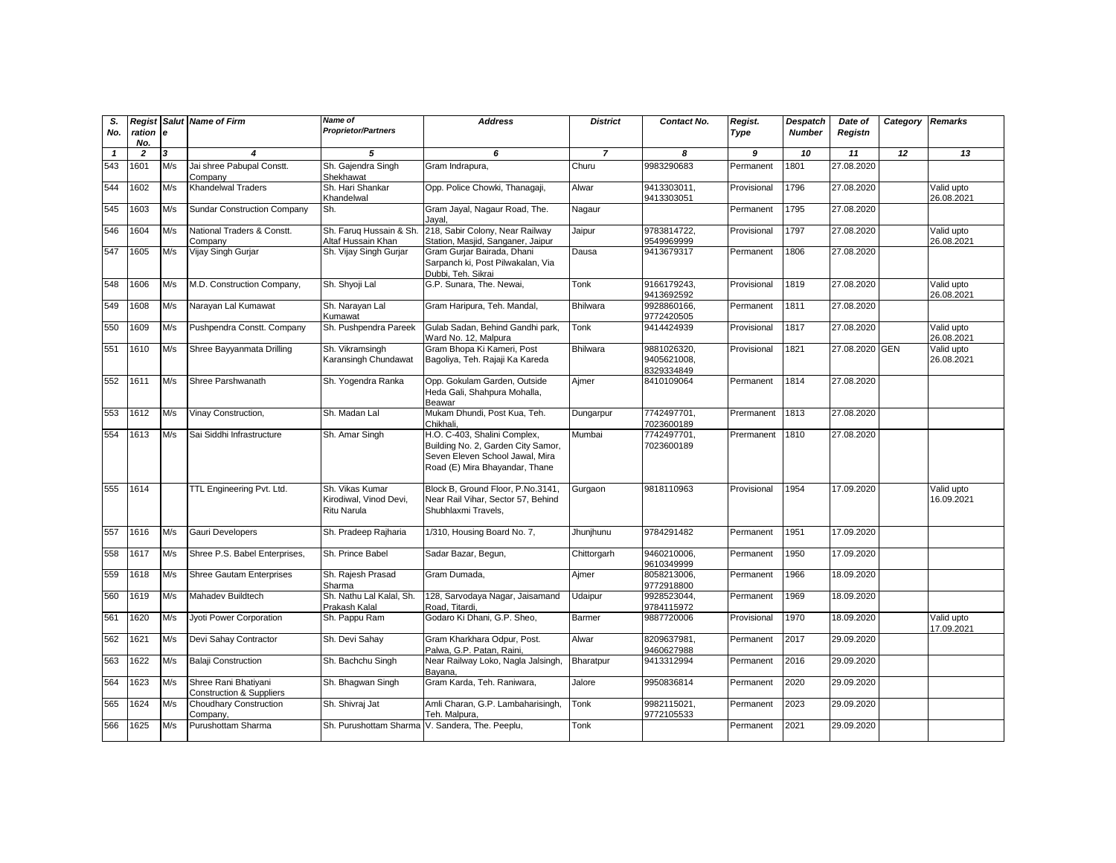| S.<br>No.    | Regist<br>ration e<br>No. |                         | Salut Name of Firm                                          | Name of<br><b>Proprietor/Partners</b>                           | <b>Address</b>                                                                                                                          | <b>District</b> | Contact No.                              | Regist.<br>Type | <b>Despatch</b><br><b>Number</b> | Date of<br>Registn | <b>Category Remarks</b> |                          |
|--------------|---------------------------|-------------------------|-------------------------------------------------------------|-----------------------------------------------------------------|-----------------------------------------------------------------------------------------------------------------------------------------|-----------------|------------------------------------------|-----------------|----------------------------------|--------------------|-------------------------|--------------------------|
| $\mathbf{1}$ | $\overline{2}$            | $\overline{\mathbf{3}}$ | $\boldsymbol{A}$                                            | 5                                                               | 6                                                                                                                                       | $\overline{7}$  | 8                                        | 9               | 10                               | 11                 | 12                      | 13                       |
| 543          | 1601                      | M/s                     | Jai shree Pabupal Constt.<br>Company                        | Sh. Gajendra Singh<br>Shekhawat                                 | Gram Indrapura,                                                                                                                         | Churu           | 9983290683                               | Permanent       | 1801                             | 27.08.2020         |                         |                          |
| 544          | 1602                      | M/s                     | Khandelwal Traders                                          | Sh. Hari Shankar<br>Khandelwal                                  | Opp. Police Chowki, Thanagaji,                                                                                                          | Alwar           | 9413303011,<br>9413303051                | Provisional     | 1796                             | 27.08.2020         |                         | Valid upto<br>26.08.2021 |
| 545          | 1603                      | M/s                     | <b>Sundar Construction Company</b>                          | Sh.                                                             | Gram Jayal, Nagaur Road, The.<br>Jayal.                                                                                                 | Nagaur          |                                          | Permanent       | 1795                             | 27.08.2020         |                         |                          |
| 546          | 1604                      | M/s                     | National Traders & Constt.<br>Company                       | Sh. Farug Hussain & Sh<br>Altaf Hussain Khan                    | 218, Sabir Colony, Near Railway<br>Station, Masjid, Sanganer, Jaipur                                                                    | Jaipur          | 9783814722,<br>9549969999                | Provisional     | 1797                             | 27.08.2020         |                         | Valid upto<br>26.08.2021 |
| 547          | 1605                      | M/s                     | Vijay Singh Gurjar                                          | Sh. Vijay Singh Gurjar                                          | Gram Gurjar Bairada, Dhani<br>Sarpanch ki, Post Pilwakalan, Via<br>Dubbi, Teh. Sikrai                                                   | Dausa           | 9413679317                               | Permanent       | 1806                             | 27.08.2020         |                         |                          |
| 548          | 1606                      | M/s                     | M.D. Construction Company,                                  | Sh. Shyoji Lal                                                  | G.P. Sunara, The. Newai,                                                                                                                | Tonk            | 9166179243.<br>9413692592                | Provisional     | 1819                             | 27.08.2020         |                         | Valid upto<br>26.08.2021 |
| 549          | 1608                      | M/s                     | Narayan Lal Kumawat                                         | Sh. Naravan Lal<br>Kumawat                                      | Gram Haripura, Teh. Mandal,                                                                                                             | <b>Bhilwara</b> | 9928860166.<br>9772420505                | Permanent       | 1811                             | 27.08.2020         |                         |                          |
| 550          | 1609                      | M/s                     | Pushpendra Constt. Company                                  | Sh. Pushpendra Pareek                                           | Gulab Sadan, Behind Gandhi park,<br>Ward No. 12, Malpura                                                                                | Tonk            | 9414424939                               | Provisional     | 1817                             | 27.08.2020         |                         | Valid upto<br>26.08.2021 |
| 551          | 1610                      | M/s                     | Shree Bayyanmata Drilling                                   | Sh. Vikramsingh<br>Karansingh Chundawat                         | Gram Bhopa Ki Kameri, Post<br>Bagoliya, Teh. Rajaji Ka Kareda                                                                           | <b>Bhilwara</b> | 9881026320,<br>9405621008,<br>8329334849 | Provisional     | 1821                             | 27.08.2020 GEN     |                         | Valid upto<br>26.08.2021 |
| 552          | 1611                      | M/s                     | Shree Parshwanath                                           | Sh. Yogendra Ranka                                              | Opp. Gokulam Garden, Outside<br>Heda Gali, Shahpura Mohalla,<br>Beawar                                                                  | Ajmer           | 8410109064                               | Permanent       | 1814                             | 27.08.2020         |                         |                          |
| 553          | 1612                      | M/s                     | Vinay Construction,                                         | Sh. Madan Lal                                                   | Mukam Dhundi, Post Kua, Teh.<br>Chikhali                                                                                                | Dungarpur       | 7742497701,<br>7023600189                | Prermanent      | 1813                             | 27.08.2020         |                         |                          |
| 554          | 1613                      | M/s                     | Sai Siddhi Infrastructure                                   | Sh. Amar Singh                                                  | H.O. C-403, Shalini Complex,<br>Building No. 2, Garden City Samor,<br>Seven Eleven School Jawal, Mira<br>Road (E) Mira Bhayandar, Thane | Mumbai          | 7742497701,<br>7023600189                | Prermanent      | 1810                             | 27.08.2020         |                         |                          |
| 555          | 1614                      |                         | TTL Engineering Pvt. Ltd.                                   | Sh. Vikas Kumar<br>Kirodiwal, Vinod Devi,<br><b>Ritu Narula</b> | Block B, Ground Floor, P.No.3141,<br>Near Rail Vihar, Sector 57, Behind<br>Shubhlaxmi Travels.                                          | Gurgaon         | 9818110963                               | Provisional     | 1954                             | 17.09.2020         |                         | Valid upto<br>16.09.2021 |
| 557          | 1616                      | M/s                     | Gauri Developers                                            | Sh. Pradeep Rajharia                                            | 1/310, Housing Board No. 7,                                                                                                             | Jhunjhunu       | 9784291482                               | Permanent       | 1951                             | 17.09.2020         |                         |                          |
| 558          | 1617                      | M/s                     | Shree P.S. Babel Enterprises,                               | Sh. Prince Babel                                                | Sadar Bazar, Begun,                                                                                                                     | Chittorgarh     | 9460210006,<br>9610349999                | Permanent       | 1950                             | 17.09.2020         |                         |                          |
| 559          | 1618                      | M/s                     | Shree Gautam Enterprises                                    | Sh. Rajesh Prasad<br>Sharma                                     | Gram Dumada,                                                                                                                            | Ajmer           | 8058213006,<br>9772918800                | Permanent       | 1966                             | 18.09.2020         |                         |                          |
| 560          | 1619                      | M/s                     | Mahadev Buildtech                                           | Sh. Nathu Lal Kalal, Sh.<br>Prakash Kalal                       | 128, Sarvodaya Nagar, Jaisamand<br>Road. Titardi.                                                                                       | Udaipur         | 9928523044,<br>9784115972                | Permanent       | 1969                             | 18.09.2020         |                         |                          |
| 561          | 1620                      | M/s                     | Jyoti Power Corporation                                     | Sh. Pappu Ram                                                   | Godaro Ki Dhani, G.P. Sheo,                                                                                                             | Barmer          | 9887720006                               | Provisional     | 1970                             | 18.09.2020         |                         | Valid upto<br>17.09.2021 |
| 562          | 1621                      | M/s                     | Devi Sahay Contractor                                       | Sh. Devi Sahay                                                  | Gram Kharkhara Odpur, Post.<br>Palwa, G.P. Patan, Raini,                                                                                | Alwar           | 8209637981,<br>9460627988                | Permanent       | 2017                             | 29.09.2020         |                         |                          |
| 563          | 1622                      | M/s                     | <b>Balaji Construction</b>                                  | Sh. Bachchu Singh                                               | Near Railway Loko, Nagla Jalsingh,<br>Bayana,                                                                                           | Bharatpur       | 9413312994                               | Permanent       | 2016                             | 29.09.2020         |                         |                          |
| 564          | 1623                      | M/s                     | Shree Rani Bhatiyani<br><b>Construction &amp; Suppliers</b> | Sh. Bhagwan Singh                                               | Gram Karda, Teh. Raniwara,                                                                                                              | Jalore          | 9950836814                               | Permanent       | 2020                             | 29.09.2020         |                         |                          |
| 565          | 1624                      | M/s                     | <b>Choudhary Construction</b><br>Company,                   | Sh. Shivraj Jat                                                 | Amli Charan, G.P. Lambaharisingh,<br>Teh. Malpura,                                                                                      | Tonk            | 9982115021,<br>9772105533                | Permanent       | 2023                             | 29.09.2020         |                         |                          |
| 566          | 1625                      | M/s                     | Purushottam Sharma                                          |                                                                 | Sh. Purushottam Sharma V. Sandera, The. Peeplu,                                                                                         | Tonk            |                                          | Permanent       | 2021                             | 29.09.2020         |                         |                          |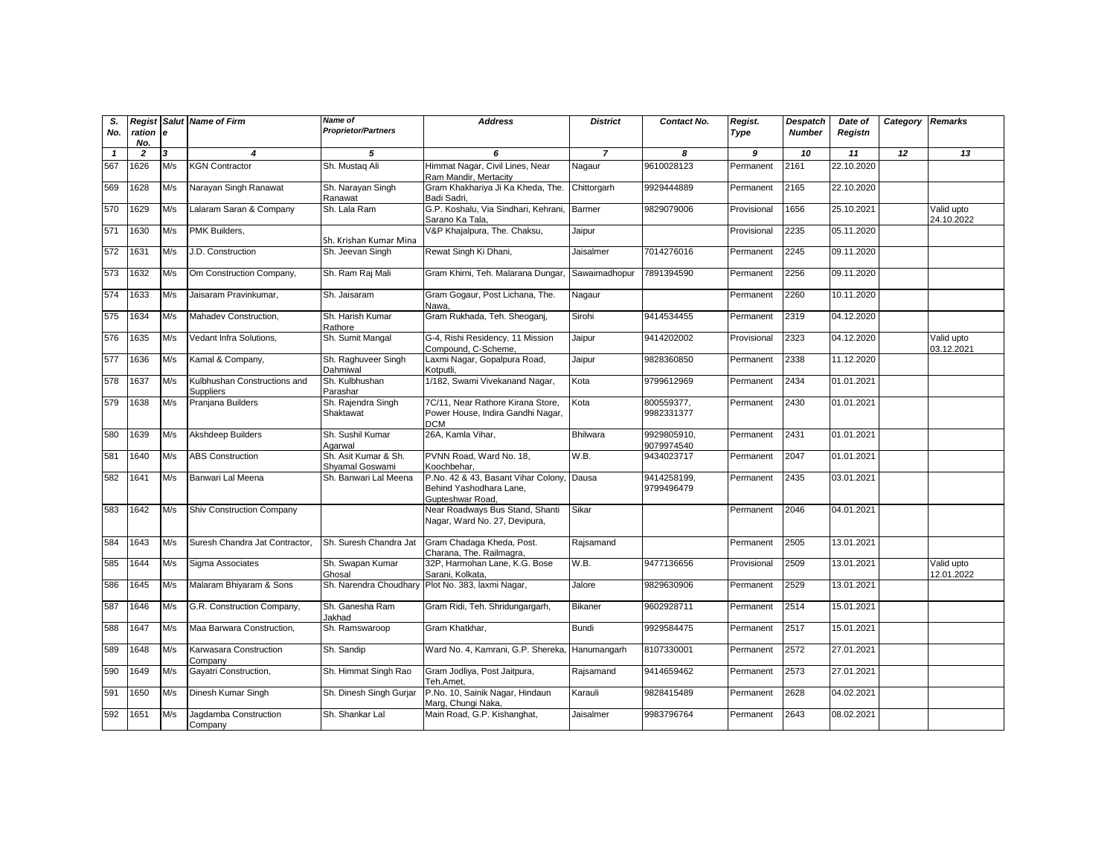| S.<br>No.    | Regist<br>ration e<br>No. |     | Salut Name of Firm                               | Name of<br><b>Proprietor/Partners</b>   | <b>Address</b>                                                                           | <b>District</b> | Contact No.               | Regist.<br>Type | Despatch<br><b>Number</b> | Date of<br>Registn | Category | <b>Remarks</b>           |
|--------------|---------------------------|-----|--------------------------------------------------|-----------------------------------------|------------------------------------------------------------------------------------------|-----------------|---------------------------|-----------------|---------------------------|--------------------|----------|--------------------------|
| $\mathbf{1}$ | $\overline{2}$            | 3   | 4                                                | 5                                       | 6                                                                                        | $\overline{7}$  | 8                         | 9               | 10                        | 11                 | 12       | 13                       |
| 567          | 1626                      | M/s | <b>KGN Contractor</b>                            | Sh. Mustaq Ali                          | Himmat Nagar, Civil Lines, Near<br>Ram Mandir, Mertacity                                 | Nagaur          | 9610028123                | Permanent       | 2161                      | 22.10.2020         |          |                          |
| 569          | 1628                      | M/s | Narayan Singh Ranawat                            | Sh. Narayan Singh<br>Ranawat            | Gram Khakhariya Ji Ka Kheda, The.<br>Badi Sadri,                                         | Chittorgarh     | 9929444889                | Permanent       | 2165                      | 22.10.2020         |          |                          |
| 570          | 1629                      | M/s | Lalaram Saran & Company                          | Sh. Lala Ram                            | G.P. Koshalu, Via Sindhari, Kehrani,<br>Sarano Ka Tala,                                  | Barmer          | 9829079006                | Provisional     | 1656                      | 25.10.2021         |          | Valid upto<br>24.10.2022 |
| 571          | 1630                      | M/s | PMK Builders,                                    | Sh. Krishan Kumar Mina                  | V&P Khajalpura, The. Chaksu,                                                             | Jaipur          |                           | Provisional     | 2235                      | 05.11.2020         |          |                          |
| 572          | 1631                      | M/s | J.D. Construction                                | Sh. Jeevan Singh                        | Rewat Singh Ki Dhani,                                                                    | Jaisalmer       | 7014276016                | Permanent       | 2245                      | 09.11.2020         |          |                          |
| 573          | 1632                      | M/s | Om Construction Company,                         | Sh. Ram Raj Mali                        | Gram Khirni, Teh. Malarana Dungar                                                        | Sawaimadhopur   | 7891394590                | Permanent       | 2256                      | 09.11.2020         |          |                          |
| 574          | 1633                      | M/s | Jaisaram Pravinkumar,                            | Sh. Jaisaram                            | Gram Gogaur, Post Lichana, The.<br>Nawa.                                                 | Nagaur          |                           | Permanent       | 2260                      | 10.11.2020         |          |                          |
| 575          | 1634                      | M/s | Mahadev Construction,                            | Sh. Harish Kumar<br>Rathore             | Gram Rukhada, Teh. Sheoganj,                                                             | Sirohi          | 9414534455                | Permanent       | 2319                      | 04.12.2020         |          |                          |
| 576          | 1635                      | M/s | Vedant Infra Solutions,                          | Sh. Sumit Mangal                        | G-4, Rishi Residency, 11 Mission<br>Compound, C-Scheme,                                  | Jaipur          | 9414202002                | Provisional     | 2323                      | 04.12.2020         |          | Valid upto<br>03.12.2021 |
| 577          | 1636                      | M/s | Kamal & Company,                                 | Sh. Raghuveer Singh<br>Dahmiwal         | Laxmi Nagar, Gopalpura Road,<br>Kotputli.                                                | Jaipur          | 9828360850                | Permanent       | 2338                      | 11.12.2020         |          |                          |
| 578          | 1637                      | M/s | Kulbhushan Constructions and<br><b>Suppliers</b> | Sh. Kulbhushan<br>Parashar              | 1/182, Swami Vivekanand Nagar,                                                           | Kota            | 9799612969                | Permanent       | 2434                      | 01.01.2021         |          |                          |
| 579          | 1638                      | M/s | Pranjana Builders                                | Sh. Rajendra Singh<br>Shaktawat         | 7C/11, Near Rathore Kirana Store,<br>Power House, Indira Gandhi Nagar,<br><b>DCM</b>     | Kota            | 800559377,<br>9982331377  | Permanent       | 2430                      | 01.01.2021         |          |                          |
| 580          | 1639                      | M/s | Akshdeep Builders                                | Sh. Sushil Kumar<br>Agarwal             | 26A, Kamla Vihar,                                                                        | <b>Bhilwara</b> | 9929805910,<br>9079974540 | Permanent       | 2431                      | 01.01.2021         |          |                          |
| 581          | 1640                      | M/s | <b>ABS Construction</b>                          | Sh. Asit Kumar & Sh.<br>Shyamal Goswami | PVNN Road, Ward No. 18,<br>Koochbehar,                                                   | W.B.            | 9434023717                | Permanent       | 2047                      | 01.01.2021         |          |                          |
| 582          | 1641                      | M/s | Banwari Lal Meena                                | Sh. Banwari Lal Meena                   | P.No. 42 & 43, Basant Vihar Colony, Dausa<br>Behind Yashodhara Lane.<br>Gupteshwar Road, |                 | 9414258199,<br>9799496479 | Permanent       | 2435                      | 03.01.2021         |          |                          |
| 583          | 1642                      | M/s | <b>Shiv Construction Company</b>                 |                                         | Near Roadways Bus Stand, Shanti<br>Nagar, Ward No. 27, Devipura,                         | Sikar           |                           | Permanent       | 2046                      | 04.01.2021         |          |                          |
| 584          | 1643                      | M/s | Suresh Chandra Jat Contractor,                   | Sh. Suresh Chandra Jat                  | Gram Chadaga Kheda, Post.<br>Charana, The. Railmagra,                                    | Rajsamand       |                           | Permanent       | 2505                      | 13.01.2021         |          |                          |
| 585          | 1644                      | M/s | Sigma Associates                                 | Sh. Swapan Kumar<br>Ghosal              | 32P. Harmohan Lane, K.G. Bose<br>Sarani, Kolkata,                                        | W.B.            | 9477136656                | Provisional     | 2509                      | 13.01.2021         |          | Valid upto<br>12.01.2022 |
| 586          | 1645                      | M/s | Malaram Bhiyaram & Sons                          | Sh. Narendra Choudhary                  | Plot No. 383, laxmi Nagar,                                                               | Jalore          | 9829630906                | Permanent       | 2529                      | 13.01.2021         |          |                          |
| 587          | 1646                      | M/s | G.R. Construction Company,                       | Sh. Ganesha Ram<br>Jakhad               | Gram Ridi, Teh. Shridungargarh,                                                          | <b>Bikaner</b>  | 9602928711                | Permanent       | 2514                      | 15.01.2021         |          |                          |
| 588          | 1647                      | M/s | Maa Barwara Construction,                        | Sh. Ramswaroop                          | Gram Khatkhar,                                                                           | Bundi           | 9929584475                | Permanent       | 2517                      | 15.01.2021         |          |                          |
| 589          | 1648                      | M/s | Karwasara Construction<br>Company                | Sh. Sandip                              | Ward No. 4, Kamrani, G.P. Shereka, Hanumangarh                                           |                 | 8107330001                | Permanent       | 2572                      | 27.01.2021         |          |                          |
| 590          | 1649                      | M/s | Gayatri Construction,                            | Sh. Himmat Singh Rao                    | Gram Jodliya, Post Jaitpura,<br>Teh.Amet.                                                | Rajsamand       | 9414659462                | Permanent       | 2573                      | 27.01.2021         |          |                          |
| 591          | 1650                      | M/s | Dinesh Kumar Singh                               | Sh. Dinesh Singh Gurjar                 | P.No. 10, Sainik Nagar, Hindaun<br>Marg, Chungi Naka,                                    | Karauli         | 9828415489                | Permanent       | 2628                      | 04.02.2021         |          |                          |
| 592          | 1651                      | M/s | Jagdamba Construction<br>Company                 | Sh. Shankar Lal                         | Main Road, G.P. Kishanghat,                                                              | Jaisalmer       | 9983796764                | Permanent       | 2643                      | 08.02.2021         |          |                          |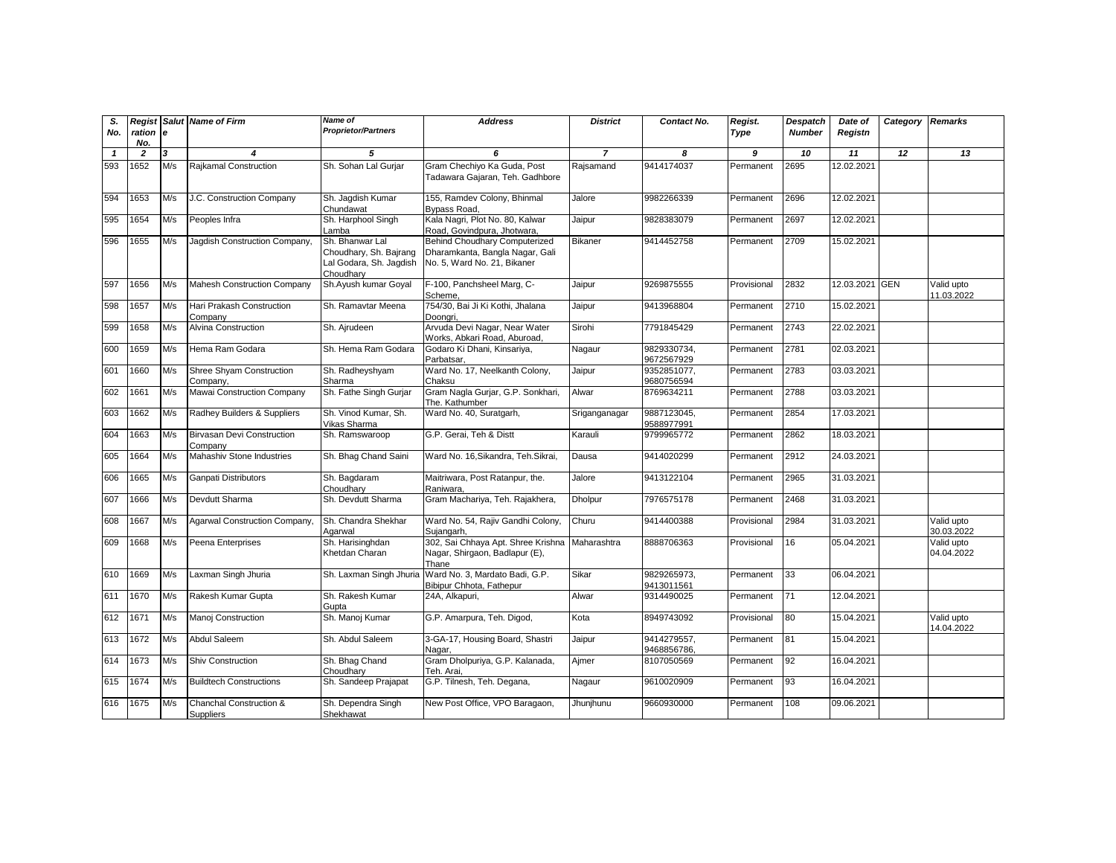| S.<br>No.    | ration e       |     | <b>Regist Salut Name of Firm</b>             | Name of<br><b>Proprietor/Partners</b>                                             | <b>Address</b>                                                                                  | <b>District</b> | Contact No.                | Regist.<br>Type | <b>Despatch</b><br><b>Number</b> | Date of<br>Registn | Category | <b>Remarks</b>           |
|--------------|----------------|-----|----------------------------------------------|-----------------------------------------------------------------------------------|-------------------------------------------------------------------------------------------------|-----------------|----------------------------|-----------------|----------------------------------|--------------------|----------|--------------------------|
|              | No.            |     |                                              |                                                                                   |                                                                                                 |                 |                            |                 |                                  |                    |          |                          |
| $\mathbf{1}$ | $\overline{z}$ | 3   | 4                                            | 5                                                                                 | 6                                                                                               | $\overline{7}$  | 8                          | 9               | 10                               | 11                 | 12       | 13                       |
| 593          | 1652           | M/s | Rajkamal Construction                        | Sh. Sohan Lal Gurjar                                                              | Gram Chechiyo Ka Guda, Post<br>Tadawara Gajaran, Teh. Gadhbore                                  | Rajsamand       | 9414174037                 | Permanent       | 2695                             | 12.02.2021         |          |                          |
| 594          | 1653           | M/s | J.C. Construction Company                    | Sh. Jaqdish Kumar<br>Chundawat                                                    | 155, Ramdev Colony, Bhinmal<br>Bypass Road,                                                     | Jalore          | 9982266339                 | Permanent       | 2696                             | 12.02.2021         |          |                          |
| 595          | 1654           | M/s | Peoples Infra                                | Sh. Harphool Singh<br>Lamba                                                       | Kala Nagri, Plot No. 80, Kalwar<br>Road, Govindpura, Jhotwara,                                  | Jaipur          | 9828383079                 | Permanent       | 2697                             | 12.02.2021         |          |                          |
| 596          | 1655           | M/s | Jagdish Construction Company,                | Sh. Bhanwar Lal<br>Choudhary, Sh. Bajrang<br>Lal Godara, Sh. Jagdish<br>Choudharv | Behind Choudhary Computerized<br>Dharamkanta, Bangla Nagar, Gali<br>No. 5, Ward No. 21, Bikaner | Bikaner         | 9414452758                 | Permanent       | 2709                             | 15.02.2021         |          |                          |
| 597          | 1656           | M/s | <b>Mahesh Construction Company</b>           | Sh.Ayush kumar Goyal                                                              | F-100, Panchsheel Marg, C-<br>Scheme,                                                           | Jaipur          | 9269875555                 | Provisional     | 2832                             | 12.03.2021 GEN     |          | Valid upto<br>11.03.2022 |
| 598          | 1657           | M/s | Hari Prakash Construction<br>Company         | Sh. Ramavtar Meena                                                                | 754/30, Bai Ji Ki Kothi, Jhalana<br>Doonari.                                                    | Jaipur          | 9413968804                 | Permanent       | 2710                             | 15.02.2021         |          |                          |
| 599          | 1658           | M/s | Alvina Construction                          | Sh. Ajrudeen                                                                      | Arvuda Devi Nagar, Near Water<br>Works, Abkari Road, Aburoad,                                   | Sirohi          | 7791845429                 | Permanent       | 2743                             | 22.02.2021         |          |                          |
| 600          | 1659           | M/s | Hema Ram Godara                              | Sh. Hema Ram Godara                                                               | Godaro Ki Dhani, Kinsariya,<br>Parbatsar,                                                       | Nagaur          | 9829330734,<br>9672567929  | Permanent       | 2781                             | 02.03.2021         |          |                          |
| 601          | 1660           | M/s | Shree Shyam Construction<br>Company,         | Sh. Radheyshyam<br>Sharma                                                         | Ward No. 17, Neelkanth Colony,<br>Chaksu                                                        | Jaipur          | 9352851077,<br>9680756594  | Permanent       | 2783                             | 03.03.2021         |          |                          |
| 602          | 1661           | M/s | Mawai Construction Company                   | Sh. Fathe Singh Gurjar                                                            | Gram Nagla Gurjar, G.P. Sonkhari,<br>The. Kathumber                                             | Alwar           | 8769634211                 | Permanent       | 2788                             | 03.03.2021         |          |                          |
| 603          | 1662           | M/s | Radhey Builders & Suppliers                  | Sh. Vinod Kumar, Sh.<br>Vikas Sharma                                              | Ward No. 40, Suratgarh,                                                                         | Sriganganagar   | 9887123045,<br>9588977991  | Permanent       | 2854                             | 17.03.2021         |          |                          |
| 604          | 1663           | M/s | <b>Birvasan Devi Construction</b><br>Company | Sh. Ramswaroop                                                                    | G.P. Gerai, Teh & Distt                                                                         | Karauli         | 9799965772                 | Permanent       | 2862                             | 18.03.2021         |          |                          |
| 605          | 1664           | M/s | <b>Mahashiv Stone Industries</b>             | Sh. Bhag Chand Saini                                                              | Ward No. 16, Sikandra, Teh. Sikrai,                                                             | Dausa           | 9414020299                 | Permanent       | 2912                             | 24.03.2021         |          |                          |
| 606          | 1665           | M/s | Ganpati Distributors                         | Sh. Bagdaram<br>Choudharv                                                         | Maitriwara, Post Ratanpur, the.<br>Raniwara,                                                    | Jalore          | 9413122104                 | Permanent       | 2965                             | 31.03.2021         |          |                          |
| 607          | 1666           | M/s | Devdutt Sharma                               | Sh. Devdutt Sharma                                                                | Gram Machariya, Teh. Rajakhera,                                                                 | Dholpur         | 7976575178                 | Permanent       | 2468                             | 31.03.2021         |          |                          |
| 608          | 1667           | M/s | Agarwal Construction Company,                | Sh. Chandra Shekhar<br>Agarwal                                                    | Ward No. 54, Rajiv Gandhi Colony,<br>Suiangarh.                                                 | Churu           | 9414400388                 | Provisional     | 2984                             | 31.03.2021         |          | Valid upto<br>30.03.2022 |
| 609          | 1668           | M/s | Peena Enterprises                            | Sh. Harisinghdan<br>Khetdan Charan                                                | 302, Sai Chhaya Apt. Shree Krishna<br>Nagar, Shirgaon, Badlapur (E),<br>Thane                   | Maharashtra     | 8888706363                 | Provisional     | 16                               | 05.04.2021         |          | Valid upto<br>04.04.2022 |
| 610          | 1669           | M/s | Laxman Singh Jhuria                          | Sh. Laxman Singh Jhuria                                                           | Ward No. 3, Mardato Badi, G.P.<br>Bibipur Chhota, Fathepur                                      | Sikar           | 9829265973,<br>9413011561  | Permanent       | 33                               | 06.04.2021         |          |                          |
| 611          | 1670           | M/s | Rakesh Kumar Gupta                           | Sh. Rakesh Kumar<br>Gupta                                                         | 24A, Alkapuri,                                                                                  | Alwar           | 9314490025                 | Permanent       | 71                               | 12.04.2021         |          |                          |
| 612          | 1671           | M/s | Manoj Construction                           | Sh. Manoj Kumar                                                                   | G.P. Amarpura, Teh. Digod,                                                                      | Kota            | 8949743092                 | Provisional     | 80                               | 15.04.2021         |          | Valid upto<br>14.04.2022 |
| 613          | 1672           | M/s | Abdul Saleem                                 | Sh. Abdul Saleem                                                                  | 3-GA-17, Housing Board, Shastri<br>Nagar.                                                       | Jaipur          | 9414279557,<br>9468856786, | Permanent       | 81                               | 15.04.2021         |          |                          |
| 614          | 1673           | M/s | <b>Shiv Construction</b>                     | Sh. Bhag Chand<br>Choudhary                                                       | Gram Dholpuriya, G.P. Kalanada,<br>Teh. Arai.                                                   | Ajmer           | 8107050569                 | Permanent       | 92                               | 16.04.2021         |          |                          |
| 615          | 1674           | M/s | <b>Buildtech Constructions</b>               | Sh. Sandeep Prajapat                                                              | G.P. Tilnesh, Teh. Degana,                                                                      | Nagaur          | 9610020909                 | Permanent       | 93                               | 16.04.2021         |          |                          |
| 616          | 1675           | M/s | Chanchal Construction &<br>Suppliers         | Sh. Dependra Singh<br>Shekhawat                                                   | New Post Office, VPO Baragaon,                                                                  | Jhunjhunu       | 9660930000                 | Permanent       | 108                              | 09.06.2021         |          |                          |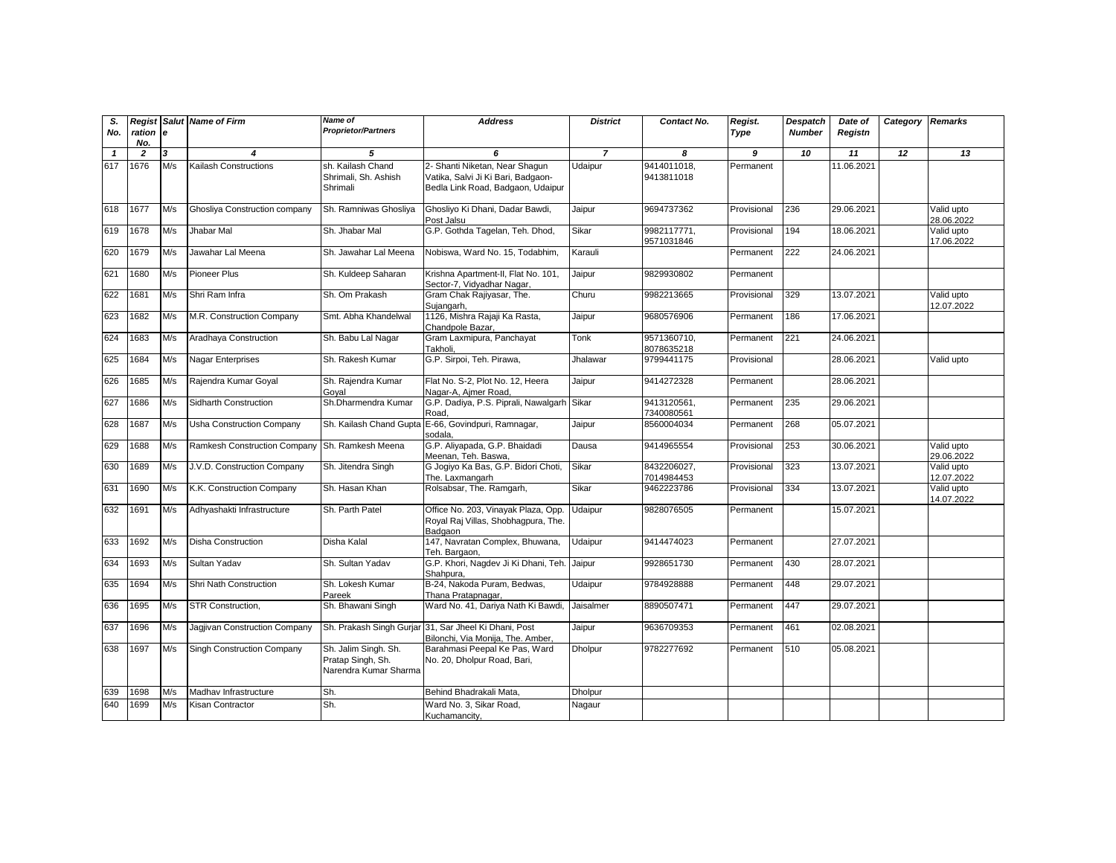| S.<br>No.    | ration e<br>No. |     | <b>Regist Salut Name of Firm</b>               | Name of<br><b>Proprietor/Partners</b>                              | <b>Address</b>                                                                                            | <b>District</b> | Contact No.               | Regist.<br>Type | <b>Despatch</b><br><b>Number</b> | Date of<br>Registn | Category | <b>Remarks</b>           |
|--------------|-----------------|-----|------------------------------------------------|--------------------------------------------------------------------|-----------------------------------------------------------------------------------------------------------|-----------------|---------------------------|-----------------|----------------------------------|--------------------|----------|--------------------------|
| $\mathbf{1}$ | $\overline{2}$  | 3   | 4                                              | 5                                                                  | 6                                                                                                         | $\overline{7}$  | 8                         | 9               | 10                               | 11                 | 12       | 13                       |
| 617          | 1676            | M/s | <b>Kailash Constructions</b>                   | sh. Kailash Chand<br>Shrimali, Sh. Ashish<br>Shrimali              | 2- Shanti Niketan, Near Shagun<br>Vatika, Salvi Ji Ki Bari, Badgaon-<br>Bedla Link Road, Badgaon, Udaipur | Udaipur         | 9414011018,<br>9413811018 | Permanent       |                                  | 11.06.2021         |          |                          |
| 618          | 1677            | M/s | Ghosliya Construction company                  | Sh. Ramniwas Ghosliya                                              | Ghosliyo Ki Dhani, Dadar Bawdi,<br>Post Jalsu                                                             | Jaipur          | 9694737362                | Provisional     | 236                              | 29.06.2021         |          | Valid upto<br>28.06.2022 |
| 619          | 1678            | M/s | Jhabar Mal                                     | Sh. Jhabar Mal                                                     | G.P. Gothda Tagelan, Teh. Dhod,                                                                           | Sikar           | 9982117771,<br>9571031846 | Provisional     | 194                              | 18.06.2021         |          | Valid upto<br>17.06.2022 |
| 620          | 1679            | M/s | Jawahar Lal Meena                              | Sh. Jawahar Lal Meena                                              | Nobiswa, Ward No. 15, Todabhim,                                                                           | Karauli         |                           | Permanent       | 222                              | 24.06.2021         |          |                          |
| 621          | 1680            | M/s | Pioneer Plus                                   | Sh. Kuldeep Saharan                                                | Krishna Apartment-II, Flat No. 101,<br>Sector-7, Vidyadhar Nagar,                                         | Jaipur          | 9829930802                | Permanent       |                                  |                    |          |                          |
| 622          | 1681            | M/s | Shri Ram Infra                                 | Sh. Om Prakash                                                     | Gram Chak Rajiyasar, The.<br>Sujangarh,                                                                   | Churu           | 9982213665                | Provisional     | 329                              | 13.07.2021         |          | Valid upto<br>12.07.2022 |
| 623          | 1682            | M/s | M.R. Construction Company                      | Smt. Abha Khandelwal                                               | 1126, Mishra Rajaji Ka Rasta,<br>Chandpole Bazar,                                                         | Jaipur          | 9680576906                | Permanent       | 186                              | 17.06.2021         |          |                          |
| 624          | 1683            | M/s | Aradhaya Construction                          | Sh. Babu Lal Nagar                                                 | Gram Laxmipura, Panchayat<br>Takholi.                                                                     | Tonk            | 9571360710,<br>8078635218 | Permanent       | 221                              | 24.06.2021         |          |                          |
| 625          | 1684            | M/s | Nagar Enterprises                              | Sh. Rakesh Kumar                                                   | G.P. Sirpoi, Teh. Pirawa,                                                                                 | Jhalawar        | 9799441175                | Provisional     |                                  | 28.06.2021         |          | Valid upto               |
| 626          | 1685            | M/s | Rajendra Kumar Goyal                           | Sh. Rajendra Kumar<br>Goyal                                        | Flat No. S-2, Plot No. 12, Heera<br>Nagar-A, Ajmer Road,                                                  | Jaipur          | 9414272328                | Permanent       |                                  | 28.06.2021         |          |                          |
| 627          | 1686            | M/s | Sidharth Construction                          | Sh.Dharmendra Kumar                                                | G.P. Dadiya, P.S. Piprali, Nawalgarh Sikar<br>Road,                                                       |                 | 9413120561,<br>7340080561 | Permanent       | 235                              | 29.06.2021         |          |                          |
| 628          | 1687            | M/s | <b>Usha Construction Company</b>               | Sh. Kailash Chand Gupta                                            | E-66, Govindpuri, Ramnagar,<br>sodala.                                                                    | Jaipur          | 8560004034                | Permanent       | 268                              | 05.07.2021         |          |                          |
| 629          | 1688            | M/s | Ramkesh Construction Company Sh. Ramkesh Meena |                                                                    | G.P. Aliyapada, G.P. Bhaidadi<br>Meenan, Teh, Baswa.                                                      | Dausa           | 9414965554                | Provisional     | 253                              | 30.06.2021         |          | Valid upto<br>29.06.2022 |
| 630          | 1689            | M/s | J.V.D. Construction Company                    | Sh. Jitendra Singh                                                 | G Jogiyo Ka Bas, G.P. Bidori Choti,<br>The. Laxmangarh                                                    | Sikar           | 8432206027,<br>7014984453 | Provisional     | 323                              | 13.07.2021         |          | Valid upto<br>12.07.2022 |
| 631          | 1690            | M/s | K.K. Construction Company                      | Sh. Hasan Khan                                                     | Rolsabsar, The. Ramgarh,                                                                                  | Sikar           | 9462223786                | Provisional     | 334                              | 13.07.2021         |          | Valid upto<br>14.07.2022 |
| 632          | 1691            | M/s | Adhyashakti Infrastructure                     | Sh. Parth Patel                                                    | Office No. 203, Vinayak Plaza, Opp.<br>Royal Raj Villas, Shobhaqpura, The.<br>Badgaon                     | Udaipur         | 9828076505                | Permanent       |                                  | 15.07.2021         |          |                          |
| 633          | 1692            | M/s | Disha Construction                             | Disha Kalal                                                        | 147, Navratan Complex, Bhuwana,<br>Teh. Bargaon,                                                          | Udaipur         | 9414474023                | Permanent       |                                  | 27.07.2021         |          |                          |
| 634          | 1693            | M/s | Sultan Yadav                                   | Sh. Sultan Yadav                                                   | G.P. Khori, Nagdev Ji Ki Dhani, Teh. Jaipur<br>Shahpura.                                                  |                 | 9928651730                | Permanent       | 430                              | 28.07.2021         |          |                          |
| 635          | 1694            | M/s | Shri Nath Construction                         | Sh. Lokesh Kumar<br>Pareek                                         | B-24, Nakoda Puram, Bedwas,<br>Thana Pratapnagar,                                                         | Udaipur         | 9784928888                | Permanent       | 448                              | 29.07.2021         |          |                          |
| 636          | 1695            | M/s | STR Construction.                              | Sh. Bhawani Singh                                                  | Ward No. 41, Dariya Nath Ki Bawdi,                                                                        | Jaisalmer       | 8890507471                | Permanent       | 447                              | 29.07.2021         |          |                          |
| 637          | 1696            | M/s | Jagjivan Construction Company                  |                                                                    | Sh. Prakash Singh Gurjar 31, Sar Jheel Ki Dhani, Post<br>Bilonchi, Via Monija, The. Amber,                | Jaipur          | 9636709353                | Permanent       | 461                              | 02.08.2021         |          |                          |
| 638          | 1697            | M/s | Singh Construction Company                     | Sh. Jalim Singh. Sh.<br>Pratap Singh, Sh.<br>Narendra Kumar Sharma | Barahmasi Peepal Ke Pas, Ward<br>No. 20, Dholpur Road, Bari,                                              | Dholpur         | 9782277692                | Permanent       | 510                              | 05.08.2021         |          |                          |
| 639          | 1698            | M/s | Madhay Infrastructure                          | Sh.                                                                | Behind Bhadrakali Mata,                                                                                   | <b>Dholpur</b>  |                           |                 |                                  |                    |          |                          |
| 640          | 1699            | M/s | Kisan Contractor                               | Sh.                                                                | Ward No. 3, Sikar Road,<br>Kuchamancity,                                                                  | Nagaur          |                           |                 |                                  |                    |          |                          |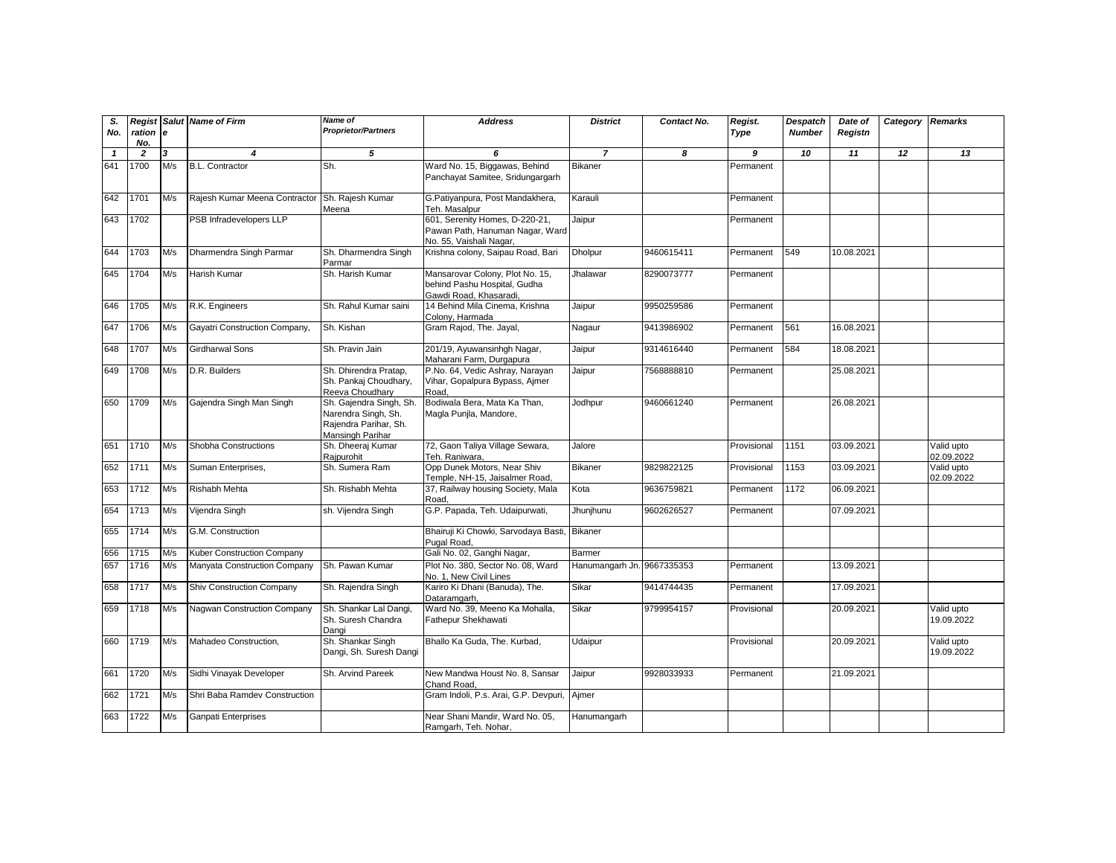| S.<br>No.    | ration e<br>No. |     | <b>Regist Salut Name of Firm</b>   | Name of<br><b>Proprietor/Partners</b>                                                       | <b>Address</b>                                                                               | <b>District</b>            | Contact No. | Regist.<br>Type | Despatch<br><b>Number</b> | Date of<br>Registn | Category | <b>Remarks</b>           |
|--------------|-----------------|-----|------------------------------------|---------------------------------------------------------------------------------------------|----------------------------------------------------------------------------------------------|----------------------------|-------------|-----------------|---------------------------|--------------------|----------|--------------------------|
| $\mathbf{1}$ | $\overline{2}$  | 3   | 4                                  | 5                                                                                           | 6                                                                                            | $\overline{7}$             | 8           | 9               | 10                        | 11                 | 12       | 13                       |
| 641          | 1700            | M/s | <b>B.L. Contractor</b>             | Sh.                                                                                         | Ward No. 15, Biggawas, Behind<br>Panchayat Samitee, Sridungargarh                            | <b>Bikaner</b>             |             | Permanent       |                           |                    |          |                          |
| 642          | 1701            | M/s | Rajesh Kumar Meena Contractor      | Sh. Rajesh Kumar<br>Meena                                                                   | G.Patiyanpura, Post Mandakhera,<br>Teh. Masalpur                                             | Karauli                    |             | Permanent       |                           |                    |          |                          |
| 643          | 1702            |     | PSB Infradevelopers LLP            |                                                                                             | 601, Serenity Homes, D-220-21,<br>Pawan Path, Hanuman Nagar, Ward<br>No. 55, Vaishali Nagar, | Jaipur                     |             | Permanent       |                           |                    |          |                          |
| 644          | 1703            | M/s | Dharmendra Singh Parmar            | Sh. Dharmendra Singh<br>Parmar                                                              | Krishna colony, Saipau Road, Bari                                                            | <b>Dholpur</b>             | 9460615411  | Permanent       | 549                       | 10.08.2021         |          |                          |
| 645          | 1704            | M/s | Harish Kumar                       | Sh. Harish Kumar                                                                            | Mansarovar Colony, Plot No. 15,<br>behind Pashu Hospital, Gudha<br>Gawdi Road, Khasaradi,    | Jhalawar                   | 8290073777  | Permanent       |                           |                    |          |                          |
| 646          | 1705            | M/s | R.K. Engineers                     | Sh. Rahul Kumar saini                                                                       | 14 Behind Mila Cinema, Krishna<br>Colony, Harmada                                            | Jaipur                     | 9950259586  | Permanent       |                           |                    |          |                          |
| 647          | 1706            | M/s | Gayatri Construction Company,      | Sh. Kishan                                                                                  | Gram Rajod, The. Jayal,                                                                      | Nagaur                     | 9413986902  | Permanent       | 561                       | 16.08.2021         |          |                          |
| 648          | 1707            | M/s | Girdharwal Sons                    | Sh. Pravin Jain                                                                             | 201/19, Ayuwansinhgh Nagar,<br>Maharani Farm, Durgapura                                      | Jaipur                     | 9314616440  | Permanent       | 584                       | 18.08.2021         |          |                          |
| 649          | 1708            | M/s | D.R. Builders                      | Sh. Dhirendra Pratap,<br>Sh. Pankaj Choudhary,<br>Reeva Choudhary                           | P.No. 64, Vedic Ashray, Narayan<br>Vihar, Gopalpura Bypass, Ajmer<br>Road.                   | Jaipur                     | 7568888810  | Permanent       |                           | 25.08.2021         |          |                          |
| 650          | 1709            | M/s | Gajendra Singh Man Singh           | Sh. Gajendra Singh, Sh.<br>Narendra Singh, Sh.<br>Rajendra Parihar, Sh.<br>Mansingh Parihar | Bodiwala Bera, Mata Ka Than,<br>Magla Punjla, Mandore,                                       | Jodhpur                    | 9460661240  | Permanent       |                           | 26.08.2021         |          |                          |
| 651          | 1710            | M/s | Shobha Constructions               | Sh. Dheeraj Kumar<br>Rajpurohit                                                             | 72, Gaon Taliya Village Sewara,<br>Teh. Raniwara,                                            | Jalore                     |             | Provisional     | 1151                      | 03.09.2021         |          | Valid upto<br>02.09.2022 |
| 652          | 1711            | M/s | Suman Enterprises,                 | Sh. Sumera Ram                                                                              | Opp Dunek Motors, Near Shiv<br>Temple, NH-15, Jaisalmer Road,                                | Bikaner                    | 9829822125  | Provisional     | 1153                      | 03.09.2021         |          | Valid upto<br>02.09.2022 |
| 653          | 1712            | M/s | Rishabh Mehta                      | Sh. Rishabh Mehta                                                                           | 37, Railway housing Society, Mala<br>Road.                                                   | Kota                       | 9636759821  | Permanent       | 1172                      | 06.09.2021         |          |                          |
| 654          | 1713            | M/s | Vijendra Singh                     | sh. Vijendra Singh                                                                          | G.P. Papada, Teh. Udaipurwati,                                                               | Jhunjhunu                  | 9602626527  | Permanent       |                           | 07.09.2021         |          |                          |
| 655          | 1714            | M/s | G.M. Construction                  |                                                                                             | Bhairuji Ki Chowki, Sarvodaya Basti,<br>Pugal Road.                                          | <b>Bikaner</b>             |             |                 |                           |                    |          |                          |
| 656          | 1715            | M/s | Kuber Construction Company         |                                                                                             | Gali No. 02, Ganghi Nagar,                                                                   | Barmer                     |             |                 |                           |                    |          |                          |
| 657          | 1716            | M/s | Manyata Construction Company       | Sh. Pawan Kumar                                                                             | Plot No. 380. Sector No. 08. Ward<br>No. 1, New Civil Lines                                  | Hanumangarh Jn. 9667335353 |             | Permanent       |                           | 13.09.2021         |          |                          |
| 658          | 1717            | M/s | <b>Shiv Construction Company</b>   | Sh. Rajendra Singh                                                                          | Kariro Ki Dhani (Banuda), The.<br>Dataramgarh,                                               | Sikar                      | 9414744435  | Permanent       |                           | 17.09.2021         |          |                          |
| 659          | 1718            | M/s | <b>Nagwan Construction Company</b> | Sh. Shankar Lal Dangi,<br>Sh. Suresh Chandra<br>Dangi                                       | Ward No. 39, Meeno Ka Mohalla,<br>Fathepur Shekhawati                                        | Sikar                      | 9799954157  | Provisional     |                           | 20.09.2021         |          | Valid upto<br>19.09.2022 |
| 660          | 1719            | M/s | Mahadeo Construction,              | Sh. Shankar Singh<br>Dangi, Sh. Suresh Dangi                                                | Bhallo Ka Guda, The. Kurbad,                                                                 | Udaipur                    |             | Provisional     |                           | 20.09.2021         |          | Valid upto<br>19.09.2022 |
| 661          | 1720            | M/s | Sidhi Vinayak Developer            | Sh. Arvind Pareek                                                                           | New Mandwa Houst No. 8, Sansar<br>Chand Road,                                                | Jaipur                     | 9928033933  | Permanent       |                           | 21.09.2021         |          |                          |
| 662          | 1721            | M/s | Shri Baba Ramdev Construction      |                                                                                             | Gram Indoli, P.s. Arai, G.P. Devpuri,                                                        | Aimer                      |             |                 |                           |                    |          |                          |
| 663          | 1722            | M/s | Ganpati Enterprises                |                                                                                             | Near Shani Mandir, Ward No. 05,<br>Ramgarh, Teh. Nohar,                                      | Hanumangarh                |             |                 |                           |                    |          |                          |